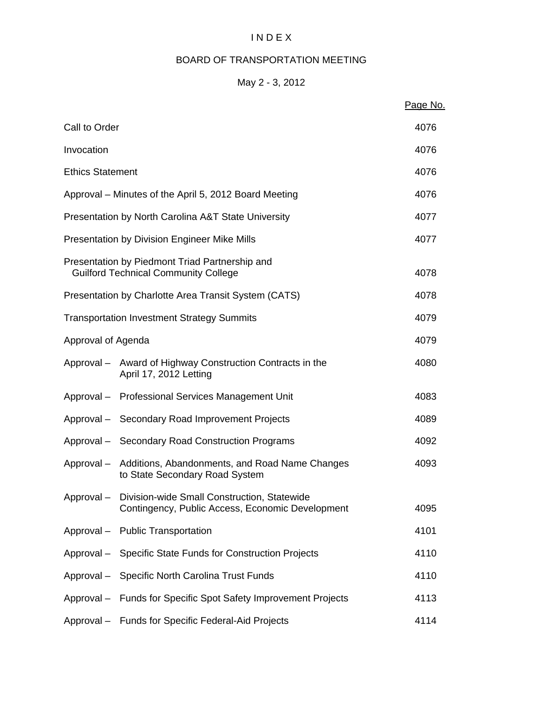# I N D E X

# BOARD OF TRANSPORTATION MEETING

# May 2 - 3, 2012

|                         |                                                                                                            | Page No. |
|-------------------------|------------------------------------------------------------------------------------------------------------|----------|
| Call to Order           |                                                                                                            | 4076     |
| Invocation              |                                                                                                            | 4076     |
| <b>Ethics Statement</b> |                                                                                                            | 4076     |
|                         | Approval – Minutes of the April 5, 2012 Board Meeting                                                      | 4076     |
|                         | Presentation by North Carolina A&T State University                                                        | 4077     |
|                         | <b>Presentation by Division Engineer Mike Mills</b>                                                        | 4077     |
|                         | Presentation by Piedmont Triad Partnership and<br><b>Guilford Technical Community College</b>              | 4078     |
|                         | Presentation by Charlotte Area Transit System (CATS)                                                       | 4078     |
|                         | <b>Transportation Investment Strategy Summits</b>                                                          | 4079     |
| Approval of Agenda      |                                                                                                            | 4079     |
|                         | Approval – Award of Highway Construction Contracts in the<br>April 17, 2012 Letting                        | 4080     |
|                         | Approval - Professional Services Management Unit                                                           | 4083     |
|                         | Approval - Secondary Road Improvement Projects                                                             | 4089     |
|                         | Approval - Secondary Road Construction Programs                                                            | 4092     |
|                         | Approval - Additions, Abandonments, and Road Name Changes<br>to State Secondary Road System                | 4093     |
|                         | Approval - Division-wide Small Construction, Statewide<br>Contingency, Public Access, Economic Development | 4095     |
|                         | Approval - Public Transportation                                                                           | 4101     |
|                         | Approval - Specific State Funds for Construction Projects                                                  | 4110     |
|                         | Approval - Specific North Carolina Trust Funds                                                             | 4110     |
|                         | Approval - Funds for Specific Spot Safety Improvement Projects                                             | 4113     |
|                         | Approval - Funds for Specific Federal-Aid Projects                                                         | 4114     |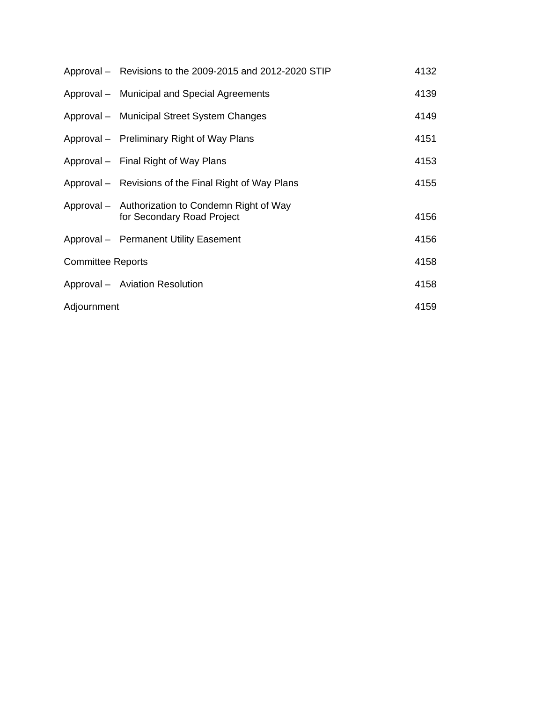|                          | Approval – Revisions to the 2009-2015 and 2012-2020 STIP                       | 4132 |
|--------------------------|--------------------------------------------------------------------------------|------|
|                          | Approval - Municipal and Special Agreements                                    | 4139 |
|                          | Approval - Municipal Street System Changes                                     | 4149 |
|                          | Approval – Preliminary Right of Way Plans                                      | 4151 |
|                          | Approval – Final Right of Way Plans                                            | 4153 |
|                          | Approval – Revisions of the Final Right of Way Plans                           | 4155 |
|                          | Approval - Authorization to Condemn Right of Way<br>for Secondary Road Project | 4156 |
|                          | Approval - Permanent Utility Easement                                          | 4156 |
| <b>Committee Reports</b> |                                                                                | 4158 |
|                          | Approval - Aviation Resolution                                                 | 4158 |
| Adjournment              |                                                                                | 4159 |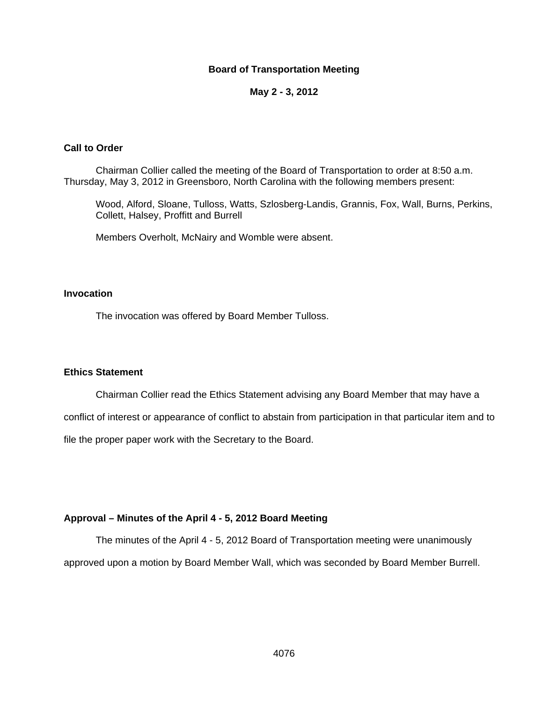### **Board of Transportation Meeting**

#### **May 2 - 3, 2012**

### **Call to Order**

Chairman Collier called the meeting of the Board of Transportation to order at 8:50 a.m. Thursday, May 3, 2012 in Greensboro, North Carolina with the following members present:

Wood, Alford, Sloane, Tulloss, Watts, Szlosberg-Landis, Grannis, Fox, Wall, Burns, Perkins, Collett, Halsey, Proffitt and Burrell

Members Overholt, McNairy and Womble were absent.

## **Invocation**

The invocation was offered by Board Member Tulloss.

#### **Ethics Statement**

Chairman Collier read the Ethics Statement advising any Board Member that may have a

conflict of interest or appearance of conflict to abstain from participation in that particular item and to file the proper paper work with the Secretary to the Board.

### **Approval – Minutes of the April 4 - 5, 2012 Board Meeting**

The minutes of the April 4 - 5, 2012 Board of Transportation meeting were unanimously approved upon a motion by Board Member Wall, which was seconded by Board Member Burrell.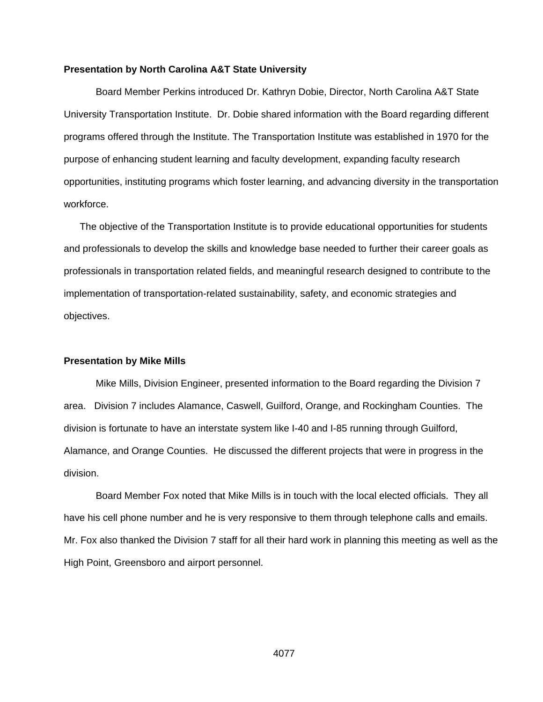#### **Presentation by North Carolina A&T State University**

Board Member Perkins introduced Dr. Kathryn Dobie, Director, North Carolina A&T State University Transportation Institute. Dr. Dobie shared information with the Board regarding different programs offered through the Institute. The Transportation Institute was established in 1970 for the purpose of enhancing student learning and faculty development, expanding faculty research opportunities, instituting programs which foster learning, and advancing diversity in the transportation workforce.

The objective of the Transportation Institute is to provide educational opportunities for students and professionals to develop the skills and knowledge base needed to further their career goals as professionals in transportation related fields, and meaningful research designed to contribute to the implementation of transportation-related sustainability, safety, and economic strategies and objectives.

#### **Presentation by Mike Mills**

 Mike Mills, Division Engineer, presented information to the Board regarding the Division 7 area. Division 7 includes Alamance, Caswell, Guilford, Orange, and Rockingham Counties. The division is fortunate to have an interstate system like I-40 and I-85 running through Guilford, Alamance, and Orange Counties. He discussed the different projects that were in progress in the division.

 Board Member Fox noted that Mike Mills is in touch with the local elected officials. They all have his cell phone number and he is very responsive to them through telephone calls and emails. Mr. Fox also thanked the Division 7 staff for all their hard work in planning this meeting as well as the High Point, Greensboro and airport personnel.

4077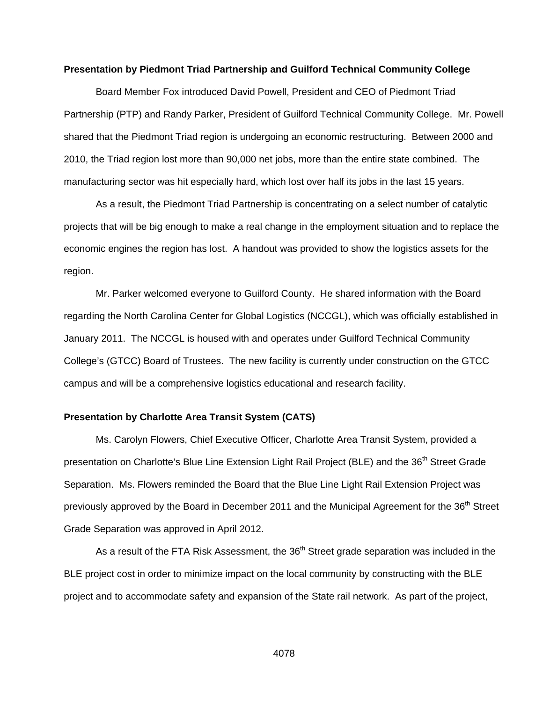#### **Presentation by Piedmont Triad Partnership and Guilford Technical Community College**

 Board Member Fox introduced David Powell, President and CEO of Piedmont Triad Partnership (PTP) and Randy Parker, President of Guilford Technical Community College. Mr. Powell shared that the Piedmont Triad region is undergoing an economic restructuring. Between 2000 and 2010, the Triad region lost more than 90,000 net jobs, more than the entire state combined. The manufacturing sector was hit especially hard, which lost over half its jobs in the last 15 years.

 As a result, the Piedmont Triad Partnership is concentrating on a select number of catalytic projects that will be big enough to make a real change in the employment situation and to replace the economic engines the region has lost. A handout was provided to show the logistics assets for the region.

 Mr. Parker welcomed everyone to Guilford County. He shared information with the Board regarding the North Carolina Center for Global Logistics (NCCGL), which was officially established in January 2011. The NCCGL is housed with and operates under Guilford Technical Community College's (GTCC) Board of Trustees. The new facility is currently under construction on the GTCC campus and will be a comprehensive logistics educational and research facility.

### **Presentation by Charlotte Area Transit System (CATS)**

 Ms. Carolyn Flowers, Chief Executive Officer, Charlotte Area Transit System, provided a presentation on Charlotte's Blue Line Extension Light Rail Project (BLE) and the 36<sup>th</sup> Street Grade Separation. Ms. Flowers reminded the Board that the Blue Line Light Rail Extension Project was previously approved by the Board in December 2011 and the Municipal Agreement for the 36<sup>th</sup> Street Grade Separation was approved in April 2012.

As a result of the FTA Risk Assessment, the 36<sup>th</sup> Street grade separation was included in the BLE project cost in order to minimize impact on the local community by constructing with the BLE project and to accommodate safety and expansion of the State rail network. As part of the project,

4078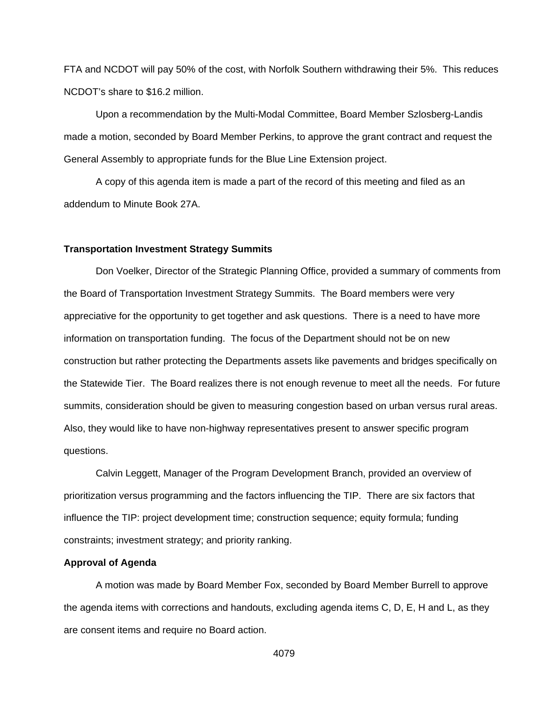FTA and NCDOT will pay 50% of the cost, with Norfolk Southern withdrawing their 5%. This reduces NCDOT's share to \$16.2 million.

Upon a recommendation by the Multi-Modal Committee, Board Member Szlosberg-Landis made a motion, seconded by Board Member Perkins, to approve the grant contract and request the General Assembly to appropriate funds for the Blue Line Extension project.

A copy of this agenda item is made a part of the record of this meeting and filed as an addendum to Minute Book 27A.

### **Transportation Investment Strategy Summits**

 Don Voelker, Director of the Strategic Planning Office, provided a summary of comments from the Board of Transportation Investment Strategy Summits. The Board members were very appreciative for the opportunity to get together and ask questions. There is a need to have more information on transportation funding. The focus of the Department should not be on new construction but rather protecting the Departments assets like pavements and bridges specifically on the Statewide Tier. The Board realizes there is not enough revenue to meet all the needs. For future summits, consideration should be given to measuring congestion based on urban versus rural areas. Also, they would like to have non-highway representatives present to answer specific program questions.

 Calvin Leggett, Manager of the Program Development Branch, provided an overview of prioritization versus programming and the factors influencing the TIP. There are six factors that influence the TIP: project development time; construction sequence; equity formula; funding constraints; investment strategy; and priority ranking.

### **Approval of Agenda**

 A motion was made by Board Member Fox, seconded by Board Member Burrell to approve the agenda items with corrections and handouts, excluding agenda items C, D, E, H and L, as they are consent items and require no Board action.

4079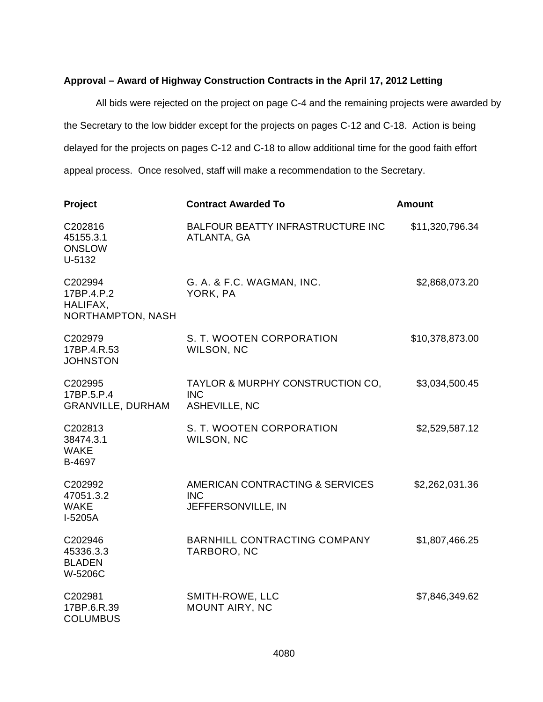### **Approval – Award of Highway Construction Contracts in the April 17, 2012 Letting**

All bids were rejected on the project on page C-4 and the remaining projects were awarded by the Secretary to the low bidder except for the projects on pages C-12 and C-18. Action is being delayed for the projects on pages C-12 and C-18 to allow additional time for the good faith effort appeal process. Once resolved, staff will make a recommendation to the Secretary.

| Project                                                | <b>Contract Awarded To</b>                                          | <b>Amount</b>   |
|--------------------------------------------------------|---------------------------------------------------------------------|-----------------|
| C202816<br>45155.3.1<br><b>ONSLOW</b><br>U-5132        | <b>BALFOUR BEATTY INFRASTRUCTURE INC</b><br>ATLANTA, GA             | \$11,320,796.34 |
| C202994<br>17BP.4.P.2<br>HALIFAX,<br>NORTHAMPTON, NASH | G. A. & F.C. WAGMAN, INC.<br>YORK, PA                               | \$2,868,073.20  |
| C202979<br>17BP.4.R.53<br><b>JOHNSTON</b>              | S. T. WOOTEN CORPORATION<br>WILSON, NC                              | \$10,378,873.00 |
| C202995<br>17BP.5.P.4<br><b>GRANVILLE, DURHAM</b>      | TAYLOR & MURPHY CONSTRUCTION CO,<br><b>INC</b><br>ASHEVILLE, NC     | \$3,034,500.45  |
| C202813<br>38474.3.1<br><b>WAKE</b><br>B-4697          | S. T. WOOTEN CORPORATION<br>WILSON, NC                              | \$2,529,587.12  |
| C202992<br>47051.3.2<br><b>WAKE</b><br>I-5205A         | AMERICAN CONTRACTING & SERVICES<br><b>INC</b><br>JEFFERSONVILLE, IN | \$2,262,031.36  |
| C202946<br>45336.3.3<br><b>BLADEN</b><br>W-5206C       | BARNHILL CONTRACTING COMPANY<br>TARBORO, NC                         | \$1,807,466.25  |
| C202981<br>17BP.6.R.39<br><b>COLUMBUS</b>              | SMITH-ROWE, LLC<br><b>MOUNT AIRY, NC</b>                            | \$7,846,349.62  |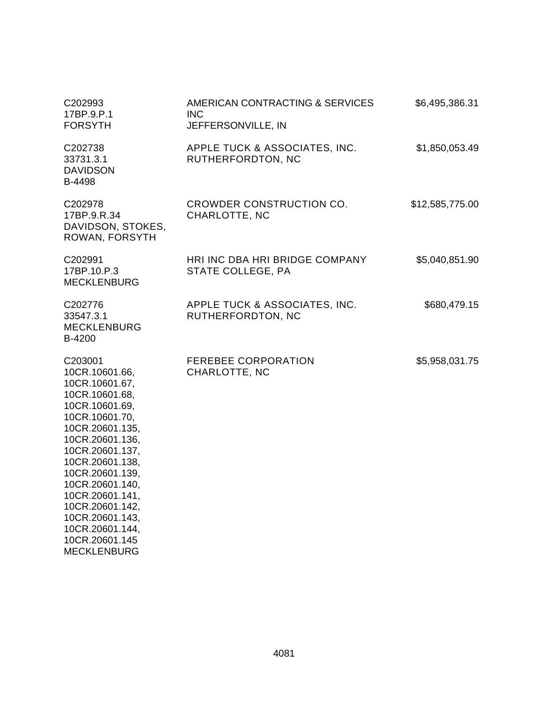| C202993<br>17BP.9.P.1<br><b>FORSYTH</b>                                                                                                                                                                                                                                                                                                 | AMERICAN CONTRACTING & SERVICES<br><b>INC</b><br>JEFFERSONVILLE, IN | \$6,495,386.31  |
|-----------------------------------------------------------------------------------------------------------------------------------------------------------------------------------------------------------------------------------------------------------------------------------------------------------------------------------------|---------------------------------------------------------------------|-----------------|
| C202738<br>33731.3.1<br><b>DAVIDSON</b><br>B-4498                                                                                                                                                                                                                                                                                       | APPLE TUCK & ASSOCIATES, INC.<br>RUTHERFORDTON, NC                  | \$1,850,053.49  |
| C202978<br>17BP.9.R.34<br>DAVIDSON, STOKES,<br>ROWAN, FORSYTH                                                                                                                                                                                                                                                                           | CROWDER CONSTRUCTION CO.<br>CHARLOTTE, NC                           | \$12,585,775.00 |
| C202991<br>17BP.10.P.3<br><b>MECKLENBURG</b>                                                                                                                                                                                                                                                                                            | HRI INC DBA HRI BRIDGE COMPANY<br>STATE COLLEGE, PA                 | \$5,040,851.90  |
| C202776<br>33547.3.1<br><b>MECKLENBURG</b><br>B-4200                                                                                                                                                                                                                                                                                    | APPLE TUCK & ASSOCIATES, INC.<br>RUTHERFORDTON, NC                  | \$680,479.15    |
| C203001<br>10CR.10601.66,<br>10CR.10601.67,<br>10CR.10601.68,<br>10CR.10601.69,<br>10CR.10601.70,<br>10CR.20601.135,<br>10CR.20601.136,<br>10CR.20601.137,<br>10CR.20601.138,<br>10CR.20601.139,<br>10CR.20601.140,<br>10CR.20601.141,<br>10CR.20601.142,<br>10CR.20601.143,<br>10CR.20601.144,<br>10CR.20601.145<br><b>MECKLENBURG</b> | <b>FEREBEE CORPORATION</b><br>CHARLOTTE, NC                         | \$5,958,031.75  |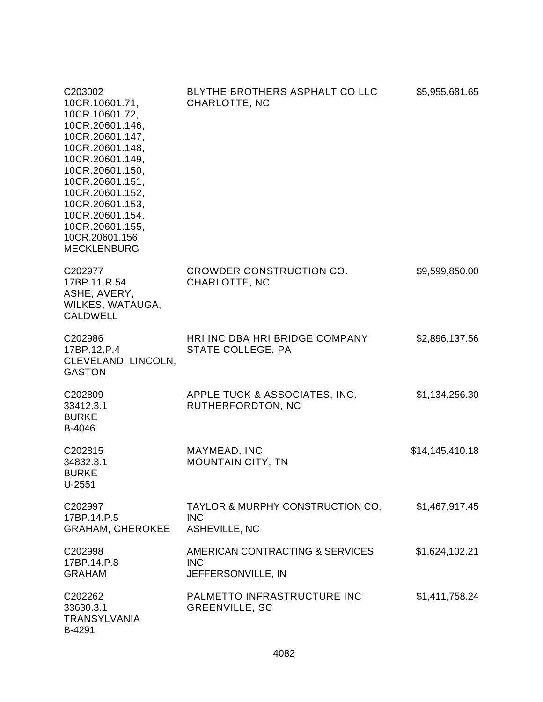| C203002<br>10CR.10601.71,<br>10CR.10601.72,<br>10CR.20601.146,<br>10CR.20601.147,<br>10CR.20601.148,<br>10CR.20601.149,<br>10CR.20601.150,<br>10CR.20601.151,<br>10CR.20601.152,<br>10CR.20601.153,<br>10CR.20601.154,<br>10CR.20601.155,<br>10CR.20601.156<br><b>MECKLENBURG</b> | BLYTHE BROTHERS ASPHALT CO LLC<br>CHARLOTTE, NC                        | \$5,955,681.65  |
|-----------------------------------------------------------------------------------------------------------------------------------------------------------------------------------------------------------------------------------------------------------------------------------|------------------------------------------------------------------------|-----------------|
| C202977<br>17BP.11.R.54<br>ASHE, AVERY,<br>WILKES, WATAUGA,<br><b>CALDWELL</b>                                                                                                                                                                                                    | CROWDER CONSTRUCTION CO.<br>CHARLOTTE, NC                              | \$9,599,850.00  |
| C202986<br>17BP.12.P.4<br>CLEVELAND, LINCOLN,<br><b>GASTON</b>                                                                                                                                                                                                                    | HRI INC DBA HRI BRIDGE COMPANY<br>STATE COLLEGE, PA                    | \$2,896,137.56  |
| C202809<br>33412.3.1<br><b>BURKE</b><br>B-4046                                                                                                                                                                                                                                    | APPLE TUCK & ASSOCIATES, INC.<br>RUTHERFORDTON, NC                     | \$1,134,256.30  |
| C202815<br>34832.3.1<br><b>BURKE</b><br>U-2551                                                                                                                                                                                                                                    | MAYMEAD, INC.<br><b>MOUNTAIN CITY, TN</b>                              | \$14,145,410.18 |
| C202997<br>17BP.14.P.5<br><b>GRAHAM, CHEROKEE</b>                                                                                                                                                                                                                                 | TAYLOR & MURPHY CONSTRUCTION CO,<br><b>INC</b><br><b>ASHEVILLE, NC</b> | \$1,467,917.45  |
| C202998<br>17BP.14.P.8<br><b>GRAHAM</b>                                                                                                                                                                                                                                           | AMERICAN CONTRACTING & SERVICES<br><b>INC</b><br>JEFFERSONVILLE, IN    | \$1,624,102.21  |
| C202262<br>33630.3.1<br><b>TRANSYLVANIA</b><br>B-4291                                                                                                                                                                                                                             | PALMETTO INFRASTRUCTURE INC<br><b>GREENVILLE, SC</b>                   | \$1,411,758.24  |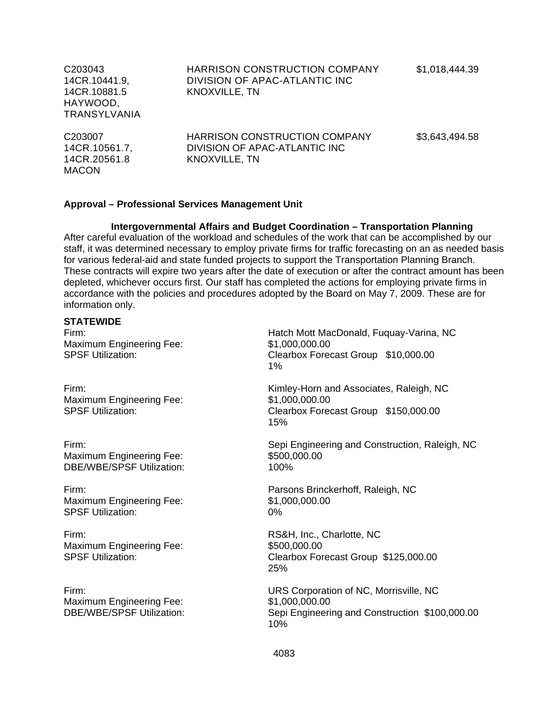| C203043<br>14CR.10441.9,<br>14CR.10881.5<br>HAYWOOD,<br><b>TRANSYLVANIA</b> | HARRISON CONSTRUCTION COMPANY<br>DIVISION OF APAC-ATLANTIC INC<br>KNOXVILLE, TN               | \$1,018,444.39 |
|-----------------------------------------------------------------------------|-----------------------------------------------------------------------------------------------|----------------|
| C203007<br>14CR.10561.7,<br>14CR.20561.8<br><b>MACON</b>                    | <b>HARRISON CONSTRUCTION COMPANY</b><br>DIVISION OF APAC-ATLANTIC INC<br><b>KNOXVILLE, TN</b> | \$3,643,494.58 |

#### **Approval – Professional Services Management Unit**

# **Intergovernmental Affairs and Budget Coordination – Transportation Planning**

After careful evaluation of the workload and schedules of the work that can be accomplished by our staff, it was determined necessary to employ private firms for traffic forecasting on an as needed basis for various federal-aid and state funded projects to support the Transportation Planning Branch. These contracts will expire two years after the date of execution or after the contract amount has been depleted, whichever occurs first. Our staff has completed the actions for employing private firms in accordance with the policies and procedures adopted by the Board on May 7, 2009. These are for information only.

### **STATEWIDE**

Maximum Engineering Fee: \$1,000,000.000

Maximum Engineering Fee: \$1,000,000.00

Maximum Engineering Fee: \$500,000.000 DBE/WBE/SPSF Utilization: 100%

Maximum Engineering Fee: \$1,000,000.00 SPSF Utilization: 0%

Firm: RS&H, Inc., Charlotte, NC Maximum Engineering Fee: \$500,000.00

Maximum Engineering Fee: \$1,000,000.00

Firm: Hatch Mott MacDonald, Fuquay-Varina, NC SPSF Utilization: Clearbox Forecast Group \$10,000.00 1%

Firm: Kimley-Horn and Associates, Raleigh, NC SPSF Utilization: Clearbox Forecast Group \$150,000.00 15%

Firm: Sepi Engineering and Construction, Raleigh, NC

Firm: Parsons Brinckerhoff, Raleigh, NC

SPSF Utilization: Clearbox Forecast Group \$125,000.00 25%

Firm: URS Corporation of NC, Morrisville, NC DBE/WBE/SPSF Utilization: Sepi Engineering and Construction \$100,000.00 10%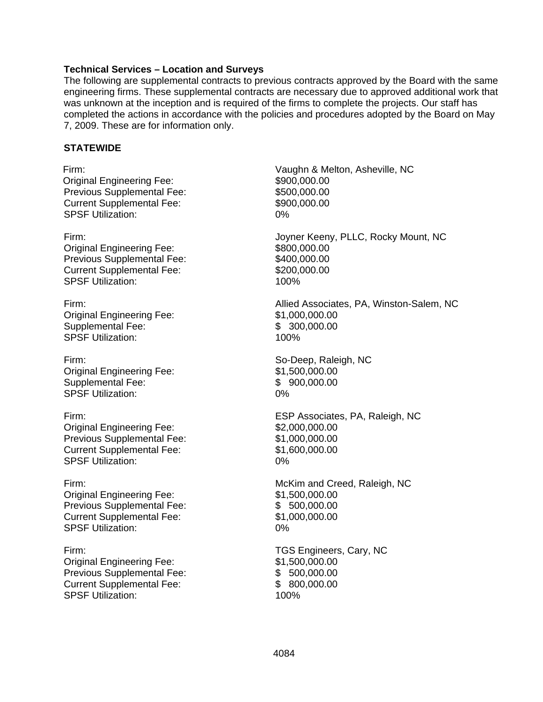### **Technical Services – Location and Surveys**

The following are supplemental contracts to previous contracts approved by the Board with the same engineering firms. These supplemental contracts are necessary due to approved additional work that was unknown at the inception and is required of the firms to complete the projects. Our staff has completed the actions in accordance with the policies and procedures adopted by the Board on May 7, 2009. These are for information only.

### **STATEWIDE**

Original Engineering Fee: \$900,000.00 Previous Supplemental Fee: Current Supplemental Fee: SPSF Utilization: 0% Original Engineering Fee: \$800,000.00

Previous Supplemental Fee: Current Supplemental Fee: SPSF Utilization: 100%

Original Engineering Fee: \$1,000,000.00 Supplemental Fee: \$ 300,000.00 SPSF Utilization: 100%

Firm: So-Deep, Raleigh, NC Original Engineering Fee: \$1,500,000.00 Supplemental Fee:  $$ 900,000.00$ SPSF Utilization: 0%

Original Engineering Fee: \$2,000,000.00 Previous Supplemental Fee: Current Supplemental Fee: SPSF Utilization: 0%

Original Engineering Fee: \$1,500,000.00 Previous Supplemental Fee: Current Supplemental Fee: SPSF Utilization:

Original Engineering Fee: \$1,500,000.00 Previous Supplemental Fee: Current Supplemental Fee: SPSF Utilization:

Firm: Vaughn & Melton, Asheville, NC \$500,000.00 \$900,000.00 Firm: Joyner Keeny, PLLC, Rocky Mount, NC \$400,000.00 \$200,000.00 Firm: Allied Associates, PA, Winston-Salem, NC Firm: ESP Associates, PA, Raleigh, NC \$1,000,000.00 \$1,600,000.00 Firm: McKim and Creed, Raleigh, NC \$ 500,000.00 \$1,000,000.00 0% Firm: TGS Engineers, Cary, NC \$ 500,000.00 \$ 800,000.00 100%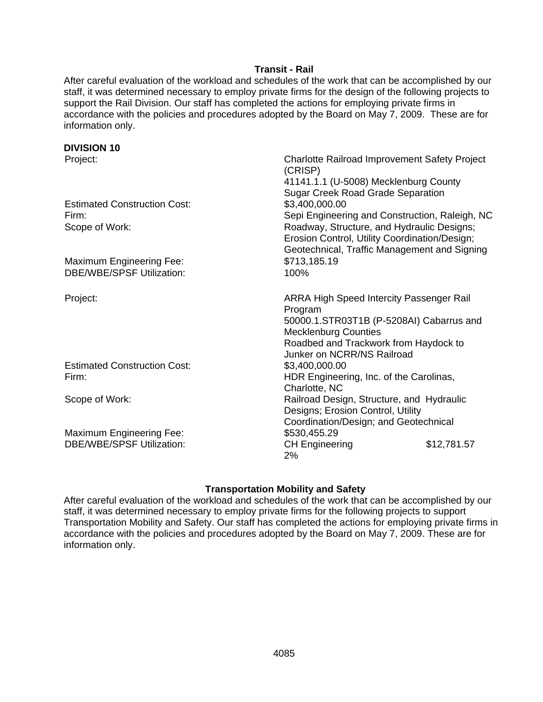## **Transit - Rail**

After careful evaluation of the workload and schedules of the work that can be accomplished by our staff, it was determined necessary to employ private firms for the design of the following projects to support the Rail Division. Our staff has completed the actions for employing private firms in accordance with the policies and procedures adopted by the Board on May 7, 2009. These are for information only.

| <b>DIVISION 10</b>                  |                                                          |
|-------------------------------------|----------------------------------------------------------|
| Project:                            | Charlotte Railroad Improvement Safety Project<br>(CRISP) |
|                                     | 41141.1.1 (U-5008) Mecklenburg County                    |
|                                     | <b>Sugar Creek Road Grade Separation</b>                 |
| <b>Estimated Construction Cost:</b> | \$3,400,000.00                                           |
| Firm:                               | Sepi Engineering and Construction, Raleigh, NC           |
| Scope of Work:                      | Roadway, Structure, and Hydraulic Designs;               |
|                                     | Erosion Control, Utility Coordination/Design;            |
|                                     | Geotechnical, Traffic Management and Signing             |
| <b>Maximum Engineering Fee:</b>     | \$713,185.19                                             |
| <b>DBE/WBE/SPSF Utilization:</b>    | 100%                                                     |
| Project:                            | <b>ARRA High Speed Intercity Passenger Rail</b>          |
|                                     | Program                                                  |
|                                     | 50000.1.STR03T1B (P-5208AI) Cabarrus and                 |
|                                     | <b>Mecklenburg Counties</b>                              |
|                                     | Roadbed and Trackwork from Haydock to                    |
|                                     | Junker on NCRR/NS Railroad                               |
| <b>Estimated Construction Cost:</b> | \$3,400,000.00                                           |
| Firm:                               | HDR Engineering, Inc. of the Carolinas,                  |
|                                     | Charlotte, NC                                            |
| Scope of Work:                      | Railroad Design, Structure, and Hydraulic                |
|                                     | Designs; Erosion Control, Utility                        |
|                                     | Coordination/Design; and Geotechnical                    |
| <b>Maximum Engineering Fee:</b>     | \$530,455.29                                             |
| <b>DBE/WBE/SPSF Utilization:</b>    | \$12,781.57<br><b>CH Engineering</b><br>2%               |

## **Transportation Mobility and Safety**

After careful evaluation of the workload and schedules of the work that can be accomplished by our staff, it was determined necessary to employ private firms for the following projects to support Transportation Mobility and Safety. Our staff has completed the actions for employing private firms in accordance with the policies and procedures adopted by the Board on May 7, 2009. These are for information only.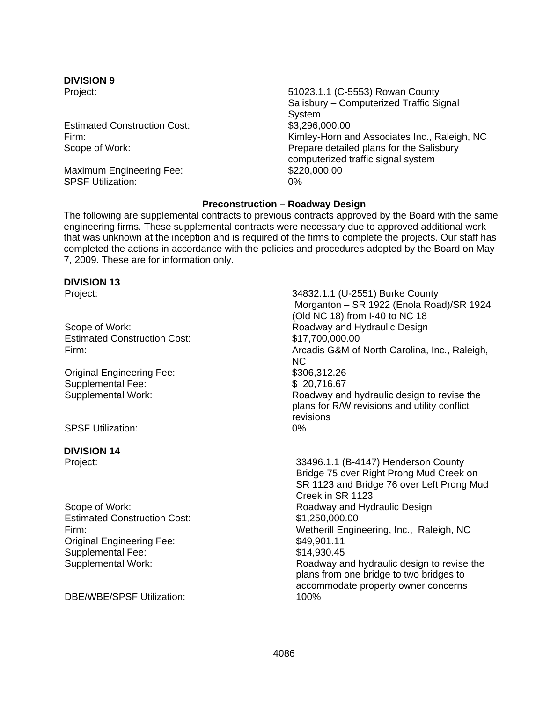# **DIVISION 9**

Estimated Construction Cost: \$3,296,000.00

Maximum Engineering Fee: \$220,000.00<br>SPSF Utilization: 0% SPSF Utilization:

Project: 51023.1.1 (C-5553) Rowan County Salisbury – Computerized Traffic Signal System Firm: Kimley-Horn and Associates Inc., Raleigh, NC Scope of Work: Prepare detailed plans for the Salisbury computerized traffic signal system

## **Preconstruction – Roadway Design**

The following are supplemental contracts to previous contracts approved by the Board with the same engineering firms. These supplemental contracts were necessary due to approved additional work that was unknown at the inception and is required of the firms to complete the projects. Our staff has completed the actions in accordance with the policies and procedures adopted by the Board on May 7, 2009. These are for information only.

| <b>DIVISION 13</b>                        |                                                                                                                                                 |
|-------------------------------------------|-------------------------------------------------------------------------------------------------------------------------------------------------|
| Project:                                  | 34832.1.1 (U-2551) Burke County<br>Morganton - SR 1922 (Enola Road)/SR 1924<br>(Old NC 18) from I-40 to NC 18                                   |
| Scope of Work:                            | Roadway and Hydraulic Design                                                                                                                    |
| <b>Estimated Construction Cost:</b>       | \$17,700,000.00                                                                                                                                 |
| Firm:                                     | Arcadis G&M of North Carolina, Inc., Raleigh,<br><b>NC</b>                                                                                      |
| <b>Original Engineering Fee:</b>          | \$306,312.26                                                                                                                                    |
| <b>Supplemental Fee:</b>                  | \$20,716.67                                                                                                                                     |
| <b>Supplemental Work:</b>                 | Roadway and hydraulic design to revise the<br>plans for R/W revisions and utility conflict<br>revisions                                         |
| <b>SPSF Utilization:</b>                  | 0%                                                                                                                                              |
| <b>DIVISION 14</b>                        |                                                                                                                                                 |
| Project:                                  | 33496.1.1 (B-4147) Henderson County<br>Bridge 75 over Right Prong Mud Creek on<br>SR 1123 and Bridge 76 over Left Prong Mud<br>Creek in SR 1123 |
| Scope of Work:                            | Roadway and Hydraulic Design                                                                                                                    |
| <b>Estimated Construction Cost:</b>       | \$1,250,000.00                                                                                                                                  |
| Firm:<br><b>Original Engineering Fee:</b> | Wetherill Engineering, Inc., Raleigh, NC<br>\$49,901.11                                                                                         |
| Supplemental Fee:                         | \$14,930.45                                                                                                                                     |
| <b>Supplemental Work:</b>                 | Roadway and hydraulic design to revise the<br>plans from one bridge to two bridges to<br>accommodate property owner concerns                    |
| <b>DBE/WBE/SPSF Utilization:</b>          | 100%                                                                                                                                            |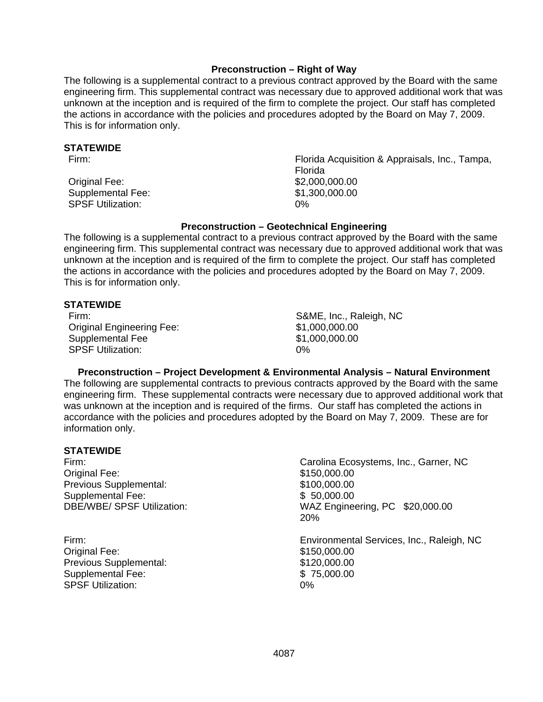### **Preconstruction – Right of Way**

The following is a supplemental contract to a previous contract approved by the Board with the same engineering firm. This supplemental contract was necessary due to approved additional work that was unknown at the inception and is required of the firm to complete the project. Our staff has completed the actions in accordance with the policies and procedures adopted by the Board on May 7, 2009. This is for information only.

### **STATEWIDE**

Original Fee: \$2,000,000.00 Supplemental Fee:  $$1,300,000.00$ SPSF Utilization: 0%

Firm: Florida Acquisition & Appraisals, Inc., Tampa, Florida

## **Preconstruction – Geotechnical Engineering**

The following is a supplemental contract to a previous contract approved by the Board with the same engineering firm. This supplemental contract was necessary due to approved additional work that was unknown at the inception and is required of the firm to complete the project. Our staff has completed the actions in accordance with the policies and procedures adopted by the Board on May 7, 2009. This is for information only.

### **STATEWIDE**

Original Engineering Fee: \$1,000,000.00 Supplemental Fee  $$1,000,000.00$ SPSF Utilization: 0%

Firm: S&ME, Inc., Raleigh, NC

## **Preconstruction – Project Development & Environmental Analysis – Natural Environment**

The following are supplemental contracts to previous contracts approved by the Board with the same engineering firm. These supplemental contracts were necessary due to approved additional work that was unknown at the inception and is required of the firms. Our staff has completed the actions in accordance with the policies and procedures adopted by the Board on May 7, 2009. These are for information only.

### **STATEWIDE**

Original Fee: Previous Supplemental: Supplemental Fee: DBE/WBE/ SPSF Utilization:

Original Fee: Previous Supplemental: Supplemental Fee: SPSF Utilization:

Firm: Carolina Ecosystems, Inc., Garner, NC \$150,000.00 \$100,000.00 \$ 50,000.00 WAZ Engineering, PC \$20,000.00 20%

Firm: Environmental Services, Inc., Raleigh, NC \$150,000.00 \$120,000.00 \$75,000.00<br>0%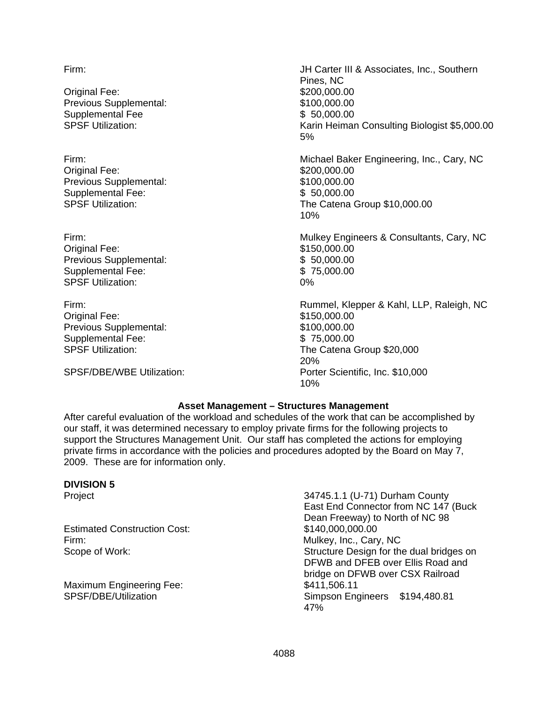Original Fee: Previous Supplemental: Supplemental Fee SPSF Utilization:

Original Fee: Previous Supplemental: Supplemental Fee:

Original Fee: Previous Supplemental: Supplemental Fee: SPSF Utilization: 0%

Original Fee: Previous Supplemental: Supplemental Fee: SPSF Utilization:

SPSF/DBE/WBE Utilization:

Firm: JH Carter III & Associates, Inc., Southern Pines, NC \$200,000.00 \$100,000.00 \$ 50,000.00 Karin Heiman Consulting Biologist \$5,000.00 5%

Firm: Michael Baker Engineering, Inc., Cary, NC \$200,000.00 \$100,000.00 \$ 50,000.00 SPSF Utilization: The Catena Group \$10,000.00 10%

Firm: Mulkey Engineers & Consultants, Cary, NC \$150,000.00 \$ 50,000.00 \$ 75,000.00

Firm: Rummel, Klepper & Kahl, LLP, Raleigh, NC \$150,000.00 \$100,000.00 \$ 75,000.00 The Catena Group \$20,000 20% Porter Scientific, Inc. \$10,000 10%

### **Asset Management – Structures Management**

After careful evaluation of the workload and schedules of the work that can be accomplished by our staff, it was determined necessary to employ private firms for the following projects to support the Structures Management Unit. Our staff has completed the actions for employing private firms in accordance with the policies and procedures adopted by the Board on May 7, 2009. These are for information only.

### **DIVISION 5**

Estimated Construction Cost: \$140,000,000.00 Firm: Mulkey, Inc., Cary, NC

Maximum Engineering Fee:  $$411,506.11$ <br>SPSF/DBE/Utilization SPSF/DBE/Utilization

Project 34745.1.1 (U-71) Durham County East End Connector from NC 147 (Buck Dean Freeway) to North of NC 98 Scope of Work: Scope of Work: Structure Design for the dual bridges on DFWB and DFEB over Ellis Road and bridge on DFWB over CSX Railroad Simpson Engineers \$194,480.81 47%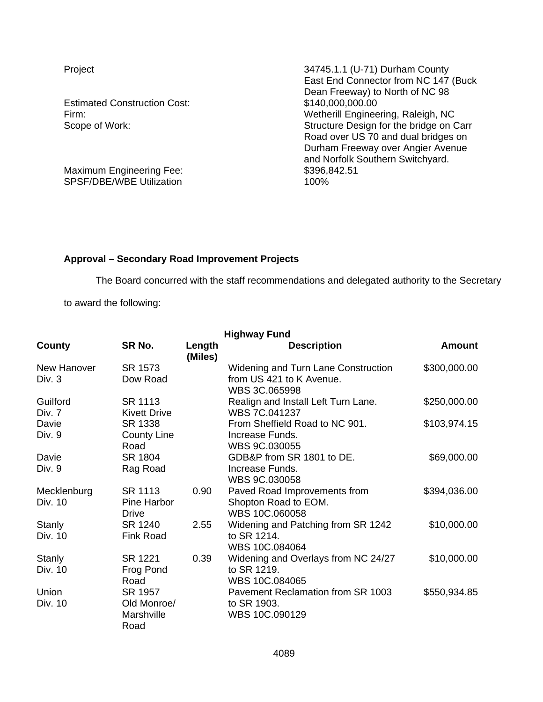**Estimated Construction Cost:** 

Maximum Engineering Fee: \$396,842.51<br>SPSF/DBE/WBE Utilization \$400% 100% SPSF/DBE/WBE Utilization

Project 24745.1.1 (U-71) Durham County East End Connector from NC 147 (Buck Dean Freeway) to North of NC 98<br>\$140,000,000.00 Firm: Wetherill Engineering, Raleigh, NC Scope of Work: Scope of Work: Structure Design for the bridge on Carr Road over US 70 and dual bridges on Durham Freeway over Angier Avenue and Norfolk Southern Switchyard.

## **Approval – Secondary Road Improvement Projects**

The Board concurred with the staff recommendations and delegated authority to the Secretary

to award the following:

| <b>Highway Fund</b>     |                                              |                   |                                                                                         |              |  |
|-------------------------|----------------------------------------------|-------------------|-----------------------------------------------------------------------------------------|--------------|--|
| County                  | SR No.                                       | Length<br>(Miles) | <b>Description</b>                                                                      | Amount       |  |
| New Hanover<br>Div. $3$ | SR 1573<br>Dow Road                          |                   | <b>Widening and Turn Lane Construction</b><br>from US 421 to K Avenue.<br>WBS 3C.065998 | \$300,000.00 |  |
| Guilford<br>Div. 7      | SR 1113<br><b>Kivett Drive</b>               |                   | Realign and Install Left Turn Lane.<br>WBS 7C.041237                                    | \$250,000.00 |  |
| Davie<br>Div. 9         | SR 1338<br><b>County Line</b><br>Road        |                   | From Sheffield Road to NC 901.<br>Increase Funds.<br>WBS 9C.030055                      | \$103,974.15 |  |
| Davie<br>Div. 9         | SR 1804<br>Rag Road                          |                   | GDB&P from SR 1801 to DE.<br>Increase Funds.<br>WBS 9C.030058                           | \$69,000.00  |  |
| Mecklenburg<br>Div. 10  | SR 1113<br>Pine Harbor<br>Drive              | 0.90              | Paved Road Improvements from<br>Shopton Road to EOM.<br>WBS 10C.060058                  | \$394,036.00 |  |
| Stanly<br>Div. 10       | SR 1240<br><b>Fink Road</b>                  | 2.55              | Widening and Patching from SR 1242<br>to SR 1214.<br>WBS 10C.084064                     | \$10,000.00  |  |
| Stanly<br>Div. 10       | SR 1221<br>Frog Pond<br>Road                 | 0.39              | Widening and Overlays from NC 24/27<br>to SR 1219.<br>WBS 10C.084065                    | \$10,000.00  |  |
| Union<br>Div. 10        | SR 1957<br>Old Monroe/<br>Marshville<br>Road |                   | Pavement Reclamation from SR 1003<br>to SR 1903.<br>WBS 10C.090129                      | \$550,934.85 |  |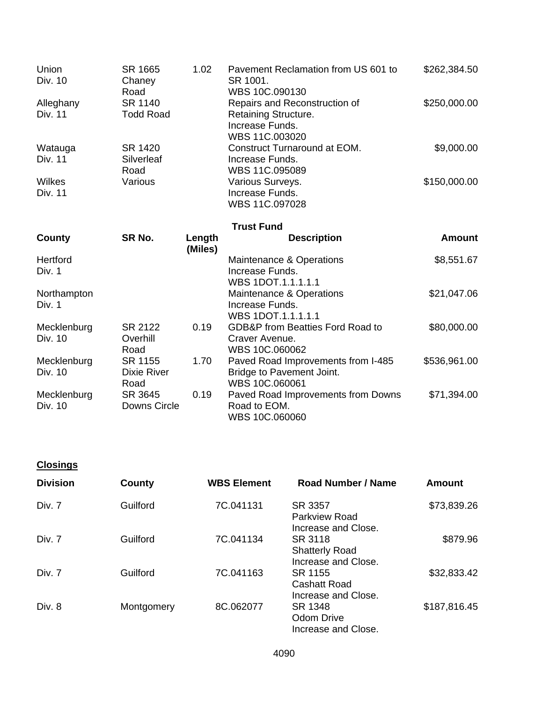| Union<br>Div. 10       | SR 1665<br>Chaney<br>Road             | 1.02              | Pavement Reclamation from US 601 to<br>SR 1001.<br>WBS 10C.090130                          | \$262,384.50  |
|------------------------|---------------------------------------|-------------------|--------------------------------------------------------------------------------------------|---------------|
| Alleghany<br>Div. 11   | SR 1140<br><b>Todd Road</b>           |                   | Repairs and Reconstruction of<br>Retaining Structure.<br>Increase Funds.<br>WBS 11C.003020 | \$250,000.00  |
| Watauga<br>Div. 11     | SR 1420<br>Silverleaf<br>Road         |                   | Construct Turnaround at EOM.<br>Increase Funds.<br>WBS 11C.095089                          | \$9,000.00    |
| Wilkes<br>Div. 11      | Various                               |                   | Various Surveys.<br>Increase Funds.<br>WBS 11C.097028                                      | \$150,000.00  |
|                        |                                       |                   | <b>Trust Fund</b>                                                                          |               |
| County                 | SR No.                                | Length<br>(Miles) | <b>Description</b>                                                                         | <b>Amount</b> |
| Hertford<br>Div. 1     |                                       |                   | Maintenance & Operations<br>Increase Funds.<br>WBS 1DOT.1.1.1.1.1                          | \$8,551.67    |
| Northampton<br>Div. 1  |                                       |                   | Maintenance & Operations<br>Increase Funds.<br>WBS 1DOT.1.1.1.1.1                          | \$21,047.06   |
| Mecklenburg<br>Div. 10 | SR 2122<br>Overhill<br>Road           | 0.19              | <b>GDB&amp;P</b> from Beatties Ford Road to<br>Craver Avenue.<br>WBS 10C.060062            | \$80,000.00   |
| Mecklenburg<br>Div. 10 | SR 1155<br><b>Dixie River</b><br>Road | 1.70              | Paved Road Improvements from I-485<br>Bridge to Pavement Joint.<br>WBS 10C.060061          | \$536,961.00  |
| Mecklenburg<br>Div. 10 | SR 3645<br>Downs Circle               | 0.19              | Paved Road Improvements from Downs<br>Road to EOM.<br>WBS 10C.060060                       | \$71,394.00   |

**Closings** 

| <b>Division</b> | County     | <b>WBS Element</b> | Road Number / Name                                      | <b>Amount</b> |
|-----------------|------------|--------------------|---------------------------------------------------------|---------------|
| Div. 7          | Guilford   | 7C.041131          | SR 3357<br><b>Parkview Road</b><br>Increase and Close.  | \$73,839.26   |
| Div. 7          | Guilford   | 7C.041134          | SR 3118<br><b>Shatterly Road</b><br>Increase and Close. | \$879.96      |
| Div. 7          | Guilford   | 7C.041163          | SR 1155<br><b>Cashatt Road</b><br>Increase and Close.   | \$32,833.42   |
| Div. 8          | Montgomery | 8C.062077          | SR 1348<br>Odom Drive<br>Increase and Close.            | \$187,816.45  |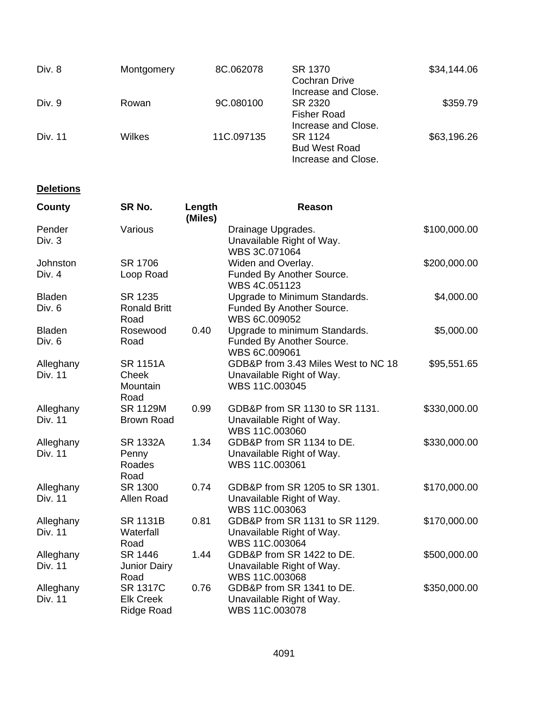| Div. 8  | Montgomery | 8C.062078  | SR 1370<br><b>Cochran Drive</b>                                               | \$34,144.06 |
|---------|------------|------------|-------------------------------------------------------------------------------|-------------|
| Div. 9  | Rowan      | 9C.080100  | Increase and Close.<br>SR 2320<br><b>Fisher Road</b>                          | \$359.79    |
| Div. 11 | Wilkes     | 11C.097135 | Increase and Close.<br>SR 1124<br><b>Bud West Road</b><br>Increase and Close. | \$63,196.26 |

# **Deletions**

| County                      | SR No.                                                   | Length<br>(Miles) | <b>Reason</b>                                                                      |              |
|-----------------------------|----------------------------------------------------------|-------------------|------------------------------------------------------------------------------------|--------------|
| Pender<br>Div. 3            | Various                                                  |                   | Drainage Upgrades.<br>Unavailable Right of Way.<br>WBS 3C.071064                   | \$100,000.00 |
| Johnston<br>Div. 4          | SR 1706<br>Loop Road                                     |                   | Widen and Overlay.<br>Funded By Another Source.<br>WBS 4C.051123                   | \$200,000.00 |
| <b>Bladen</b><br>Div. 6     | SR 1235<br><b>Ronald Britt</b><br>Road                   |                   | Upgrade to Minimum Standards.<br>Funded By Another Source.<br>WBS 6C.009052        | \$4,000.00   |
| <b>Bladen</b><br>Div. 6     | Rosewood<br>Road                                         | 0.40              | Upgrade to minimum Standards.<br>Funded By Another Source.<br>WBS 6C.009061        | \$5,000.00   |
| Alleghany<br><b>Div. 11</b> | <b>SR 1151A</b><br>Cheek<br>Mountain<br>Road             |                   | GDB&P from 3.43 Miles West to NC 18<br>Unavailable Right of Way.<br>WBS 11C.003045 | \$95,551.65  |
| Alleghany<br><b>Div. 11</b> | <b>SR 1129M</b><br><b>Brown Road</b>                     | 0.99              | GDB&P from SR 1130 to SR 1131.<br>Unavailable Right of Way.<br>WBS 11C.003060      | \$330,000.00 |
| Alleghany<br><b>Div. 11</b> | <b>SR 1332A</b><br>Penny<br>Roades<br>Road               | 1.34              | GDB&P from SR 1134 to DE.<br>Unavailable Right of Way.<br>WBS 11C.003061           | \$330,000.00 |
| Alleghany<br>Div. 11        | SR 1300<br>Allen Road                                    | 0.74              | GDB&P from SR 1205 to SR 1301.<br>Unavailable Right of Way.<br>WBS 11C.003063      | \$170,000.00 |
| Alleghany<br>Div. 11        | <b>SR 1131B</b><br>Waterfall<br>Road                     | 0.81              | GDB&P from SR 1131 to SR 1129.<br>Unavailable Right of Way.<br>WBS 11C.003064      | \$170,000.00 |
| Alleghany<br>Div. 11        | SR 1446<br><b>Junior Dairy</b><br>Road                   | 1.44              | GDB&P from SR 1422 to DE.<br>Unavailable Right of Way.<br>WBS 11C.003068           | \$500,000.00 |
| Alleghany<br><b>Div. 11</b> | <b>SR 1317C</b><br><b>Elk Creek</b><br><b>Ridge Road</b> | 0.76              | GDB&P from SR 1341 to DE.<br>Unavailable Right of Way.<br>WBS 11C.003078           | \$350,000.00 |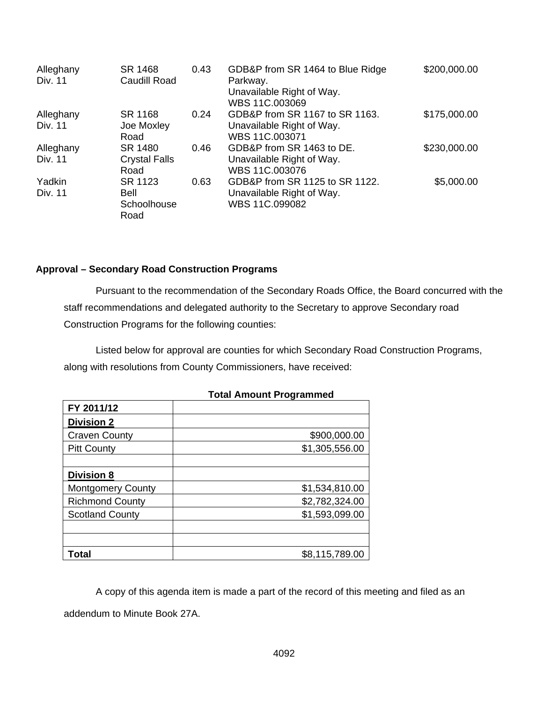| Alleghany<br><b>Div. 11</b> | SR 1468<br>Caudill Road | 0.43 | GDB&P from SR 1464 to Blue Ridge<br>Parkway.<br>Unavailable Right of Way.<br>WBS 11C.003069 | \$200,000.00 |
|-----------------------------|-------------------------|------|---------------------------------------------------------------------------------------------|--------------|
| Alleghany                   | SR 1168                 | 0.24 | GDB&P from SR 1167 to SR 1163.                                                              | \$175,000.00 |
| Div. 11                     | Joe Moxley              |      | Unavailable Right of Way.                                                                   |              |
|                             | Road                    |      | WBS 11C.003071                                                                              |              |
| Alleghany                   | SR 1480                 | 0.46 | GDB&P from SR 1463 to DE.                                                                   | \$230,000.00 |
| Div. 11                     | <b>Crystal Falls</b>    |      | Unavailable Right of Way.                                                                   |              |
|                             | Road                    |      | WBS 11C.003076                                                                              |              |
| Yadkin                      | SR 1123                 | 0.63 | GDB&P from SR 1125 to SR 1122.                                                              | \$5,000.00   |
| Div. 11                     | Bell                    |      | Unavailable Right of Way.                                                                   |              |
|                             | Schoolhouse             |      | WBS 11C.099082                                                                              |              |
|                             | Road                    |      |                                                                                             |              |

### **Approval – Secondary Road Construction Programs**

 Pursuant to the recommendation of the Secondary Roads Office, the Board concurred with the staff recommendations and delegated authority to the Secretary to approve Secondary road Construction Programs for the following counties:

Listed below for approval are counties for which Secondary Road Construction Programs, along with resolutions from County Commissioners, have received:

|                          | TULAI AIIIUUIIL FTUYFAIIIIIIGU |
|--------------------------|--------------------------------|
| FY 2011/12               |                                |
| <b>Division 2</b>        |                                |
| <b>Craven County</b>     | \$900,000.00                   |
| <b>Pitt County</b>       | \$1,305,556.00                 |
|                          |                                |
| <b>Division 8</b>        |                                |
| <b>Montgomery County</b> | \$1,534,810.00                 |
| <b>Richmond County</b>   | \$2,782,324.00                 |
| <b>Scotland County</b>   | \$1,593,099.00                 |
|                          |                                |
|                          |                                |
| Total                    | \$8,115,789.00                 |

#### **Total Amount Programmed**

A copy of this agenda item is made a part of the record of this meeting and filed as an addendum to Minute Book 27A.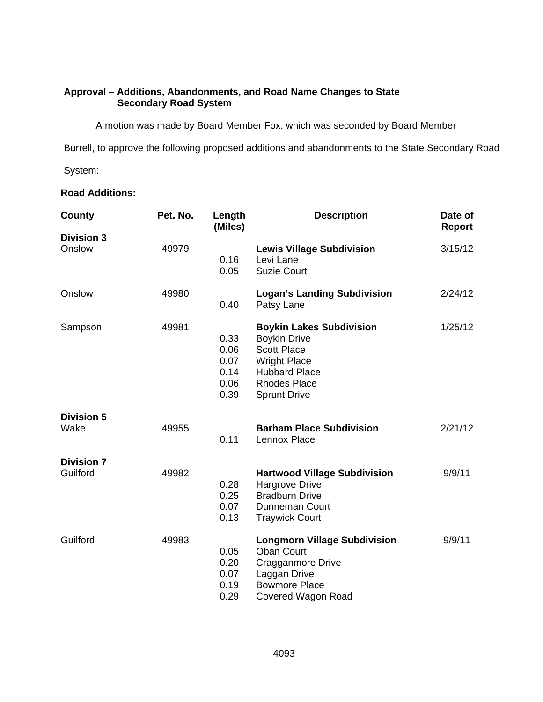## **Approval – Additions, Abandonments, and Road Name Changes to State Secondary Road System**

A motion was made by Board Member Fox, which was seconded by Board Member

Burrell, to approve the following proposed additions and abandonments to the State Secondary Road

System:

# **Road Additions:**

| County                        | Pet. No. | Length<br>(Miles)                            | <b>Description</b>                                                                                                                                                        | Date of<br>Report |
|-------------------------------|----------|----------------------------------------------|---------------------------------------------------------------------------------------------------------------------------------------------------------------------------|-------------------|
| <b>Division 3</b><br>Onslow   | 49979    | 0.16<br>0.05                                 | <b>Lewis Village Subdivision</b><br>Levi Lane<br><b>Suzie Court</b>                                                                                                       | 3/15/12           |
| Onslow                        | 49980    | 0.40                                         | <b>Logan's Landing Subdivision</b><br>Patsy Lane                                                                                                                          | 2/24/12           |
| Sampson                       | 49981    | 0.33<br>0.06<br>0.07<br>0.14<br>0.06<br>0.39 | <b>Boykin Lakes Subdivision</b><br><b>Boykin Drive</b><br><b>Scott Place</b><br><b>Wright Place</b><br><b>Hubbard Place</b><br><b>Rhodes Place</b><br><b>Sprunt Drive</b> | 1/25/12           |
| <b>Division 5</b><br>Wake     | 49955    | 0.11                                         | <b>Barham Place Subdivision</b><br>Lennox Place                                                                                                                           | 2/21/12           |
| <b>Division 7</b><br>Guilford | 49982    | 0.28<br>0.25<br>0.07<br>0.13                 | <b>Hartwood Village Subdivision</b><br>Hargrove Drive<br><b>Bradburn Drive</b><br><b>Dunneman Court</b><br><b>Traywick Court</b>                                          | 9/9/11            |
| Guilford                      | 49983    | 0.05<br>0.20<br>0.07<br>0.19<br>0.29         | <b>Longmorn Village Subdivision</b><br><b>Oban Court</b><br>Cragganmore Drive<br>Laggan Drive<br><b>Bowmore Place</b><br>Covered Wagon Road                               | 9/9/11            |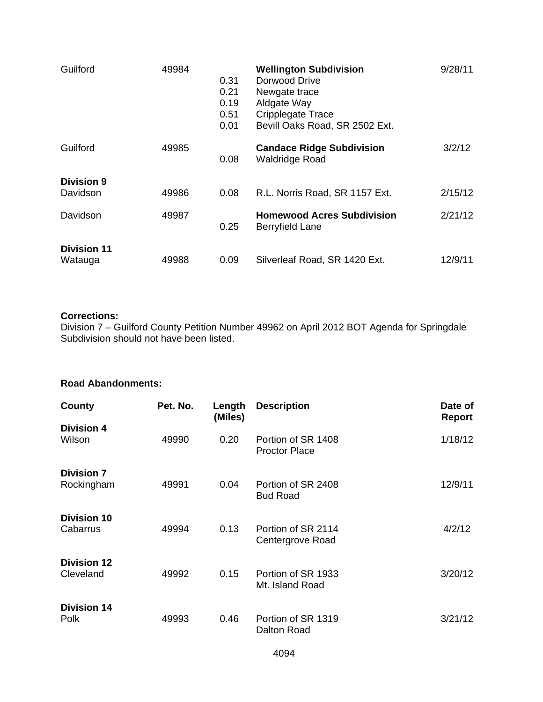| Guilford                      | 49984 | 0.31<br>0.21<br>0.19<br>0.51<br>0.01 | <b>Wellington Subdivision</b><br>Dorwood Drive<br>Newgate trace<br>Aldgate Way<br>Cripplegate Trace<br>Bevill Oaks Road, SR 2502 Ext. | 9/28/11 |
|-------------------------------|-------|--------------------------------------|---------------------------------------------------------------------------------------------------------------------------------------|---------|
| Guilford                      | 49985 | 0.08                                 | <b>Candace Ridge Subdivision</b><br><b>Waldridge Road</b>                                                                             | 3/2/12  |
| <b>Division 9</b><br>Davidson | 49986 | 0.08                                 | R.L. Norris Road, SR 1157 Ext.                                                                                                        | 2/15/12 |
| Davidson                      | 49987 | 0.25                                 | <b>Homewood Acres Subdivision</b><br>Berryfield Lane                                                                                  | 2/21/12 |
| <b>Division 11</b><br>Watauga | 49988 | 0.09                                 | Silverleaf Road, SR 1420 Ext.                                                                                                         | 12/9/11 |

## **Corrections:**

Division 7 – Guilford County Petition Number 49962 on April 2012 BOT Agenda for Springdale Subdivision should not have been listed.

# **Road Abandonments:**

| County                          | Pet. No. | Length<br>(Miles) | <b>Description</b>                         | Date of<br>Report |
|---------------------------------|----------|-------------------|--------------------------------------------|-------------------|
| <b>Division 4</b><br>Wilson     | 49990    | 0.20              | Portion of SR 1408<br><b>Proctor Place</b> | 1/18/12           |
| <b>Division 7</b><br>Rockingham | 49991    | 0.04              | Portion of SR 2408<br><b>Bud Road</b>      | 12/9/11           |
| <b>Division 10</b><br>Cabarrus  | 49994    | 0.13              | Portion of SR 2114<br>Centergrove Road     | 4/2/12            |
| <b>Division 12</b><br>Cleveland | 49992    | 0.15              | Portion of SR 1933<br>Mt. Island Road      | 3/20/12           |
| <b>Division 14</b><br>Polk      | 49993    | 0.46              | Portion of SR 1319<br>Dalton Road          | 3/21/12           |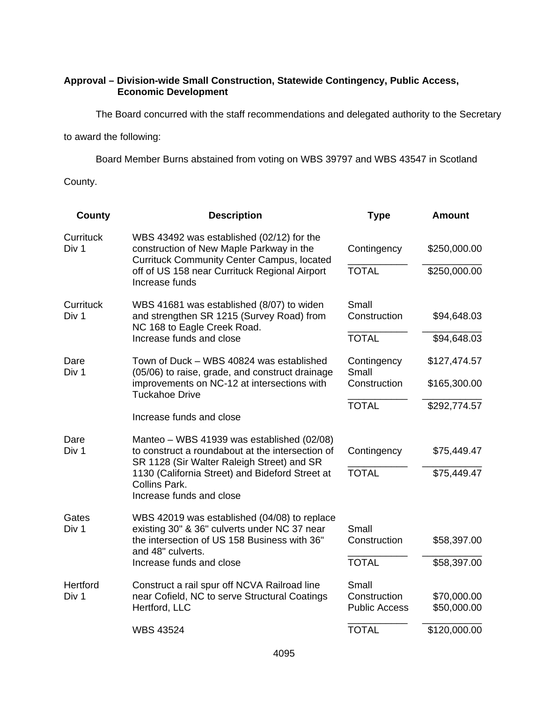## **Approval – Division-wide Small Construction, Statewide Contingency, Public Access, Economic Development**

The Board concurred with the staff recommendations and delegated authority to the Secretary

to award the following:

Board Member Burns abstained from voting on WBS 39797 and WBS 43547 in Scotland

County.

| <b>County</b>      | <b>Description</b>                                                                                                                           | <b>Type</b>                          | <b>Amount</b>              |
|--------------------|----------------------------------------------------------------------------------------------------------------------------------------------|--------------------------------------|----------------------------|
| Currituck<br>Div 1 | WBS 43492 was established (02/12) for the<br>construction of New Maple Parkway in the<br><b>Currituck Community Center Campus, located</b>   | Contingency                          | \$250,000.00               |
|                    | off of US 158 near Currituck Regional Airport<br>Increase funds                                                                              | <b>TOTAL</b>                         | \$250,000.00               |
| Currituck<br>Div 1 | WBS 41681 was established (8/07) to widen<br>and strengthen SR 1215 (Survey Road) from<br>NC 168 to Eagle Creek Road.                        | Small<br>Construction                | \$94,648.03                |
|                    | Increase funds and close                                                                                                                     | <b>TOTAL</b>                         | \$94,648.03                |
| Dare<br>Div 1      | Town of Duck - WBS 40824 was established<br>(05/06) to raise, grade, and construct drainage                                                  | Contingency<br>Small                 | \$127,474.57               |
|                    | improvements on NC-12 at intersections with<br><b>Tuckahoe Drive</b>                                                                         | Construction                         | \$165,300.00               |
|                    |                                                                                                                                              | <b>TOTAL</b>                         | \$292,774.57               |
|                    | Increase funds and close                                                                                                                     |                                      |                            |
| Dare<br>Div 1      | Manteo – WBS 41939 was established (02/08)<br>to construct a roundabout at the intersection of<br>SR 1128 (Sir Walter Raleigh Street) and SR | Contingency                          | \$75,449.47                |
|                    | 1130 (California Street) and Bideford Street at<br>Collins Park.<br>Increase funds and close                                                 | <b>TOTAL</b>                         | \$75,449.47                |
| Gates<br>Div 1     | WBS 42019 was established (04/08) to replace<br>existing 30" & 36" culverts under NC 37 near                                                 | Small                                |                            |
|                    | the intersection of US 158 Business with 36"<br>and 48" culverts.                                                                            | Construction                         | \$58,397.00                |
|                    | Increase funds and close                                                                                                                     | <b>TOTAL</b>                         | \$58,397.00                |
| Hertford           | Construct a rail spur off NCVA Railroad line                                                                                                 | Small                                |                            |
| Div 1              | near Cofield, NC to serve Structural Coatings<br>Hertford, LLC                                                                               | Construction<br><b>Public Access</b> | \$70,000.00<br>\$50,000.00 |
|                    | <b>WBS 43524</b>                                                                                                                             | <b>TOTAL</b>                         | \$120,000.00               |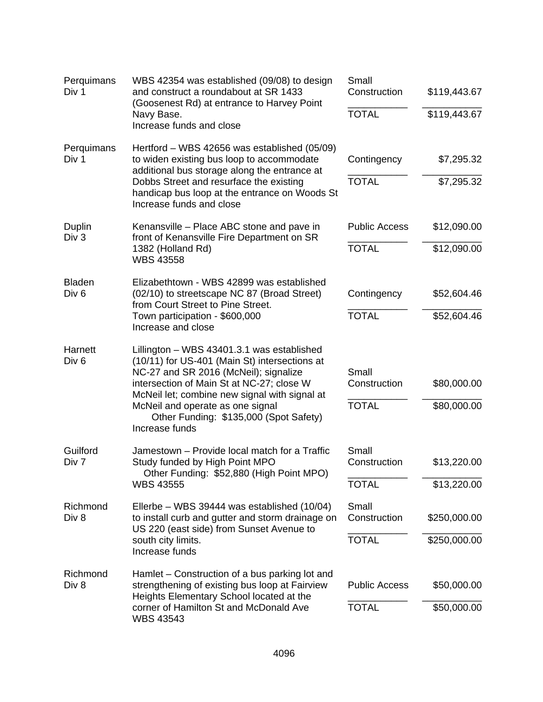| Perquimans<br>Div 1                                                                                                                           | WBS 42354 was established (09/08) to design<br>and construct a roundabout at SR 1433                                                                                                  | Small<br>Construction | \$119,443.67 |
|-----------------------------------------------------------------------------------------------------------------------------------------------|---------------------------------------------------------------------------------------------------------------------------------------------------------------------------------------|-----------------------|--------------|
|                                                                                                                                               | (Goosenest Rd) at entrance to Harvey Point<br>Navy Base.<br>Increase funds and close                                                                                                  | <b>TOTAL</b>          | \$119,443.67 |
| Perquimans<br>Div 1                                                                                                                           | Hertford – WBS 42656 was established (05/09)<br>to widen existing bus loop to accommodate<br>additional bus storage along the entrance at                                             | Contingency           | \$7,295.32   |
|                                                                                                                                               | Dobbs Street and resurface the existing<br>handicap bus loop at the entrance on Woods St<br>Increase funds and close                                                                  | <b>TOTAL</b>          | \$7,295.32   |
| Duplin<br>Div 3                                                                                                                               | Kenansville – Place ABC stone and pave in<br>front of Kenansville Fire Department on SR                                                                                               | <b>Public Access</b>  | \$12,090.00  |
|                                                                                                                                               | 1382 (Holland Rd)<br><b>WBS 43558</b>                                                                                                                                                 | <b>TOTAL</b>          | \$12,090.00  |
| <b>Bladen</b><br>Div <sub>6</sub>                                                                                                             | Elizabethtown - WBS 42899 was established<br>(02/10) to streetscape NC 87 (Broad Street)<br>from Court Street to Pine Street.<br>Town participation - \$600,000<br>Increase and close | Contingency           | \$52,604.46  |
|                                                                                                                                               |                                                                                                                                                                                       | <b>TOTAL</b>          | \$52,604.46  |
| Harnett<br>Div <sub>6</sub>                                                                                                                   | Lillington - WBS 43401.3.1 was established<br>(10/11) for US-401 (Main St) intersections at<br>NC-27 and SR 2016 (McNeil); signalize<br>intersection of Main St at NC-27; close W     |                       |              |
|                                                                                                                                               |                                                                                                                                                                                       | Small<br>Construction | \$80,000.00  |
| McNeil let; combine new signal with signal at<br>McNeil and operate as one signal<br>Other Funding: \$135,000 (Spot Safety)<br>Increase funds |                                                                                                                                                                                       | <b>TOTAL</b>          | \$80,000.00  |
| Guilford<br>Div 7                                                                                                                             | Jamestown - Provide local match for a Traffic<br>Study funded by High Point MPO<br>Other Funding: \$52,880 (High Point MPO)<br><b>WBS 43555</b>                                       | Small<br>Construction | \$13,220.00  |
|                                                                                                                                               |                                                                                                                                                                                       | <b>TOTAL</b>          | \$13,220.00  |
| Richmond<br>Div 8                                                                                                                             | Ellerbe – WBS 39444 was established (10/04)<br>to install curb and gutter and storm drainage on<br>US 220 (east side) from Sunset Avenue to                                           | Small<br>Construction | \$250,000.00 |
|                                                                                                                                               | south city limits.<br>Increase funds                                                                                                                                                  | <b>TOTAL</b>          | \$250,000.00 |
| Richmond<br>Div 8                                                                                                                             | Hamlet – Construction of a bus parking lot and<br>strengthening of existing bus loop at Fairview                                                                                      | <b>Public Access</b>  | \$50,000.00  |
|                                                                                                                                               | Heights Elementary School located at the<br>corner of Hamilton St and McDonald Ave<br><b>WBS 43543</b>                                                                                | <b>TOTAL</b>          | \$50,000.00  |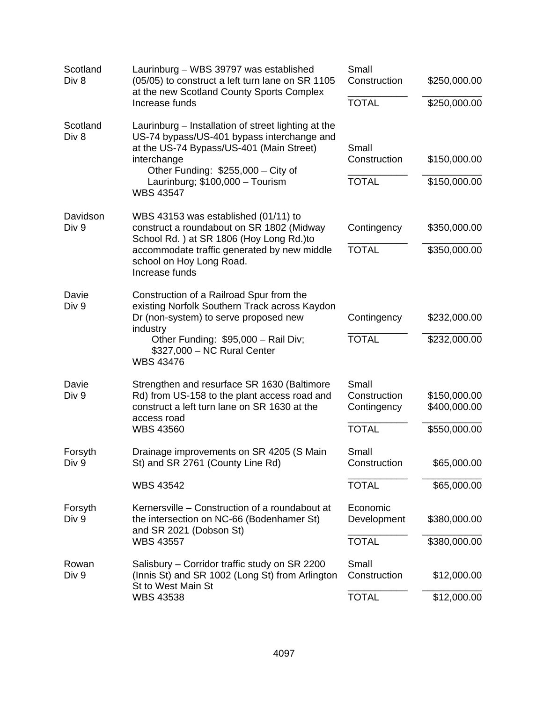| Scotland<br>Div 8 | Laurinburg - WBS 39797 was established<br>(05/05) to construct a left turn lane on SR 1105<br>at the new Scotland County Sports Complex                                                                                                                   | Small<br>Construction                                | \$250,000.00                                 |
|-------------------|-----------------------------------------------------------------------------------------------------------------------------------------------------------------------------------------------------------------------------------------------------------|------------------------------------------------------|----------------------------------------------|
|                   | Increase funds                                                                                                                                                                                                                                            | <b>TOTAL</b>                                         | \$250,000.00                                 |
| Scotland<br>Div 8 | Laurinburg – Installation of street lighting at the<br>US-74 bypass/US-401 bypass interchange and<br>at the US-74 Bypass/US-401 (Main Street)<br>interchange<br>Other Funding: \$255,000 - City of<br>Laurinburg; \$100,000 - Tourism<br><b>WBS 43547</b> | Small<br>Construction<br><b>TOTAL</b>                | \$150,000.00<br>\$150,000.00                 |
| Davidson<br>Div 9 | WBS 43153 was established (01/11) to<br>construct a roundabout on SR 1802 (Midway<br>School Rd.) at SR 1806 (Hoy Long Rd.)to<br>accommodate traffic generated by new middle                                                                               | Contingency<br><b>TOTAL</b>                          | \$350,000.00<br>\$350,000.00                 |
|                   | school on Hoy Long Road.<br>Increase funds                                                                                                                                                                                                                |                                                      |                                              |
| Davie<br>Div 9    | Construction of a Railroad Spur from the<br>existing Norfolk Southern Track across Kaydon<br>Dr (non-system) to serve proposed new<br>industry                                                                                                            | Contingency                                          | \$232,000.00                                 |
|                   | Other Funding: \$95,000 - Rail Div;<br>\$327,000 - NC Rural Center<br><b>WBS 43476</b>                                                                                                                                                                    | <b>TOTAL</b>                                         | \$232,000.00                                 |
| Davie<br>Div 9    | Strengthen and resurface SR 1630 (Baltimore<br>Rd) from US-158 to the plant access road and<br>construct a left turn lane on SR 1630 at the<br>access road<br><b>WBS 43560</b>                                                                            | Small<br>Construction<br>Contingency<br><b>TOTAL</b> | \$150,000.00<br>\$400,000.00<br>\$550,000.00 |
| Forsyth<br>Div 9  | Drainage improvements on SR 4205 (S Main<br>St) and SR 2761 (County Line Rd)                                                                                                                                                                              | Small<br>Construction                                | \$65,000.00                                  |
|                   | <b>WBS 43542</b>                                                                                                                                                                                                                                          | <b>TOTAL</b>                                         | \$65,000.00                                  |
| Forsyth<br>Div 9  | Kernersville - Construction of a roundabout at<br>the intersection on NC-66 (Bodenhamer St)<br>and SR 2021 (Dobson St)                                                                                                                                    | Economic<br>Development                              | \$380,000.00                                 |
|                   | <b>WBS 43557</b>                                                                                                                                                                                                                                          | <b>TOTAL</b>                                         | \$380,000.00                                 |
| Rowan<br>Div 9    | Salisbury – Corridor traffic study on SR 2200<br>(Innis St) and SR 1002 (Long St) from Arlington<br>St to West Main St                                                                                                                                    | Small<br>Construction                                | \$12,000.00                                  |
|                   | <b>WBS 43538</b>                                                                                                                                                                                                                                          | <b>TOTAL</b>                                         | \$12,000.00                                  |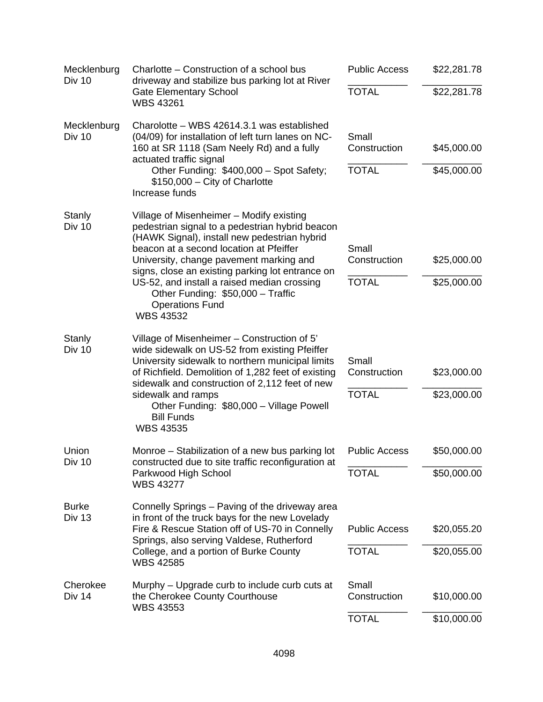| Mecklenburg<br><b>Div 10</b>  | Charlotte – Construction of a school bus<br>driveway and stabilize bus parking lot at River                                                                                                                                                                                                                                                                         | <b>Public Access</b>                  | \$22,281.78                |
|-------------------------------|---------------------------------------------------------------------------------------------------------------------------------------------------------------------------------------------------------------------------------------------------------------------------------------------------------------------------------------------------------------------|---------------------------------------|----------------------------|
|                               | <b>Gate Elementary School</b><br><b>WBS 43261</b>                                                                                                                                                                                                                                                                                                                   | <b>TOTAL</b>                          | \$22,281.78                |
| Mecklenburg<br>Div 10         | Charolotte - WBS 42614.3.1 was established<br>(04/09) for installation of left turn lanes on NC-<br>160 at SR 1118 (Sam Neely Rd) and a fully<br>actuated traffic signal                                                                                                                                                                                            | Small<br>Construction<br><b>TOTAL</b> | \$45,000.00                |
|                               | Other Funding: \$400,000 - Spot Safety;<br>$$150,000 - City$ of Charlotte<br>Increase funds                                                                                                                                                                                                                                                                         |                                       | \$45,000.00                |
| Stanly<br><b>Div 10</b>       | Village of Misenheimer - Modify existing<br>pedestrian signal to a pedestrian hybrid beacon<br>(HAWK Signal), install new pedestrian hybrid<br>beacon at a second location at Pfeiffer                                                                                                                                                                              | Small<br>Construction                 |                            |
|                               | University, change pavement marking and<br>signs, close an existing parking lot entrance on<br>US-52, and install a raised median crossing<br>Other Funding: \$50,000 - Traffic<br><b>Operations Fund</b><br><b>WBS 43532</b>                                                                                                                                       | <b>TOTAL</b>                          | \$25,000.00<br>\$25,000.00 |
| Stanly<br><b>Div 10</b>       | Village of Misenheimer – Construction of 5'<br>wide sidewalk on US-52 from existing Pfeiffer<br>University sidewalk to northern municipal limits<br>of Richfield. Demolition of 1,282 feet of existing<br>sidewalk and construction of 2,112 feet of new<br>sidewalk and ramps<br>Other Funding: \$80,000 - Village Powell<br><b>Bill Funds</b><br><b>WBS 43535</b> | Small<br>Construction                 | \$23,000.00                |
|                               |                                                                                                                                                                                                                                                                                                                                                                     | <b>TOTAL</b>                          | \$23,000.00                |
| Union<br>Div 10               | Monroe – Stabilization of a new bus parking lot<br>constructed due to site traffic reconfiguration at                                                                                                                                                                                                                                                               | <b>Public Access</b>                  | \$50,000.00                |
|                               | Parkwood High School<br><b>WBS 43277</b>                                                                                                                                                                                                                                                                                                                            | <b>TOTAL</b>                          | \$50,000.00                |
| <b>Burke</b><br><b>Div 13</b> | Connelly Springs - Paving of the driveway area<br>in front of the truck bays for the new Lovelady                                                                                                                                                                                                                                                                   |                                       |                            |
|                               | Fire & Rescue Station off of US-70 in Connelly<br>Springs, also serving Valdese, Rutherford                                                                                                                                                                                                                                                                         | <b>Public Access</b>                  | \$20,055.20                |
|                               | College, and a portion of Burke County<br><b>WBS 42585</b>                                                                                                                                                                                                                                                                                                          | <b>TOTAL</b>                          | \$20,055.00                |
| Cherokee<br>Div 14            | Murphy – Upgrade curb to include curb cuts at<br>the Cherokee County Courthouse<br><b>WBS 43553</b>                                                                                                                                                                                                                                                                 | Small<br>Construction                 | \$10,000.00                |
|                               |                                                                                                                                                                                                                                                                                                                                                                     | <b>TOTAL</b>                          | \$10,000.00                |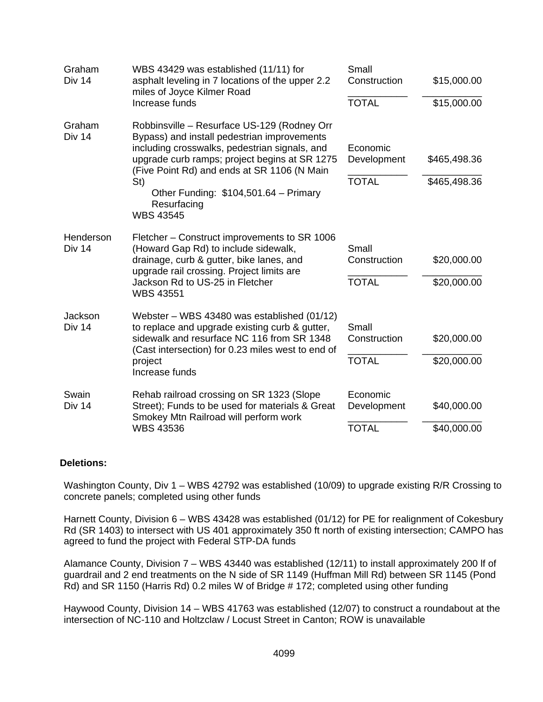| WBS 43429 was established (11/11) for<br>asphalt leveling in 7 locations of the upper 2.2<br>miles of Joyce Kilmer Road<br>Increase funds                                                                                                                                                                                      | Small<br>Construction<br><b>TOTAL</b>   | \$15,000.00<br>\$15,000.00   |
|--------------------------------------------------------------------------------------------------------------------------------------------------------------------------------------------------------------------------------------------------------------------------------------------------------------------------------|-----------------------------------------|------------------------------|
| Robbinsville - Resurface US-129 (Rodney Orr<br>Bypass) and install pedestrian improvements<br>including crosswalks, pedestrian signals, and<br>upgrade curb ramps; project begins at SR 1275<br>(Five Point Rd) and ends at SR 1106 (N Main<br>St)<br>Other Funding: \$104,501.64 - Primary<br>Resurfacing<br><b>WBS 43545</b> | Economic<br>Development<br><b>TOTAL</b> | \$465,498.36<br>\$465,498.36 |
| Fletcher – Construct improvements to SR 1006<br>(Howard Gap Rd) to include sidewalk,<br>drainage, curb & gutter, bike lanes, and<br>upgrade rail crossing. Project limits are<br>Jackson Rd to US-25 in Fletcher<br><b>WBS 43551</b>                                                                                           | Small<br>Construction<br><b>TOTAL</b>   | \$20,000.00<br>\$20,000.00   |
| Webster - WBS 43480 was established (01/12)<br>to replace and upgrade existing curb & gutter,<br>sidewalk and resurface NC 116 from SR 1348<br>(Cast intersection) for 0.23 miles west to end of<br>project<br>Increase funds                                                                                                  | Small<br>Construction<br><b>TOTAL</b>   | \$20,000.00<br>\$20,000.00   |
| Rehab railroad crossing on SR 1323 (Slope<br>Street); Funds to be used for materials & Great<br>Smokey Mtn Railroad will perform work                                                                                                                                                                                          | Economic<br>Development                 | \$40,000.00<br>\$40,000.00   |
|                                                                                                                                                                                                                                                                                                                                | <b>WBS 43536</b>                        | <b>TOTAL</b>                 |

### **Deletions:**

Washington County, Div 1 – WBS 42792 was established (10/09) to upgrade existing R/R Crossing to concrete panels; completed using other funds

Harnett County, Division 6 – WBS 43428 was established (01/12) for PE for realignment of Cokesbury Rd (SR 1403) to intersect with US 401 approximately 350 ft north of existing intersection; CAMPO has agreed to fund the project with Federal STP-DA funds

Alamance County, Division 7 – WBS 43440 was established (12/11) to install approximately 200 lf of guardrail and 2 end treatments on the N side of SR 1149 (Huffman Mill Rd) between SR 1145 (Pond Rd) and SR 1150 (Harris Rd) 0.2 miles W of Bridge # 172; completed using other funding

Haywood County, Division 14 – WBS 41763 was established (12/07) to construct a roundabout at the intersection of NC-110 and Holtzclaw / Locust Street in Canton; ROW is unavailable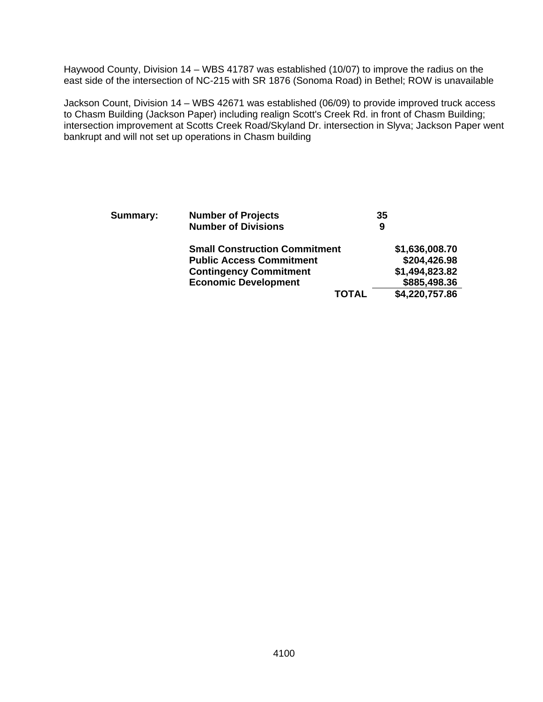Haywood County, Division 14 – WBS 41787 was established (10/07) to improve the radius on the east side of the intersection of NC-215 with SR 1876 (Sonoma Road) in Bethel; ROW is unavailable

Jackson Count, Division 14 – WBS 42671 was established (06/09) to provide improved truck access to Chasm Building (Jackson Paper) including realign Scott's Creek Rd. in front of Chasm Building; intersection improvement at Scotts Creek Road/Skyland Dr. intersection in Slyva; Jackson Paper went bankrupt and will not set up operations in Chasm building

| <b>Summary:</b> | <b>Number of Projects</b>            | 35 |                |
|-----------------|--------------------------------------|----|----------------|
|                 | <b>Number of Divisions</b>           | 9  |                |
|                 | <b>Small Construction Commitment</b> |    | \$1,636,008.70 |
|                 | <b>Public Access Commitment</b>      |    | \$204,426.98   |
|                 | <b>Contingency Commitment</b>        |    | \$1,494,823.82 |
|                 | <b>Economic Development</b>          |    | \$885,498.36   |
|                 | <b>TOTAL</b>                         |    | \$4,220,757.86 |
|                 |                                      |    |                |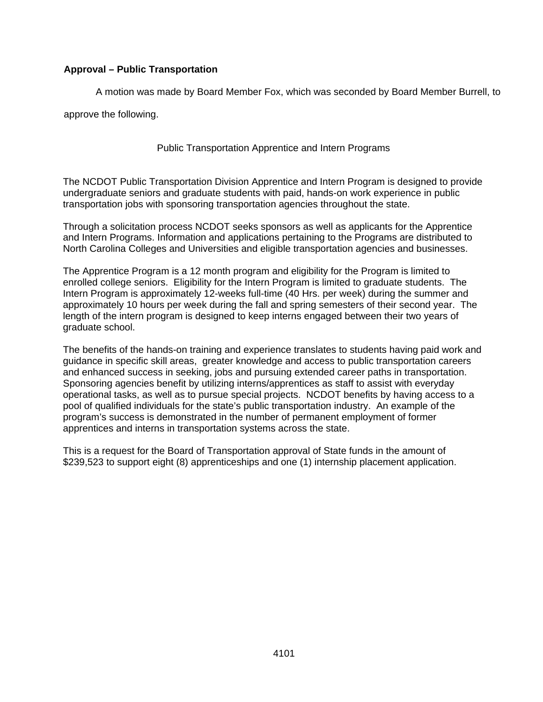## **Approval – Public Transportation**

A motion was made by Board Member Fox, which was seconded by Board Member Burrell, to

approve the following.

Public Transportation Apprentice and Intern Programs

The NCDOT Public Transportation Division Apprentice and Intern Program is designed to provide undergraduate seniors and graduate students with paid, hands-on work experience in public transportation jobs with sponsoring transportation agencies throughout the state.

Through a solicitation process NCDOT seeks sponsors as well as applicants for the Apprentice and Intern Programs. Information and applications pertaining to the Programs are distributed to North Carolina Colleges and Universities and eligible transportation agencies and businesses.

The Apprentice Program is a 12 month program and eligibility for the Program is limited to enrolled college seniors. Eligibility for the Intern Program is limited to graduate students. The Intern Program is approximately 12-weeks full-time (40 Hrs. per week) during the summer and approximately 10 hours per week during the fall and spring semesters of their second year. The length of the intern program is designed to keep interns engaged between their two years of graduate school.

The benefits of the hands-on training and experience translates to students having paid work and guidance in specific skill areas, greater knowledge and access to public transportation careers and enhanced success in seeking, jobs and pursuing extended career paths in transportation. Sponsoring agencies benefit by utilizing interns/apprentices as staff to assist with everyday operational tasks, as well as to pursue special projects. NCDOT benefits by having access to a pool of qualified individuals for the state's public transportation industry. An example of the program's success is demonstrated in the number of permanent employment of former apprentices and interns in transportation systems across the state.

This is a request for the Board of Transportation approval of State funds in the amount of \$239,523 to support eight (8) apprenticeships and one (1) internship placement application.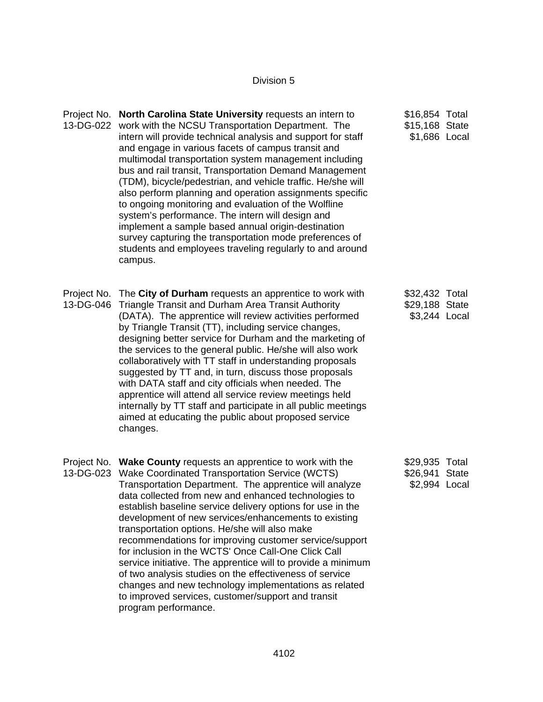# Division 5

|           | Project No. North Carolina State University requests an intern to<br>13-DG-022 work with the NCSU Transportation Department. The<br>intern will provide technical analysis and support for staff<br>and engage in various facets of campus transit and<br>multimodal transportation system management including<br>bus and rail transit, Transportation Demand Management<br>(TDM), bicycle/pedestrian, and vehicle traffic. He/she will<br>also perform planning and operation assignments specific<br>to ongoing monitoring and evaluation of the Wolfline<br>system's performance. The intern will design and<br>implement a sample based annual origin-destination                                                                                                                                  | \$16,854 Total<br>\$15,168 State<br>\$1,686 Local |  |
|-----------|---------------------------------------------------------------------------------------------------------------------------------------------------------------------------------------------------------------------------------------------------------------------------------------------------------------------------------------------------------------------------------------------------------------------------------------------------------------------------------------------------------------------------------------------------------------------------------------------------------------------------------------------------------------------------------------------------------------------------------------------------------------------------------------------------------|---------------------------------------------------|--|
|           | survey capturing the transportation mode preferences of<br>students and employees traveling regularly to and around<br>campus.                                                                                                                                                                                                                                                                                                                                                                                                                                                                                                                                                                                                                                                                          |                                                   |  |
| 13-DG-046 | Project No. The City of Durham requests an apprentice to work with<br>Triangle Transit and Durham Area Transit Authority<br>(DATA). The apprentice will review activities performed<br>by Triangle Transit (TT), including service changes,<br>designing better service for Durham and the marketing of<br>the services to the general public. He/she will also work<br>collaboratively with TT staff in understanding proposals<br>suggested by TT and, in turn, discuss those proposals<br>with DATA staff and city officials when needed. The<br>apprentice will attend all service review meetings held<br>internally by TT staff and participate in all public meetings<br>aimed at educating the public about proposed service<br>changes.                                                        | \$32,432 Total<br>\$29,188 State<br>\$3,244 Local |  |
|           | Project No. Wake County requests an apprentice to work with the<br>13-DG-023 Wake Coordinated Transportation Service (WCTS)<br>Transportation Department. The apprentice will analyze<br>data collected from new and enhanced technologies to<br>establish baseline service delivery options for use in the<br>development of new services/enhancements to existing<br>transportation options. He/she will also make<br>recommendations for improving customer service/support<br>for inclusion in the WCTS' Once Call-One Click Call<br>service initiative. The apprentice will to provide a minimum<br>of two analysis studies on the effectiveness of service<br>changes and new technology implementations as related<br>to improved services, customer/support and transit<br>program performance. | \$29,935 Total<br>\$26,941 State<br>\$2,994 Local |  |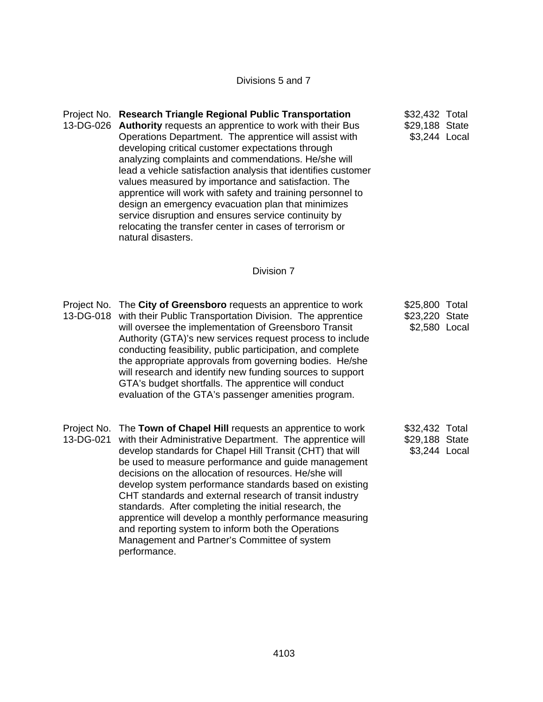Divisions 5 and 7

Project No. **Research Triangle Regional Public Transportation**  13-DG-026 **Authority** requests an apprentice to work with their Bus Operations Department. The apprentice will assist with developing critical customer expectations through analyzing complaints and commendations. He/she will lead a vehicle satisfaction analysis that identifies customer values measured by importance and satisfaction. The apprentice will work with safety and training personnel to design an emergency evacuation plan that minimizes service disruption and ensures service continuity by relocating the transfer center in cases of terrorism or natural disasters. \$32,432 Total \$29,188 State \$3,244 Local

#### Division 7

Project No. The **City of Greensboro** requests an apprentice to work 13-DG-018 with their Public Transportation Division. The apprentice will oversee the implementation of Greensboro Transit Authority (GTA)'s new services request process to include conducting feasibility, public participation, and complete the appropriate approvals from governing bodies. He/she will research and identify new funding sources to support GTA's budget shortfalls. The apprentice will conduct evaluation of the GTA's passenger amenities program. \$25,800 Total \$23,220 State \$2,580 Local Project No. The **Town of Chapel Hill** requests an apprentice to work 13-DG-021 with their Administrative Department. The apprentice will develop standards for Chapel Hill Transit (CHT) that will be used to measure performance and guide management decisions on the allocation of resources. He/she will \$32,432 Total \$29,188 State \$3,244 Local

> develop system performance standards based on existing CHT standards and external research of transit industry standards. After completing the initial research, the apprentice will develop a monthly performance measuring

and reporting system to inform both the Operations Management and Partner's Committee of system

performance.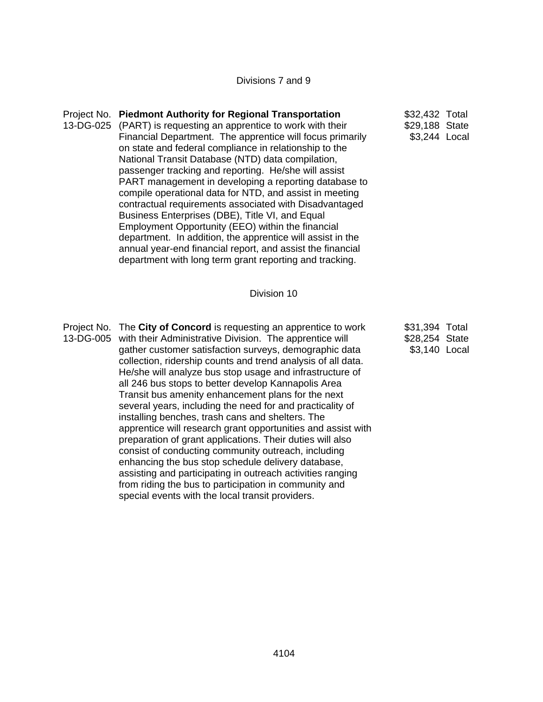Divisions 7 and 9

| Project No. Piedmont Authority for Regional Transportation      | \$32,432 Total |  |
|-----------------------------------------------------------------|----------------|--|
| 13-DG-025 (PART) is requesting an apprentice to work with their | \$29,188 State |  |
| Financial Department. The apprentice will focus primarily       | \$3,244 Local  |  |
| on state and federal compliance in relationship to the          |                |  |
| National Transit Database (NTD) data compilation,               |                |  |
| passenger tracking and reporting. He/she will assist            |                |  |
| PART management in developing a reporting database to           |                |  |
| compile operational data for NTD, and assist in meeting         |                |  |
| contractual requirements associated with Disadvantaged          |                |  |
| Business Enterprises (DBE), Title VI, and Equal                 |                |  |
| Employment Opportunity (EEO) within the financial               |                |  |
| department. In addition, the apprentice will assist in the      |                |  |
| annual year-end financial report, and assist the financial      |                |  |
| department with long term grant reporting and tracking.         |                |  |

#### Division 10

Project No. The **City of Concord** is requesting an apprentice to work 13-DG-005 with their Administrative Division. The apprentice will gather customer satisfaction surveys, demographic data collection, ridership counts and trend analysis of all data. He/she will analyze bus stop usage and infrastructure of all 246 bus stops to better develop Kannapolis Area Transit bus amenity enhancement plans for the next several years, including the need for and practicality of installing benches, trash cans and shelters. The apprentice will research grant opportunities and assist with preparation of grant applications. Their duties will also consist of conducting community outreach, including enhancing the bus stop schedule delivery database, assisting and participating in outreach activities ranging from riding the bus to participation in community and special events with the local transit providers. \$31,394 Total \$28,254 State \$3,140 Local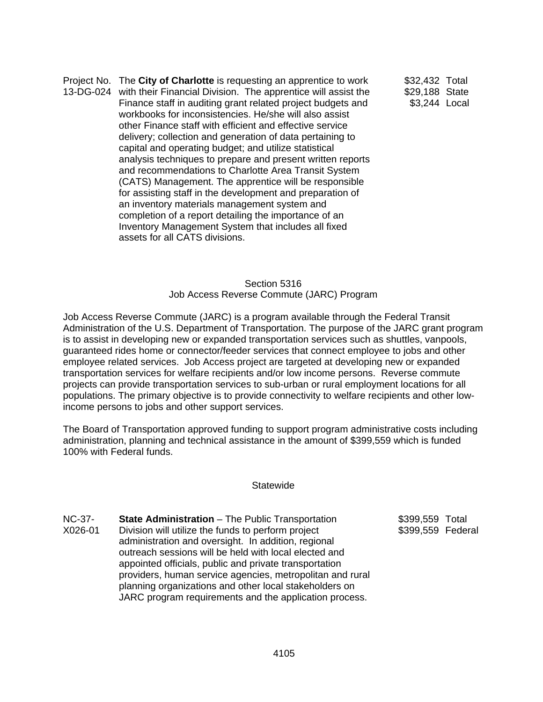Project No. The **City of Charlotte** is requesting an apprentice to work 13-DG-024 with their Financial Division. The apprentice will assist the Finance staff in auditing grant related project budgets and workbooks for inconsistencies. He/she will also assist other Finance staff with efficient and effective service delivery; collection and generation of data pertaining to capital and operating budget; and utilize statistical analysis techniques to prepare and present written reports and recommendations to Charlotte Area Transit System (CATS) Management. The apprentice will be responsible for assisting staff in the development and preparation of an inventory materials management system and completion of a report detailing the importance of an Inventory Management System that includes all fixed assets for all CATS divisions. \$32,432 Total

\$29,188 State \$3,244 Local

### Section 5316 Job Access Reverse Commute (JARC) Program

Job Access Reverse Commute (JARC) is a program available through the Federal Transit Administration of the U.S. Department of Transportation. The purpose of the JARC grant program is to assist in developing new or expanded transportation services such as shuttles, vanpools, guaranteed rides home or connector/feeder services that connect employee to jobs and other employee related services. Job Access project are targeted at developing new or expanded transportation services for welfare recipients and/or low income persons. Reverse commute projects can provide transportation services to sub-urban or rural employment locations for all populations. The primary objective is to provide connectivity to welfare recipients and other lowincome persons to jobs and other support services.

The Board of Transportation approved funding to support program administrative costs including administration, planning and technical assistance in the amount of \$399,559 which is funded 100% with Federal funds.

### **Statewide**

NC-37- X026-01 **State Administration** – The Public Transportation Division will utilize the funds to perform project administration and oversight. In addition, regional outreach sessions will be held with local elected and appointed officials, public and private transportation providers, human service agencies, metropolitan and rural planning organizations and other local stakeholders on JARC program requirements and the application process.

\$399,559 Total \$399,559 Federal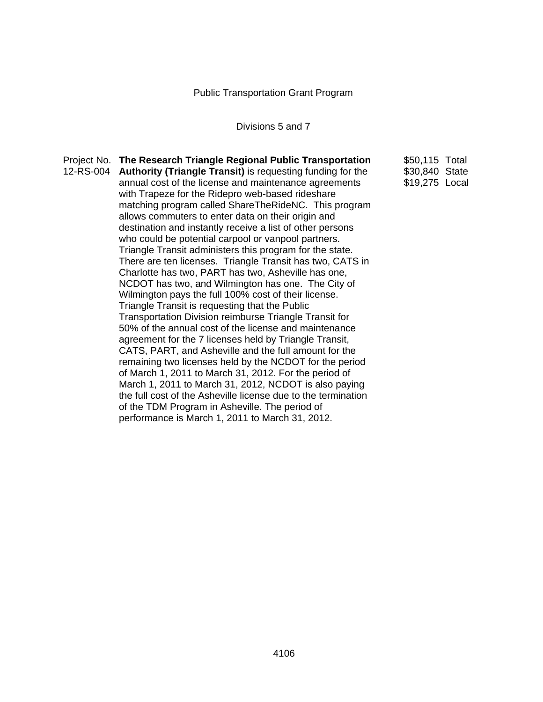Public Transportation Grant Program

# Divisions 5 and 7

| Project No. The Research Triangle Regional Public Transportation     | \$50,115 Total |  |
|----------------------------------------------------------------------|----------------|--|
| 12-RS-004 Authority (Triangle Transit) is requesting funding for the | \$30,840 State |  |
| annual cost of the license and maintenance agreements                | \$19,275 Local |  |
| with Trapeze for the Ridepro web-based rideshare                     |                |  |
| matching program called ShareTheRideNC. This program                 |                |  |
| allows commuters to enter data on their origin and                   |                |  |
| destination and instantly receive a list of other persons            |                |  |
| who could be potential carpool or vanpool partners.                  |                |  |
| Triangle Transit administers this program for the state.             |                |  |
| There are ten licenses. Triangle Transit has two, CATS in            |                |  |
| Charlotte has two, PART has two, Asheville has one,                  |                |  |
| NCDOT has two, and Wilmington has one. The City of                   |                |  |
| Wilmington pays the full 100% cost of their license.                 |                |  |
| Triangle Transit is requesting that the Public                       |                |  |
| Transportation Division reimburse Triangle Transit for               |                |  |
| 50% of the annual cost of the license and maintenance                |                |  |
| agreement for the 7 licenses held by Triangle Transit,               |                |  |
| CATS, PART, and Asheville and the full amount for the                |                |  |
| remaining two licenses held by the NCDOT for the period              |                |  |
| of March 1, 2011 to March 31, 2012. For the period of                |                |  |
| March 1, 2011 to March 31, 2012, NCDOT is also paying                |                |  |
| the full cost of the Asheville license due to the termination        |                |  |
| of the TDM Program in Asheville. The period of                       |                |  |
| performance is March 1, 2011 to March 31, 2012.                      |                |  |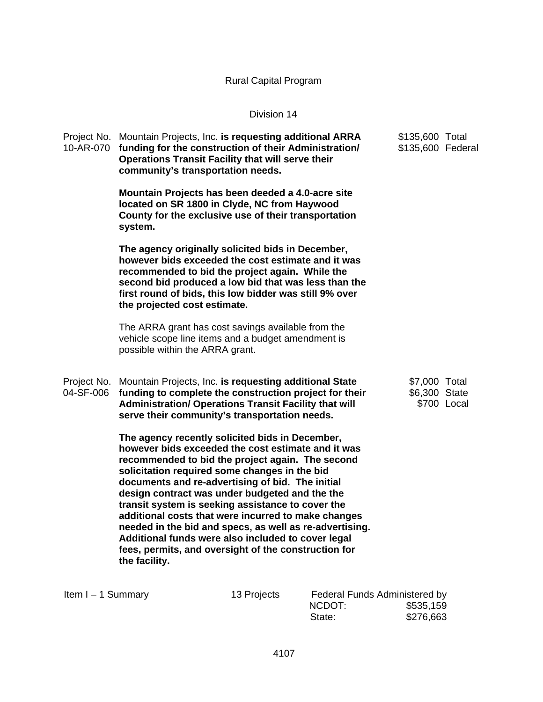# Rural Capital Program

### Division 14

| Project No.<br>10-AR-070 | Mountain Projects, Inc. is requesting additional ARRA<br>funding for the construction of their Administration/<br><b>Operations Transit Facility that will serve their</b><br>community's transportation needs.                                                                                                                                                                                                                                                                                                                                                                                                        | \$135,600 Total<br>\$135,600 Federal |             |
|--------------------------|------------------------------------------------------------------------------------------------------------------------------------------------------------------------------------------------------------------------------------------------------------------------------------------------------------------------------------------------------------------------------------------------------------------------------------------------------------------------------------------------------------------------------------------------------------------------------------------------------------------------|--------------------------------------|-------------|
|                          | Mountain Projects has been deeded a 4.0-acre site<br>located on SR 1800 in Clyde, NC from Haywood<br>County for the exclusive use of their transportation<br>system.                                                                                                                                                                                                                                                                                                                                                                                                                                                   |                                      |             |
|                          | The agency originally solicited bids in December,<br>however bids exceeded the cost estimate and it was<br>recommended to bid the project again. While the<br>second bid produced a low bid that was less than the<br>first round of bids, this low bidder was still 9% over<br>the projected cost estimate.                                                                                                                                                                                                                                                                                                           |                                      |             |
|                          | The ARRA grant has cost savings available from the<br>vehicle scope line items and a budget amendment is<br>possible within the ARRA grant.                                                                                                                                                                                                                                                                                                                                                                                                                                                                            |                                      |             |
| Project No.<br>04-SF-006 | Mountain Projects, Inc. is requesting additional State<br>funding to complete the construction project for their<br><b>Administration/ Operations Transit Facility that will</b><br>serve their community's transportation needs.                                                                                                                                                                                                                                                                                                                                                                                      | \$7,000 Total<br>\$6,300 State       | \$700 Local |
|                          | The agency recently solicited bids in December,<br>however bids exceeded the cost estimate and it was<br>recommended to bid the project again. The second<br>solicitation required some changes in the bid<br>documents and re-advertising of bid. The initial<br>design contract was under budgeted and the the<br>transit system is seeking assistance to cover the<br>additional costs that were incurred to make changes<br>needed in the bid and specs, as well as re-advertising.<br>Additional funds were also included to cover legal<br>fees, permits, and oversight of the construction for<br>the facility. |                                      |             |

Item I – 1 Summary 13 Projects Federal Funds Administered by<br>NCDOT: \$535,159  $$535,159$ State: \$276,663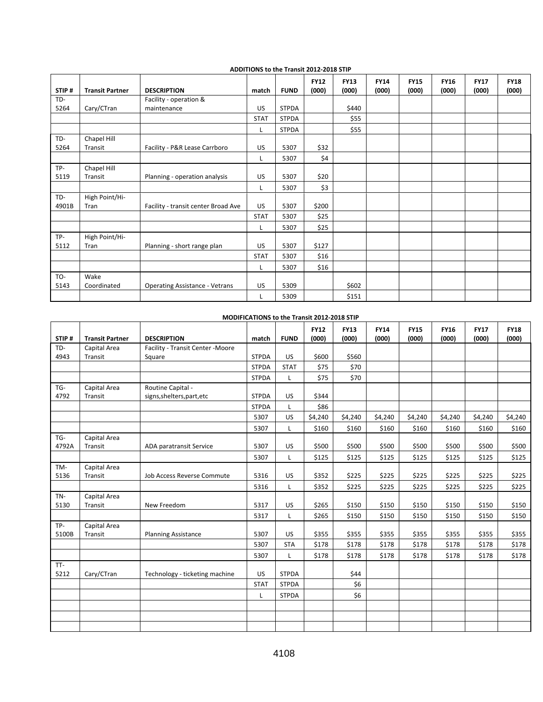|       |                        |                                       |             |              | <b>FY12</b> | <b>FY13</b> | <b>FY14</b> | <b>FY15</b> | <b>FY16</b> | <b>FY17</b> | <b>FY18</b> |
|-------|------------------------|---------------------------------------|-------------|--------------|-------------|-------------|-------------|-------------|-------------|-------------|-------------|
| STIP# | <b>Transit Partner</b> | <b>DESCRIPTION</b>                    | match       | <b>FUND</b>  | (000)       | (000)       | (000)       | (000)       | (000)       | (000)       | (000)       |
| TD-   |                        | Facility - operation &                |             |              |             |             |             |             |             |             |             |
| 5264  | Cary/CTran             | maintenance                           | <b>US</b>   | <b>STPDA</b> |             | \$440       |             |             |             |             |             |
|       |                        |                                       | <b>STAT</b> | <b>STPDA</b> |             | \$55        |             |             |             |             |             |
|       |                        |                                       | L           | <b>STPDA</b> |             | \$55        |             |             |             |             |             |
| TD-   | Chapel Hill            |                                       |             |              |             |             |             |             |             |             |             |
| 5264  | Transit                | Facility - P&R Lease Carrboro         | US          | 5307         | \$32        |             |             |             |             |             |             |
|       |                        |                                       | Г           | 5307         | \$4         |             |             |             |             |             |             |
| TP-   | Chapel Hill            |                                       |             |              |             |             |             |             |             |             |             |
| 5119  | Transit                | Planning - operation analysis         | US          | 5307         | \$20        |             |             |             |             |             |             |
|       |                        |                                       | L.          | 5307         | \$3         |             |             |             |             |             |             |
| TD-   | High Point/Hi-         |                                       |             |              |             |             |             |             |             |             |             |
| 4901B | Tran                   | Facility - transit center Broad Ave   | <b>US</b>   | 5307         | \$200       |             |             |             |             |             |             |
|       |                        |                                       | <b>STAT</b> | 5307         | \$25        |             |             |             |             |             |             |
|       |                        |                                       | L           | 5307         | \$25        |             |             |             |             |             |             |
| TP-   | High Point/Hi-         |                                       |             |              |             |             |             |             |             |             |             |
| 5112  | Tran                   | Planning - short range plan           | US          | 5307         | \$127       |             |             |             |             |             |             |
|       |                        |                                       | <b>STAT</b> | 5307         | \$16        |             |             |             |             |             |             |
|       |                        |                                       | L           | 5307         | \$16        |             |             |             |             |             |             |
| TO-   | Wake                   |                                       |             |              |             |             |             |             |             |             |             |
| 5143  | Coordinated            | <b>Operating Assistance - Vetrans</b> | US.         | 5309         |             | \$602       |             |             |             |             |             |
|       |                        |                                       | L           | 5309         |             | \$151       |             |             |             |             |             |

#### **ADDITIONS to the Transit 2012‐2018 STIP**

#### **MODIFICATIONS to the Transit 2012‐2018 STIP**

| STIP#  | <b>Transit Partner</b> | <b>DESCRIPTION</b>                | match        | <b>FUND</b>  | <b>FY12</b><br>(000) | <b>FY13</b><br>(000) | <b>FY14</b><br>(000) | <b>FY15</b><br>(000) | <b>FY16</b><br>(000) | <b>FY17</b><br>(000) | <b>FY18</b><br>(000) |
|--------|------------------------|-----------------------------------|--------------|--------------|----------------------|----------------------|----------------------|----------------------|----------------------|----------------------|----------------------|
| TD-    | Capital Area           | Facility - Transit Center - Moore |              |              |                      |                      |                      |                      |                      |                      |                      |
| 4943   | Transit                | Square                            | <b>STPDA</b> | US.          | \$600                | \$560                |                      |                      |                      |                      |                      |
|        |                        |                                   | <b>STPDA</b> | <b>STAT</b>  | \$75                 | \$70                 |                      |                      |                      |                      |                      |
|        |                        |                                   | <b>STPDA</b> | L            | \$75                 | \$70                 |                      |                      |                      |                      |                      |
| TG-    | Capital Area           | Routine Capital -                 |              |              |                      |                      |                      |                      |                      |                      |                      |
| 4792   | Transit                | signs, shelters, part, etc        | <b>STPDA</b> | <b>US</b>    | \$344                |                      |                      |                      |                      |                      |                      |
|        |                        |                                   | <b>STPDA</b> | L            | \$86                 |                      |                      |                      |                      |                      |                      |
|        |                        |                                   | 5307         | <b>US</b>    | \$4,240              | \$4,240              | \$4,240              | \$4,240              | \$4,240              | \$4,240              | \$4,240              |
|        |                        |                                   | 5307         | L            | \$160                | \$160                | \$160                | \$160                | \$160                | \$160                | \$160                |
| $TG -$ | Capital Area           |                                   |              |              |                      |                      |                      |                      |                      |                      |                      |
| 4792A  | Transit                | ADA paratransit Service           | 5307         | US.          | \$500                | \$500                | \$500                | \$500                | \$500                | \$500                | \$500                |
|        |                        |                                   | 5307         | L            | \$125                | \$125                | \$125                | \$125                | \$125                | \$125                | \$125                |
| TM-    | Capital Area           |                                   |              |              |                      |                      |                      |                      |                      |                      |                      |
| 5136   | Transit                | Job Access Reverse Commute        | 5316         | US.          | \$352                | \$225                | \$225                | \$225                | \$225                | \$225                | \$225                |
|        |                        |                                   | 5316         | L            | \$352                | \$225                | \$225                | \$225                | \$225                | \$225                | \$225                |
| TN-    | Capital Area           |                                   |              |              |                      |                      |                      |                      |                      |                      |                      |
| 5130   | Transit                | New Freedom                       | 5317         | US           | \$265                | \$150                | \$150                | \$150                | \$150                | \$150                | \$150                |
|        |                        |                                   | 5317         | $\mathsf{L}$ | \$265                | \$150                | \$150                | \$150                | \$150                | \$150                | \$150                |
| TP-    | Capital Area           |                                   |              |              |                      |                      |                      |                      |                      |                      |                      |
| 5100B  | Transit                | <b>Planning Assistance</b>        | 5307         | US.          | \$355                | \$355                | \$355                | \$355                | \$355                | \$355                | \$355                |
|        |                        |                                   | 5307         | <b>STA</b>   | \$178                | \$178                | \$178                | \$178                | \$178                | \$178                | \$178                |
|        |                        |                                   | 5307         | L            | \$178                | \$178                | \$178                | \$178                | \$178                | \$178                | \$178                |
| TT-    |                        |                                   |              |              |                      |                      |                      |                      |                      |                      |                      |
| 5212   | Cary/CTran             | Technology - ticketing machine    | US           | <b>STPDA</b> |                      | \$44                 |                      |                      |                      |                      |                      |
|        |                        |                                   | <b>STAT</b>  | <b>STPDA</b> |                      | \$6                  |                      |                      |                      |                      |                      |
|        |                        |                                   | L            | <b>STPDA</b> |                      | \$6                  |                      |                      |                      |                      |                      |
|        |                        |                                   |              |              |                      |                      |                      |                      |                      |                      |                      |
|        |                        |                                   |              |              |                      |                      |                      |                      |                      |                      |                      |
|        |                        |                                   |              |              |                      |                      |                      |                      |                      |                      |                      |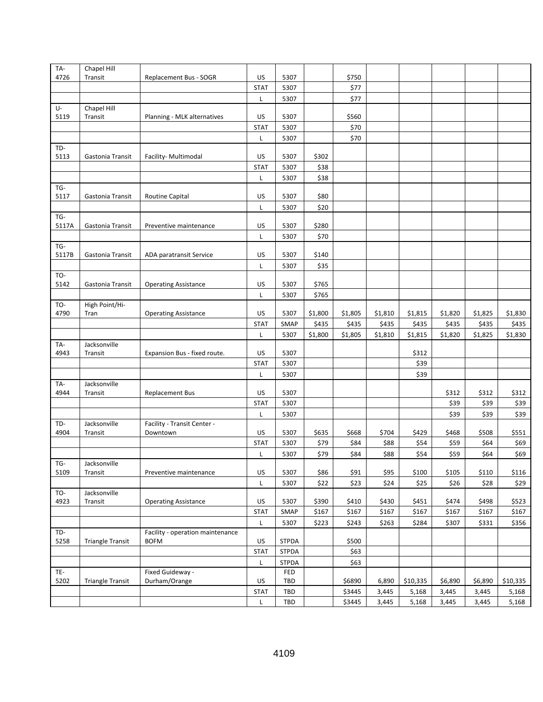| TA-         | Chapel Hill             |                                         |                   |              |         |         |         |          |         |         |          |
|-------------|-------------------------|-----------------------------------------|-------------------|--------------|---------|---------|---------|----------|---------|---------|----------|
| 4726        | Transit                 | Replacement Bus - SOGR                  | US                | 5307         |         | \$750   |         |          |         |         |          |
|             |                         |                                         | <b>STAT</b>       | 5307         |         | \$77    |         |          |         |         |          |
|             |                         |                                         | L                 | 5307         |         | \$77    |         |          |         |         |          |
| U-          | Chapel Hill             |                                         |                   |              |         |         |         |          |         |         |          |
| 5119        | Transit                 | Planning - MLK alternatives             | US                | 5307         |         | \$560   |         |          |         |         |          |
|             |                         |                                         | <b>STAT</b>       | 5307         |         | \$70    |         |          |         |         |          |
|             |                         |                                         | Г                 | 5307         |         | \$70    |         |          |         |         |          |
| TD-         |                         |                                         |                   |              |         |         |         |          |         |         |          |
| 5113        | Gastonia Transit        | Facility- Multimodal                    | US                | 5307         | \$302   |         |         |          |         |         |          |
|             |                         |                                         | <b>STAT</b>       | 5307         | \$38    |         |         |          |         |         |          |
|             |                         |                                         | Г                 | 5307         | \$38    |         |         |          |         |         |          |
| TG-<br>5117 | Gastonia Transit        | <b>Routine Capital</b>                  | US                | 5307         | \$80    |         |         |          |         |         |          |
|             |                         |                                         | Г                 | 5307         | \$20    |         |         |          |         |         |          |
| TG-         |                         |                                         |                   |              |         |         |         |          |         |         |          |
| 5117A       | Gastonia Transit        | Preventive maintenance                  | US                | 5307         | \$280   |         |         |          |         |         |          |
|             |                         |                                         | Г                 | 5307         | \$70    |         |         |          |         |         |          |
| TG-         |                         |                                         |                   |              |         |         |         |          |         |         |          |
| 5117B       | Gastonia Transit        | ADA paratransit Service                 | US                | 5307         | \$140   |         |         |          |         |         |          |
|             |                         |                                         | Г                 | 5307         | \$35    |         |         |          |         |         |          |
| TO-         |                         |                                         |                   |              |         |         |         |          |         |         |          |
| 5142        | Gastonia Transit        | <b>Operating Assistance</b>             | US                | 5307         | \$765   |         |         |          |         |         |          |
|             |                         |                                         | Г                 | 5307         | \$765   |         |         |          |         |         |          |
| TO-         | High Point/Hi-          |                                         |                   |              |         |         |         |          |         |         |          |
| 4790        | Tran                    | <b>Operating Assistance</b>             | US                | 5307         | \$1,800 | \$1,805 | \$1,810 | \$1,815  | \$1,820 | \$1,825 | \$1,830  |
|             |                         |                                         | <b>STAT</b>       | SMAP         | \$435   | \$435   | \$435   | \$435    | \$435   | \$435   | \$435    |
|             |                         |                                         | Г                 | 5307         | \$1,800 | \$1,805 | \$1,810 | \$1,815  | \$1,820 | \$1,825 | \$1,830  |
| TA-         | Jacksonville            |                                         |                   |              |         |         |         |          |         |         |          |
| 4943        | Transit                 | Expansion Bus - fixed route.            | US                | 5307         |         |         |         | \$312    |         |         |          |
|             |                         |                                         | <b>STAT</b>       | 5307         |         |         |         | \$39     |         |         |          |
|             |                         |                                         | L                 | 5307         |         |         |         | \$39     |         |         |          |
| TA-<br>4944 | Jacksonville            |                                         |                   | 5307         |         |         |         |          |         |         | \$312    |
|             | Transit                 | <b>Replacement Bus</b>                  | US<br><b>STAT</b> | 5307         |         |         |         |          | \$312   | \$312   |          |
|             |                         |                                         |                   |              |         |         |         |          | \$39    | \$39    | \$39     |
| TD-         | Jacksonville            |                                         | Г                 | 5307         |         |         |         |          | \$39    | \$39    | \$39     |
| 4904        | Transit                 | Facility - Transit Center -<br>Downtown | US                | 5307         | \$635   | \$668   | \$704   | \$429    | \$468   | \$508   | \$551    |
|             |                         |                                         | <b>STAT</b>       | 5307         | \$79    | \$84    | \$88    | \$54     | \$59    | \$64    | \$69     |
|             |                         |                                         | L                 | 5307         | \$79    | \$84    | \$88    | \$54     | \$59    | \$64    | \$69     |
| TG-         | Jacksonville            |                                         |                   |              |         |         |         |          |         |         |          |
| 5109        | Transit                 | Preventive maintenance                  | US                | 5307         | \$86    | \$91    | \$95    | \$100    | \$105   | \$110   | \$116    |
|             |                         |                                         | L                 | 5307         | \$22    | \$23    | \$24    | \$25     | \$26    | \$28    | \$29     |
| TO-         | Jacksonville            |                                         |                   |              |         |         |         |          |         |         |          |
| 4923        | Transit                 | <b>Operating Assistance</b>             | US                | 5307         | \$390   | \$410   | \$430   | \$451    | \$474   | \$498   | \$523    |
|             |                         |                                         | <b>STAT</b>       | SMAP         | \$167   | \$167   | \$167   | \$167    | \$167   | \$167   | \$167    |
|             |                         |                                         | Г                 | 5307         | \$223   | \$243   | \$263   | \$284    | \$307   | \$331   | \$356    |
| TD-         |                         | Facility - operation maintenance        |                   |              |         |         |         |          |         |         |          |
| 5258        | <b>Triangle Transit</b> | <b>BOFM</b>                             | US                | <b>STPDA</b> |         | \$500   |         |          |         |         |          |
|             |                         |                                         | <b>STAT</b>       | STPDA        |         | \$63    |         |          |         |         |          |
|             |                         |                                         | L                 | <b>STPDA</b> |         | \$63    |         |          |         |         |          |
| TE-         |                         | Fixed Guideway -                        |                   | FED          |         |         |         |          |         |         |          |
| 5202        | <b>Triangle Transit</b> | Durham/Orange                           | US                | TBD          |         | \$6890  | 6,890   | \$10,335 | \$6,890 | \$6,890 | \$10,335 |
|             |                         |                                         |                   |              |         |         |         |          |         |         |          |
|             |                         |                                         | <b>STAT</b>       | TBD          |         | \$3445  | 3,445   | 5,168    | 3,445   | 3,445   | 5,168    |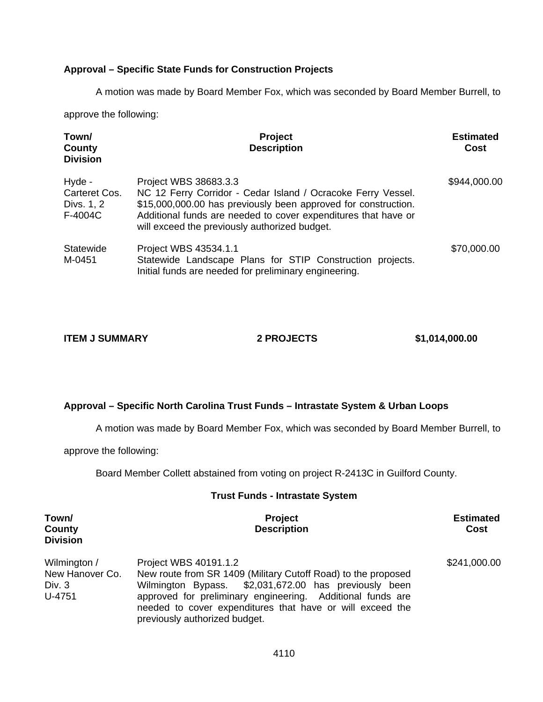### **Approval – Specific State Funds for Construction Projects**

A motion was made by Board Member Fox, which was seconded by Board Member Burrell, to

approve the following:

| Town/<br>County<br><b>Division</b>               | <b>Project</b><br><b>Description</b>                                                                                                                                                                                                                                       | <b>Estimated</b><br>Cost |
|--------------------------------------------------|----------------------------------------------------------------------------------------------------------------------------------------------------------------------------------------------------------------------------------------------------------------------------|--------------------------|
| Hyde -<br>Carteret Cos.<br>Divs. 1, 2<br>F-4004C | Project WBS 38683.3.3<br>NC 12 Ferry Corridor - Cedar Island / Ocracoke Ferry Vessel.<br>\$15,000,000.00 has previously been approved for construction.<br>Additional funds are needed to cover expenditures that have or<br>will exceed the previously authorized budget. | \$944,000.00             |
| Statewide<br>M-0451                              | Project WBS 43534.1.1<br>Statewide Landscape Plans for STIP Construction projects.<br>Initial funds are needed for preliminary engineering.                                                                                                                                | \$70,000.00              |

**ITEM J SUMMARY 2 PROJECTS \$1,014,000.00** 

### **Approval – Specific North Carolina Trust Funds – Intrastate System & Urban Loops**

A motion was made by Board Member Fox, which was seconded by Board Member Burrell, to

approve the following:

Board Member Collett abstained from voting on project R-2413C in Guilford County.

#### **Trust Funds - Intrastate System**

| Town/<br>County<br><b>Division</b>                  | <b>Project</b><br><b>Description</b>                                                                                                                                                                                                                                                                        | <b>Estimated</b><br>Cost |
|-----------------------------------------------------|-------------------------------------------------------------------------------------------------------------------------------------------------------------------------------------------------------------------------------------------------------------------------------------------------------------|--------------------------|
| Wilmington /<br>New Hanover Co.<br>Div. 3<br>U-4751 | Project WBS 40191.1.2<br>New route from SR 1409 (Military Cutoff Road) to the proposed<br>Wilmington Bypass. \$2,031,672.00 has previously been<br>approved for preliminary engineering. Additional funds are<br>needed to cover expenditures that have or will exceed the<br>previously authorized budget. | \$241,000.00             |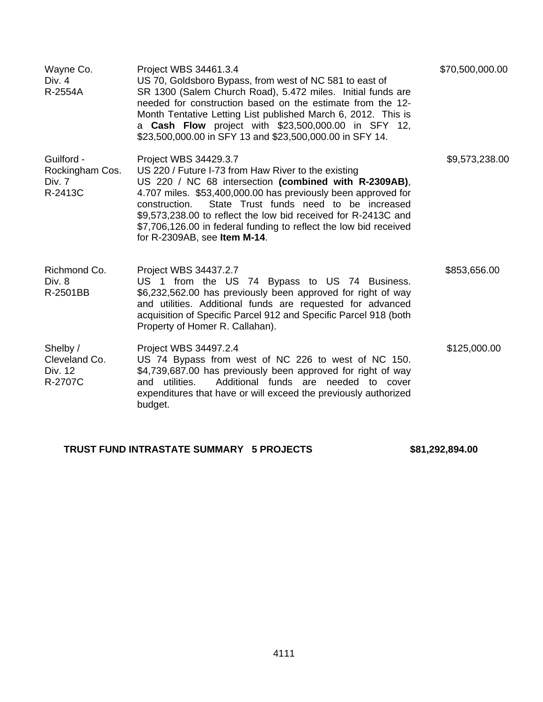| Wayne Co.<br>Div. 4<br>R-2554A                     | Project WBS 34461.3.4<br>US 70, Goldsboro Bypass, from west of NC 581 to east of<br>SR 1300 (Salem Church Road), 5.472 miles. Initial funds are<br>needed for construction based on the estimate from the 12-<br>Month Tentative Letting List published March 6, 2012. This is<br>a <b>Cash Flow</b> project with \$23,500,000.00 in SFY 12,<br>\$23,500,000.00 in SFY 13 and \$23,500,000.00 in SFY 14.                                 | \$70,500,000.00 |
|----------------------------------------------------|------------------------------------------------------------------------------------------------------------------------------------------------------------------------------------------------------------------------------------------------------------------------------------------------------------------------------------------------------------------------------------------------------------------------------------------|-----------------|
| Guilford -<br>Rockingham Cos.<br>Div. 7<br>R-2413C | Project WBS 34429.3.7<br>US 220 / Future I-73 from Haw River to the existing<br>US 220 / NC 68 intersection (combined with R-2309AB),<br>4.707 miles. \$53,400,000.00 has previously been approved for<br>State Trust funds need to be increased<br>construction.<br>\$9,573,238.00 to reflect the low bid received for R-2413C and<br>\$7,706,126.00 in federal funding to reflect the low bid received<br>for R-2309AB, see Item M-14. | \$9,573,238.00  |
| Richmond Co.<br>Div. 8<br>R-2501BB                 | Project WBS 34437.2.7<br>US 1 from the US 74 Bypass to US 74 Business.<br>\$6,232,562.00 has previously been approved for right of way<br>and utilities. Additional funds are requested for advanced<br>acquisition of Specific Parcel 912 and Specific Parcel 918 (both<br>Property of Homer R. Callahan).                                                                                                                              | \$853,656.00    |
| Shelby /<br>Cleveland Co.<br>Div. 12<br>R-2707C    | Project WBS 34497.2.4<br>US 74 Bypass from west of NC 226 to west of NC 150.<br>\$4,739,687.00 has previously been approved for right of way<br>and utilities.<br>Additional funds are needed to cover<br>expenditures that have or will exceed the previously authorized<br>budget.                                                                                                                                                     | \$125,000.00    |

# **TRUST FUND INTRASTATE SUMMARY 5 PROJECTS \$81,292,894.00**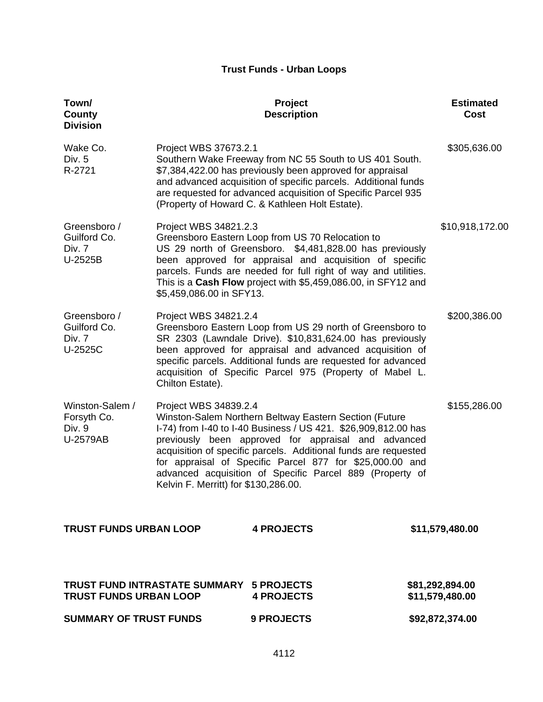## **Trust Funds - Urban Loops**

| Town/<br>County<br><b>Division</b>                   |                                                               | Project<br><b>Description</b>                                                                                                                                                                                                                                                                                                                                              | <b>Estimated</b><br>Cost           |
|------------------------------------------------------|---------------------------------------------------------------|----------------------------------------------------------------------------------------------------------------------------------------------------------------------------------------------------------------------------------------------------------------------------------------------------------------------------------------------------------------------------|------------------------------------|
| Wake Co.<br>Div. 5<br>R-2721                         | Project WBS 37673.2.1                                         | Southern Wake Freeway from NC 55 South to US 401 South.<br>\$7,384,422.00 has previously been approved for appraisal<br>and advanced acquisition of specific parcels. Additional funds<br>are requested for advanced acquisition of Specific Parcel 935<br>(Property of Howard C. & Kathleen Holt Estate).                                                                 | \$305,636.00                       |
| Greensboro /<br>Guilford Co.<br>Div. 7<br>U-2525B    | Project WBS 34821.2.3<br>\$5,459,086.00 in SFY13.             | Greensboro Eastern Loop from US 70 Relocation to<br>US 29 north of Greensboro. \$4,481,828.00 has previously<br>been approved for appraisal and acquisition of specific<br>parcels. Funds are needed for full right of way and utilities.<br>This is a Cash Flow project with \$5,459,086.00, in SFY12 and                                                                 | \$10,918,172.00                    |
| Greensboro /<br>Guilford Co.<br>Div. 7<br>U-2525C    | Project WBS 34821.2.4<br>Chilton Estate).                     | Greensboro Eastern Loop from US 29 north of Greensboro to<br>SR 2303 (Lawndale Drive). \$10,831,624.00 has previously<br>been approved for appraisal and advanced acquisition of<br>specific parcels. Additional funds are requested for advanced<br>acquisition of Specific Parcel 975 (Property of Mabel L.                                                              | \$200,386.00                       |
| Winston-Salem /<br>Forsyth Co.<br>Div. 9<br>U-2579AB | Project WBS 34839.2.4<br>Kelvin F. Merritt) for \$130,286.00. | Winston-Salem Northern Beltway Eastern Section (Future<br>I-74) from I-40 to I-40 Business / US 421. \$26,909,812.00 has<br>previously been approved for appraisal and advanced<br>acquisition of specific parcels. Additional funds are requested<br>for appraisal of Specific Parcel 877 for \$25,000.00 and<br>advanced acquisition of Specific Parcel 889 (Property of | \$155,286.00                       |
| <b>TRUST FUNDS URBAN LOOP</b>                        |                                                               | <b>4 PROJECTS</b>                                                                                                                                                                                                                                                                                                                                                          | \$11,579,480.00                    |
| <b>TRUST FUNDS URBAN LOOP</b>                        | <b>TRUST FUND INTRASTATE SUMMARY 5 PROJECTS</b>               | <b>4 PROJECTS</b>                                                                                                                                                                                                                                                                                                                                                          | \$81,292,894.00<br>\$11,579,480.00 |
| <b>SUMMARY OF TRUST FUNDS</b>                        |                                                               | 9 PROJECTS                                                                                                                                                                                                                                                                                                                                                                 | \$92,872,374.00                    |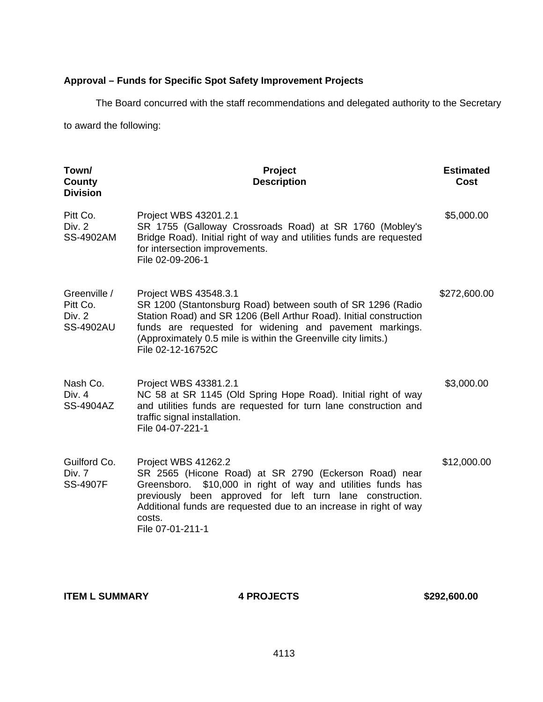# **Approval – Funds for Specific Spot Safety Improvement Projects**

The Board concurred with the staff recommendations and delegated authority to the Secretary

to award the following:

| Town/<br>County<br><b>Division</b>                     | Project<br><b>Description</b>                                                                                                                                                                                                                                                                                   | <b>Estimated</b><br>Cost |
|--------------------------------------------------------|-----------------------------------------------------------------------------------------------------------------------------------------------------------------------------------------------------------------------------------------------------------------------------------------------------------------|--------------------------|
| Pitt Co.<br>Div. 2<br><b>SS-4902AM</b>                 | Project WBS 43201.2.1<br>SR 1755 (Galloway Crossroads Road) at SR 1760 (Mobley's<br>Bridge Road). Initial right of way and utilities funds are requested<br>for intersection improvements.<br>File 02-09-206-1                                                                                                  | \$5,000.00               |
| Greenville /<br>Pitt Co.<br>Div. 2<br><b>SS-4902AU</b> | Project WBS 43548.3.1<br>SR 1200 (Stantonsburg Road) between south of SR 1296 (Radio<br>Station Road) and SR 1206 (Bell Arthur Road). Initial construction<br>funds are requested for widening and pavement markings.<br>(Approximately 0.5 mile is within the Greenville city limits.)<br>File 02-12-16752C    | \$272,600.00             |
| Nash Co.<br>Div. $4$<br>SS-4904AZ                      | Project WBS 43381.2.1<br>NC 58 at SR 1145 (Old Spring Hope Road). Initial right of way<br>and utilities funds are requested for turn lane construction and<br>traffic signal installation.<br>File 04-07-221-1                                                                                                  | \$3,000.00               |
| Guilford Co.<br>Div. 7<br><b>SS-4907F</b>              | Project WBS 41262.2<br>SR 2565 (Hicone Road) at SR 2790 (Eckerson Road) near<br>\$10,000 in right of way and utilities funds has<br>Greensboro.<br>previously been approved for left turn lane construction.<br>Additional funds are requested due to an increase in right of way<br>costs.<br>File 07-01-211-1 | \$12,000.00              |

**ITEM L SUMMARY 4 PROJECTS** \$292,600.00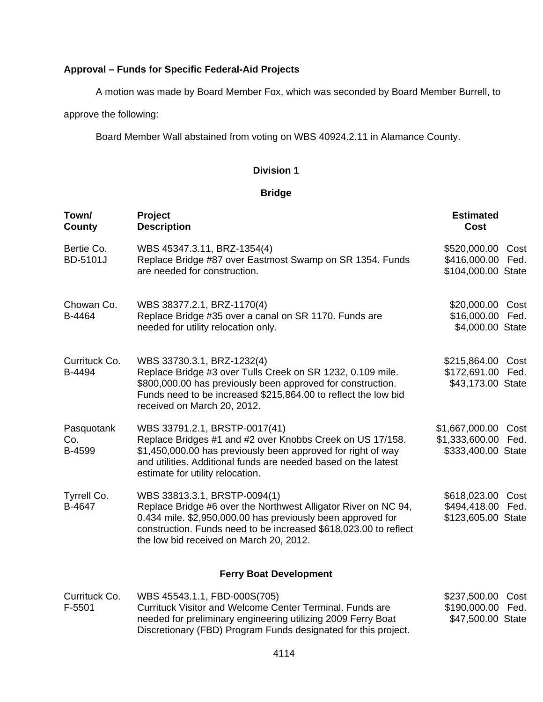# **Approval – Funds for Specific Federal-Aid Projects**

A motion was made by Board Member Fox, which was seconded by Board Member Burrell, to

approve the following:

Board Member Wall abstained from voting on WBS 40924.2.11 in Alamance County.

### **Division 1**

### **Bridge**

| Town/<br>County             | Project<br><b>Description</b>                                                                                                                                                                                                                                                | <b>Estimated</b><br><b>Cost</b>                                  |      |
|-----------------------------|------------------------------------------------------------------------------------------------------------------------------------------------------------------------------------------------------------------------------------------------------------------------------|------------------------------------------------------------------|------|
| Bertie Co.<br>BD-5101J      | WBS 45347.3.11, BRZ-1354(4)<br>Replace Bridge #87 over Eastmost Swamp on SR 1354. Funds<br>are needed for construction.                                                                                                                                                      | \$520,000.00 Cost<br>\$416,000.00 Fed.<br>\$104,000.00 State     |      |
| Chowan Co.<br>B-4464        | WBS 38377.2.1, BRZ-1170(4)<br>Replace Bridge #35 over a canal on SR 1170. Funds are<br>needed for utility relocation only.                                                                                                                                                   | \$20,000.00 Cost<br>\$16,000.00 Fed.<br>\$4,000.00 State         |      |
| Currituck Co.<br>B-4494     | WBS 33730.3.1, BRZ-1232(4)<br>Replace Bridge #3 over Tulls Creek on SR 1232, 0.109 mile.<br>\$800,000.00 has previously been approved for construction.<br>Funds need to be increased \$215,864.00 to reflect the low bid<br>received on March 20, 2012.                     | \$215,864.00 Cost<br>\$172,691.00 Fed.<br>\$43,173.00 State      |      |
| Pasquotank<br>Co.<br>B-4599 | WBS 33791.2.1, BRSTP-0017(41)<br>Replace Bridges #1 and #2 over Knobbs Creek on US 17/158.<br>\$1,450,000.00 has previously been approved for right of way<br>and utilities. Additional funds are needed based on the latest<br>estimate for utility relocation.             | \$1,667,000.00 Cost<br>\$1,333,600.00 Fed.<br>\$333,400.00 State |      |
| Tyrrell Co.<br>B-4647       | WBS 33813.3.1, BRSTP-0094(1)<br>Replace Bridge #6 over the Northwest Alligator River on NC 94,<br>0.434 mile. \$2,950,000.00 has previously been approved for<br>construction. Funds need to be increased \$618,023.00 to reflect<br>the low bid received on March 20, 2012. | \$618,023.00 Cost<br>\$494,418.00 Fed.<br>\$123,605.00 State     |      |
|                             | <b>Ferry Boat Development</b>                                                                                                                                                                                                                                                |                                                                  |      |
| Currituck Co.<br>F-5501     | WBS 45543.1.1, FBD-000S(705)<br>Currituck Visitor and Welcome Center Terminal. Funds are<br>needed for preliminary engineering utilizing 2009 Ferry Boat                                                                                                                     | \$237,500.00<br>\$190,000.00 Fed.<br>\$47,500.00 State           | Cost |

Discretionary (FBD) Program Funds designated for this project.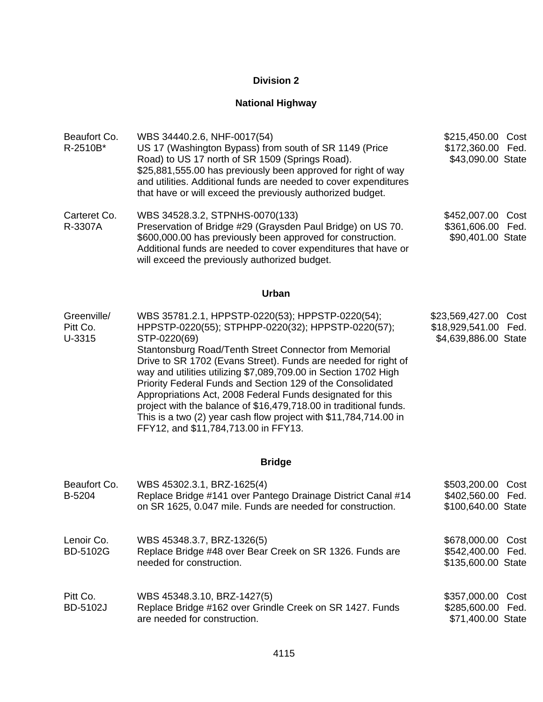# **National Highway**

| Beaufort Co.<br>R-2510B*          | WBS 34440.2.6, NHF-0017(54)<br>US 17 (Washington Bypass) from south of SR 1149 (Price<br>Road) to US 17 north of SR 1509 (Springs Road).<br>\$25,881,555.00 has previously been approved for right of way<br>and utilities. Additional funds are needed to cover expenditures<br>that have or will exceed the previously authorized budget.                                                                                                                                                                                                                                                                                          | \$215,450.00<br>Cost<br>\$172,360.00 Fed.<br>\$43,090.00 State             |
|-----------------------------------|--------------------------------------------------------------------------------------------------------------------------------------------------------------------------------------------------------------------------------------------------------------------------------------------------------------------------------------------------------------------------------------------------------------------------------------------------------------------------------------------------------------------------------------------------------------------------------------------------------------------------------------|----------------------------------------------------------------------------|
| Carteret Co.<br>R-3307A           | WBS 34528.3.2, STPNHS-0070(133)<br>Preservation of Bridge #29 (Graysden Paul Bridge) on US 70.<br>\$600,000.00 has previously been approved for construction.<br>Additional funds are needed to cover expenditures that have or<br>will exceed the previously authorized budget.                                                                                                                                                                                                                                                                                                                                                     | \$452,007.00<br>Cost<br>\$361,606.00<br>Fed.<br>\$90,401.00 State          |
|                                   | <b>Urban</b>                                                                                                                                                                                                                                                                                                                                                                                                                                                                                                                                                                                                                         |                                                                            |
| Greenville/<br>Pitt Co.<br>U-3315 | WBS 35781.2.1, HPPSTP-0220(53); HPPSTP-0220(54);<br>HPPSTP-0220(55); STPHPP-0220(32); HPPSTP-0220(57);<br>STP-0220(69)<br>Stantonsburg Road/Tenth Street Connector from Memorial<br>Drive to SR 1702 (Evans Street). Funds are needed for right of<br>way and utilities utilizing \$7,089,709.00 in Section 1702 High<br>Priority Federal Funds and Section 129 of the Consolidated<br>Appropriations Act, 2008 Federal Funds designated for this<br>project with the balance of \$16,479,718.00 in traditional funds.<br>This is a two $(2)$ year cash flow project with \$11,784,714.00 in<br>FFY12, and \$11,784,713.00 in FFY13. | \$23,569,427.00<br>Cost<br>\$18,929,541.00<br>Fed.<br>\$4,639,886.00 State |
|                                   | <b>Bridge</b>                                                                                                                                                                                                                                                                                                                                                                                                                                                                                                                                                                                                                        |                                                                            |
| Beaufort Co.<br>B-5204            | WBS 45302.3.1, BRZ-1625(4)<br>Replace Bridge #141 over Pantego Drainage District Canal #14<br>on SR 1625, 0.047 mile. Funds are needed for construction.                                                                                                                                                                                                                                                                                                                                                                                                                                                                             | \$503,200.00<br>Cost<br>\$402,560.00 Fed.<br>\$100,640.00 State            |
| Lenoir Co.<br><b>BD-5102G</b>     | WBS 45348.3.7, BRZ-1326(5)<br>Replace Bridge #48 over Bear Creek on SR 1326. Funds are<br>needed for construction.                                                                                                                                                                                                                                                                                                                                                                                                                                                                                                                   | \$678,000.00<br>Cost<br>\$542,400.00 Fed.<br>\$135,600.00 State            |
| Pitt Co.<br>BD-5102J              | WBS 45348.3.10, BRZ-1427(5)<br>Replace Bridge #162 over Grindle Creek on SR 1427. Funds<br>are needed for construction.                                                                                                                                                                                                                                                                                                                                                                                                                                                                                                              | \$357,000.00<br>Cost<br>\$285,600.00<br>Fed.<br>\$71,400.00 State          |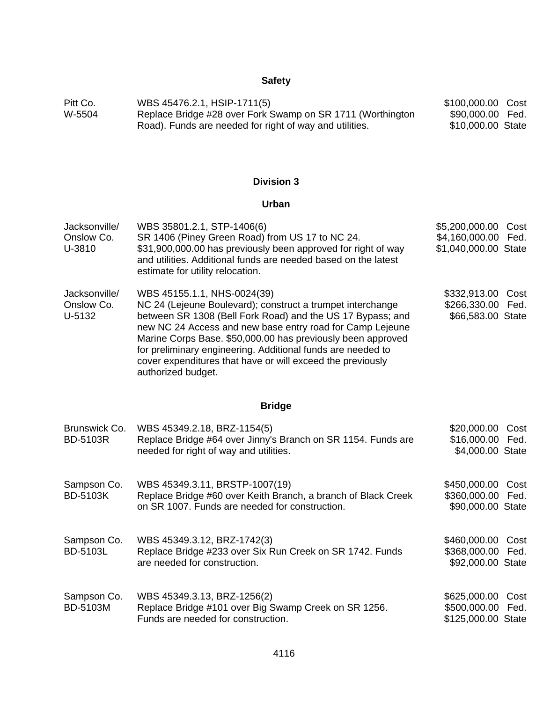# **Safety**

| Pitt Co. | WBS 45476.2.1, HSIP-1711(5)                                | \$100,000.00 Cost |  |
|----------|------------------------------------------------------------|-------------------|--|
| W-5504   | Replace Bridge #28 over Fork Swamp on SR 1711 (Worthington | \$90,000.00 Fed.  |  |
|          | Road). Funds are needed for right of way and utilities.    | \$10,000.00 State |  |

# **Division 3**

# **Urban**

| Jacksonville/<br>Onslow Co.<br>U-3810 | WBS 35801.2.1, STP-1406(6)<br>SR 1406 (Piney Green Road) from US 17 to NC 24.<br>\$31,900,000.00 has previously been approved for right of way<br>and utilities. Additional funds are needed based on the latest<br>estimate for utility relocation.                                                                                                                                                                                   | \$5,200,000.00<br>\$4,160,000.00<br>\$1,040,000.00 State | Cost<br>Fed. |
|---------------------------------------|----------------------------------------------------------------------------------------------------------------------------------------------------------------------------------------------------------------------------------------------------------------------------------------------------------------------------------------------------------------------------------------------------------------------------------------|----------------------------------------------------------|--------------|
| Jacksonville/<br>Onslow Co.<br>U-5132 | WBS 45155.1.1, NHS-0024(39)<br>NC 24 (Lejeune Boulevard); construct a trumpet interchange<br>between SR 1308 (Bell Fork Road) and the US 17 Bypass; and<br>new NC 24 Access and new base entry road for Camp Lejeune<br>Marine Corps Base. \$50,000.00 has previously been approved<br>for preliminary engineering. Additional funds are needed to<br>cover expenditures that have or will exceed the previously<br>authorized budget. | \$332,913.00<br>\$266,330.00<br>\$66,583.00 State        | Cost<br>Fed. |
|                                       | <b>Bridge</b>                                                                                                                                                                                                                                                                                                                                                                                                                          |                                                          |              |
| Brunswick Co.<br><b>BD-5103R</b>      | WBS 45349.2.18, BRZ-1154(5)<br>Replace Bridge #64 over Jinny's Branch on SR 1154. Funds are<br>needed for right of way and utilities.                                                                                                                                                                                                                                                                                                  | \$20,000.00<br>\$16,000.00<br>\$4,000.00 State           | Cost<br>Fed. |
| Sampson Co.<br><b>BD-5103K</b>        | WBS 45349.3.11, BRSTP-1007(19)<br>Replace Bridge #60 over Keith Branch, a branch of Black Creek<br>on SR 1007. Funds are needed for construction.                                                                                                                                                                                                                                                                                      | \$450,000.00<br>\$360,000.00<br>\$90,000.00 State        | Cost<br>Fed. |
| Sampson Co.<br>BD-5103L               | WBS 45349.3.12, BRZ-1742(3)<br>Replace Bridge #233 over Six Run Creek on SR 1742. Funds<br>are needed for construction.                                                                                                                                                                                                                                                                                                                | \$460,000.00<br>\$368,000.00<br>\$92,000.00 State        | Cost<br>Fed. |
| Sampson Co.<br>BD-5103M               | WBS 45349.3.13, BRZ-1256(2)<br>Replace Bridge #101 over Big Swamp Creek on SR 1256.<br>Funds are needed for construction.                                                                                                                                                                                                                                                                                                              | \$625,000.00<br>\$500,000.00<br>\$125,000.00 State       | Cost<br>Fed. |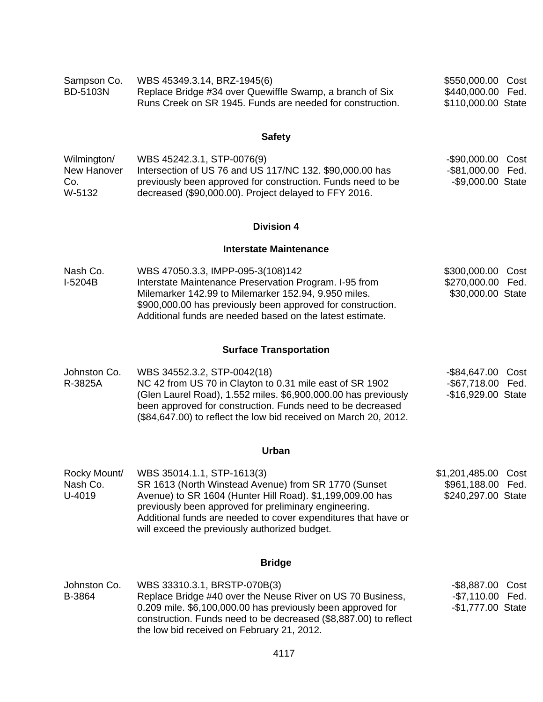| Sampson Co. | WBS 45349.3.14, BRZ-1945(6)                               | \$550,000.00 Cost  |  |
|-------------|-----------------------------------------------------------|--------------------|--|
| BD-5103N    | Replace Bridge #34 over Quewiffle Swamp, a branch of Six  | \$440,000.00 Fed.  |  |
|             | Runs Creek on SR 1945. Funds are needed for construction. | \$110,000.00 State |  |

# **Safety**

| Wilmington/ | WBS 45242.3.1, STP-0076(9)                                  | -\$90,000.00 Cost |  |
|-------------|-------------------------------------------------------------|-------------------|--|
| New Hanover | Intersection of US 76 and US 117/NC 132, \$90,000.00 has    | -\$81,000.00 Fed. |  |
| Co.         | previously been approved for construction. Funds need to be | -\$9,000.00 State |  |
| W-5132      | decreased (\$90,000.00). Project delayed to FFY 2016.       |                   |  |

# **Division 4**

### **Interstate Maintenance**

| Nash Co. | WBS 47050.3.3, IMPP-095-3(108)142                           | \$300,000.00 Cost |  |
|----------|-------------------------------------------------------------|-------------------|--|
| I-5204B  | Interstate Maintenance Preservation Program. I-95 from      | \$270,000.00 Fed. |  |
|          | Milemarker 142.99 to Milemarker 152.94, 9.950 miles.        | \$30,000.00 State |  |
|          | \$900,000.00 has previously been approved for construction. |                   |  |
|          | Additional funds are needed based on the latest estimate.   |                   |  |

# **Surface Transportation**

| Johnston Co. | WBS 34552.3.2, STP-0042(18)                                      | -\$84,647.00 Cost  |  |
|--------------|------------------------------------------------------------------|--------------------|--|
| R-3825A      | NC 42 from US 70 in Clayton to 0.31 mile east of SR 1902         | -\$67,718.00 Fed.  |  |
|              | (Glen Laurel Road), 1.552 miles. \$6,900,000.00 has previously   | -\$16,929.00 State |  |
|              | been approved for construction. Funds need to be decreased       |                    |  |
|              | (\$84,647.00) to reflect the low bid received on March 20, 2012. |                    |  |

# **Urban**

| Rocky Mount/ | WBS 35014.1.1, STP-1613(3)                                                                                         | \$1,201,485.00 Cost |  |
|--------------|--------------------------------------------------------------------------------------------------------------------|---------------------|--|
| Nash Co.     | SR 1613 (North Winstead Avenue) from SR 1770 (Sunset                                                               | \$961,188.00 Fed.   |  |
| U-4019       | Avenue) to SR 1604 (Hunter Hill Road). \$1,199,009.00 has<br>previously been approved for preliminary engineering. | \$240,297.00 State  |  |
|              | Additional funds are needed to cover expenditures that have or                                                     |                     |  |
|              | will exceed the previously authorized budget.                                                                      |                     |  |

# **Bridge**

| Johnston Co. | WBS 33310.3.1, BRSTP-070B(3)                                                                                                                                                  | -\$8,887.00 Cost  |  |
|--------------|-------------------------------------------------------------------------------------------------------------------------------------------------------------------------------|-------------------|--|
| B-3864       | Replace Bridge #40 over the Neuse River on US 70 Business,                                                                                                                    | -\$7,110.00 Fed.  |  |
|              | 0.209 mile. \$6,100,000.00 has previously been approved for<br>construction. Funds need to be decreased (\$8,887.00) to reflect<br>the low bid received on February 21, 2012. | -\$1,777.00 State |  |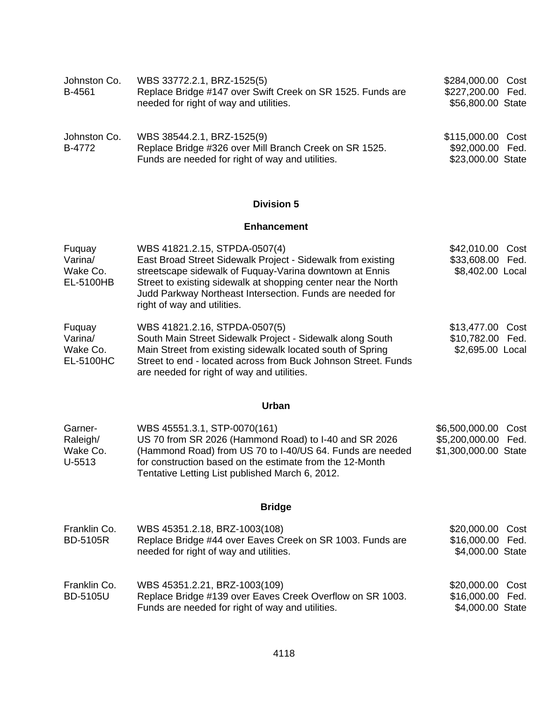| Johnston Co.<br>B-4561                     | WBS 33772.2.1, BRZ-1525(5)<br>Replace Bridge #147 over Swift Creek on SR 1525. Funds are<br>needed for right of way and utilities.                                                                                                                                                                                   | \$284,000.00<br>Cost<br>\$227,200.00<br>Fed.<br>\$56,800.00 State        |
|--------------------------------------------|----------------------------------------------------------------------------------------------------------------------------------------------------------------------------------------------------------------------------------------------------------------------------------------------------------------------|--------------------------------------------------------------------------|
| Johnston Co.<br>B-4772                     | WBS 38544.2.1, BRZ-1525(9)<br>Replace Bridge #326 over Mill Branch Creek on SR 1525.<br>Funds are needed for right of way and utilities.                                                                                                                                                                             | \$115,000.00<br>Cost<br>\$92,000.00<br>Fed.<br>\$23,000.00 State         |
|                                            | <b>Division 5</b>                                                                                                                                                                                                                                                                                                    |                                                                          |
|                                            | <b>Enhancement</b>                                                                                                                                                                                                                                                                                                   |                                                                          |
| Fuquay<br>Varina/<br>Wake Co.<br>EL-5100HB | WBS 41821.2.15, STPDA-0507(4)<br>East Broad Street Sidewalk Project - Sidewalk from existing<br>streetscape sidewalk of Fuquay-Varina downtown at Ennis<br>Street to existing sidewalk at shopping center near the North<br>Judd Parkway Northeast Intersection. Funds are needed for<br>right of way and utilities. | \$42,010.00 Cost<br>\$33,608.00 Fed.<br>\$8,402.00 Local                 |
| Fuquay<br>Varina/<br>Wake Co.<br>EL-5100HC | WBS 41821.2.16, STPDA-0507(5)<br>South Main Street Sidewalk Project - Sidewalk along South<br>Main Street from existing sidewalk located south of Spring<br>Street to end - located across from Buck Johnson Street. Funds<br>are needed for right of way and utilities.                                             | \$13,477.00<br>Cost<br>\$10,782.00 Fed.<br>\$2,695.00 Local              |
|                                            | Urban                                                                                                                                                                                                                                                                                                                |                                                                          |
| Garner-<br>Raleigh/<br>Wake Co.<br>U-5513  | WBS 45551.3.1, STP-0070(161)<br>US 70 from SR 2026 (Hammond Road) to I-40 and SR 2026<br>(Hammond Road) from US 70 to I-40/US 64. Funds are needed<br>for construction based on the estimate from the 12-Month<br>Tentative Letting List published March 6, 2012.                                                    | \$6,500,000.00<br>Cost<br>\$5,200,000.00<br>Fed.<br>\$1,300,000.00 State |
|                                            | <b>Bridge</b>                                                                                                                                                                                                                                                                                                        |                                                                          |
| Franklin Co.<br><b>BD-5105R</b>            | WBS 45351.2.18, BRZ-1003(108)<br>Replace Bridge #44 over Eaves Creek on SR 1003. Funds are<br>needed for right of way and utilities.                                                                                                                                                                                 | \$20,000.00 Cost<br>\$16,000.00<br>Fed.<br>\$4,000.00 State              |
| Franklin Co.<br><b>BD-5105U</b>            | WBS 45351.2.21, BRZ-1003(109)<br>Replace Bridge #139 over Eaves Creek Overflow on SR 1003.<br>Funds are needed for right of way and utilities.                                                                                                                                                                       | \$20,000.00 Cost<br>\$16,000.00 Fed.<br>\$4,000.00 State                 |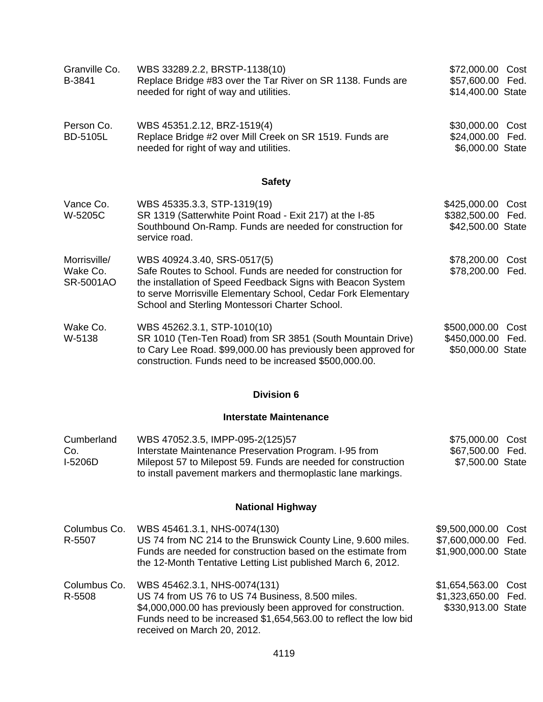| Granville Co.<br>B-3841               | WBS 33289.2.2, BRSTP-1138(10)<br>Replace Bridge #83 over the Tar River on SR 1138. Funds are<br>needed for right of way and utilities.                                                                                                                                        | \$72,000.00 Cost<br>\$57,600.00 Fed.<br>\$14,400.00 State   |              |
|---------------------------------------|-------------------------------------------------------------------------------------------------------------------------------------------------------------------------------------------------------------------------------------------------------------------------------|-------------------------------------------------------------|--------------|
| Person Co.<br><b>BD-5105L</b>         | WBS 45351.2.12, BRZ-1519(4)<br>Replace Bridge #2 over Mill Creek on SR 1519. Funds are<br>needed for right of way and utilities.                                                                                                                                              | \$30,000.00 Cost<br>\$24,000.00 Fed.<br>\$6,000.00 State    |              |
|                                       | <b>Safety</b>                                                                                                                                                                                                                                                                 |                                                             |              |
| Vance Co.<br>W-5205C                  | WBS 45335.3.3, STP-1319(19)<br>SR 1319 (Satterwhite Point Road - Exit 217) at the I-85<br>Southbound On-Ramp. Funds are needed for construction for<br>service road.                                                                                                          | \$425,000.00<br>\$382,500.00 Fed.<br>\$42,500.00 State      | Cost         |
| Morrisville/<br>Wake Co.<br>SR-5001AO | WBS 40924.3.40, SRS-0517(5)<br>Safe Routes to School. Funds are needed for construction for<br>the installation of Speed Feedback Signs with Beacon System<br>to serve Morrisville Elementary School, Cedar Fork Elementary<br>School and Sterling Montessori Charter School. | \$78,200.00 Cost<br>\$78,200.00 Fed.                        |              |
| Wake Co.<br>W-5138                    | WBS 45262.3.1, STP-1010(10)<br>SR 1010 (Ten-Ten Road) from SR 3851 (South Mountain Drive)<br>to Cary Lee Road. \$99,000.00 has previously been approved for<br>construction. Funds need to be increased \$500,000.00.                                                         | \$500,000.00 Cost<br>\$450,000.00 Fed.<br>\$50,000.00 State |              |
|                                       | <b>Division 6</b>                                                                                                                                                                                                                                                             |                                                             |              |
|                                       | <b>Interstate Maintenance</b>                                                                                                                                                                                                                                                 |                                                             |              |
| Cumberland<br>Co.<br>I-5206D          | WBS 47052.3.5, IMPP-095-2(125)57<br>Interstate Maintenance Preservation Program. I-95 from<br>Milepost 57 to Milepost 59. Funds are needed for construction<br>to install pavement markers and thermoplastic lane markings.                                                   | \$75,000.00 Cost<br>\$67,500.00 Fed.<br>\$7,500.00 State    |              |
|                                       | <b>National Highway</b>                                                                                                                                                                                                                                                       |                                                             |              |
| Columbus Co.<br>R-5507                | WBS 45461.3.1, NHS-0074(130)<br>US 74 from NC 214 to the Brunswick County Line, 9.600 miles.<br>Funds are needed for construction based on the estimate from<br>the 12-Month Tentative Letting List published March 6, 2012.                                                  | \$9,500,000.00<br>\$7,600,000.00<br>\$1,900,000.00 State    | Cost<br>Fed. |
| Columbus Co.<br>R-5508                | WBS 45462.3.1, NHS-0074(131)<br>US 74 from US 76 to US 74 Business, 8.500 miles.<br>\$4,000,000.00 has previously been approved for construction.<br>Funds need to be increased \$1,654,563.00 to reflect the low bid<br>received on March 20, 2012.                          | \$1,654,563.00<br>\$1,323,650.00 Fed.<br>\$330,913.00 State | Cost         |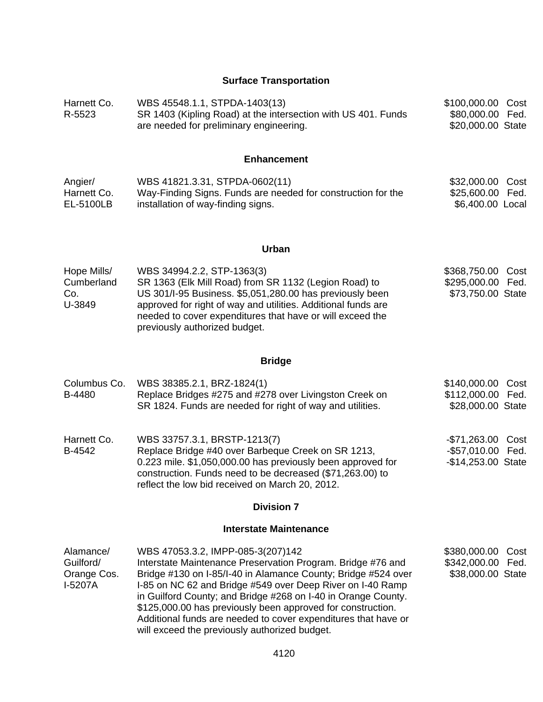# **Surface Transportation**

| Harnett Co.<br>R-5523                            | WBS 45548.1.1, STPDA-1403(13)<br>SR 1403 (Kipling Road) at the intersection with US 401. Funds<br>are needed for preliminary engineering.                                                                                                                                                                                                                                                                                                                                          | \$100,000.00 Cost<br>\$80,000.00<br>\$20,000.00 State        | Fed.         |
|--------------------------------------------------|------------------------------------------------------------------------------------------------------------------------------------------------------------------------------------------------------------------------------------------------------------------------------------------------------------------------------------------------------------------------------------------------------------------------------------------------------------------------------------|--------------------------------------------------------------|--------------|
|                                                  | <b>Enhancement</b>                                                                                                                                                                                                                                                                                                                                                                                                                                                                 |                                                              |              |
| Angier/<br>Harnett Co.<br>EL-5100LB              | WBS 41821.3.31, STPDA-0602(11)<br>Way-Finding Signs. Funds are needed for construction for the<br>installation of way-finding signs.                                                                                                                                                                                                                                                                                                                                               | \$32,000.00<br>\$25,600.00<br>\$6,400.00 Local               | Cost<br>Fed. |
|                                                  | Urban                                                                                                                                                                                                                                                                                                                                                                                                                                                                              |                                                              |              |
| Hope Mills/<br>Cumberland<br>Co.<br>U-3849       | WBS 34994.2.2, STP-1363(3)<br>SR 1363 (Elk Mill Road) from SR 1132 (Legion Road) to<br>US 301/I-95 Business. \$5,051,280.00 has previously been<br>approved for right of way and utilities. Additional funds are<br>needed to cover expenditures that have or will exceed the<br>previously authorized budget.                                                                                                                                                                     | \$368,750.00<br>\$295,000.00<br>\$73,750.00 State            | Cost<br>Fed. |
|                                                  | <b>Bridge</b>                                                                                                                                                                                                                                                                                                                                                                                                                                                                      |                                                              |              |
| Columbus Co.<br>B-4480                           | WBS 38385.2.1, BRZ-1824(1)<br>Replace Bridges #275 and #278 over Livingston Creek on<br>SR 1824. Funds are needed for right of way and utilities.                                                                                                                                                                                                                                                                                                                                  | \$140,000.00<br>\$112,000.00<br>\$28,000.00 State            | Cost<br>Fed. |
| Harnett Co.<br>B-4542                            | WBS 33757.3.1, BRSTP-1213(7)<br>Replace Bridge #40 over Barbeque Creek on SR 1213,<br>0.223 mile. \$1,050,000.00 has previously been approved for<br>construction. Funds need to be decreased (\$71,263.00) to<br>reflect the low bid received on March 20, 2012.                                                                                                                                                                                                                  | -\$71,263.00 Cost<br>-\$57,010.00 Fed.<br>-\$14,253.00 State |              |
|                                                  | <b>Division 7</b>                                                                                                                                                                                                                                                                                                                                                                                                                                                                  |                                                              |              |
|                                                  | <b>Interstate Maintenance</b>                                                                                                                                                                                                                                                                                                                                                                                                                                                      |                                                              |              |
| Alamance/<br>Guilford/<br>Orange Cos.<br>I-5207A | WBS 47053.3.2, IMPP-085-3(207)142<br>Interstate Maintenance Preservation Program. Bridge #76 and<br>Bridge #130 on I-85/I-40 in Alamance County; Bridge #524 over<br>I-85 on NC 62 and Bridge #549 over Deep River on I-40 Ramp<br>in Guilford County; and Bridge #268 on I-40 in Orange County.<br>\$125,000.00 has previously been approved for construction.<br>Additional funds are needed to cover expenditures that have or<br>will exceed the previously authorized budget. | \$380,000.00<br>\$342,000.00<br>\$38,000.00 State            | Cost<br>Fed. |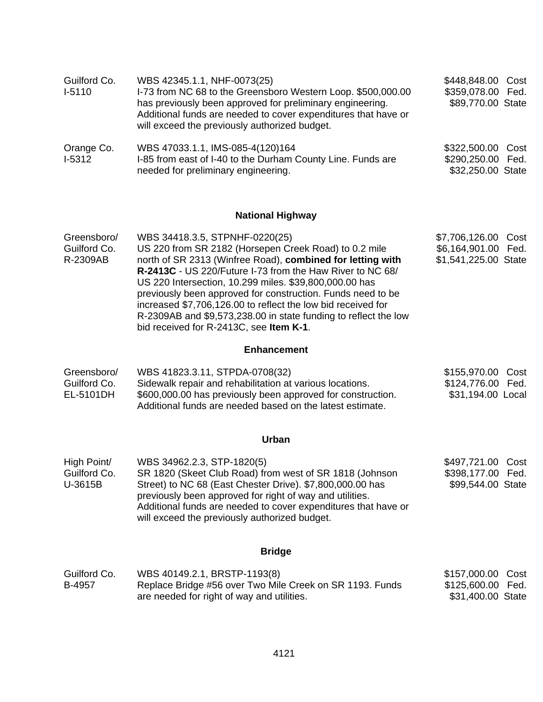| Guilford Co.<br>$I-5110$                 | WBS 42345.1.1, NHF-0073(25)<br>I-73 from NC 68 to the Greensboro Western Loop. \$500,000.00<br>has previously been approved for preliminary engineering.<br>Additional funds are needed to cover expenditures that have or<br>will exceed the previously authorized budget.                                                                                                                                                                                                                                               | \$448,848.00 Cost<br>\$359,078.00 Fed.<br>\$89,770.00 State           |
|------------------------------------------|---------------------------------------------------------------------------------------------------------------------------------------------------------------------------------------------------------------------------------------------------------------------------------------------------------------------------------------------------------------------------------------------------------------------------------------------------------------------------------------------------------------------------|-----------------------------------------------------------------------|
| Orange Co.<br>$I-5312$                   | WBS 47033.1.1, IMS-085-4(120)164<br>I-85 from east of I-40 to the Durham County Line. Funds are<br>needed for preliminary engineering.                                                                                                                                                                                                                                                                                                                                                                                    | \$322,500.00 Cost<br>\$290,250.00 Fed.<br>\$32,250.00 State           |
|                                          | <b>National Highway</b>                                                                                                                                                                                                                                                                                                                                                                                                                                                                                                   |                                                                       |
| Greensboro/<br>Guilford Co.<br>R-2309AB  | WBS 34418.3.5, STPNHF-0220(25)<br>US 220 from SR 2182 (Horsepen Creek Road) to 0.2 mile<br>north of SR 2313 (Winfree Road), combined for letting with<br>R-2413C - US 220/Future I-73 from the Haw River to NC 68/<br>US 220 Intersection, 10.299 miles. \$39,800,000.00 has<br>previously been approved for construction. Funds need to be<br>increased \$7,706,126.00 to reflect the low bid received for<br>R-2309AB and \$9,573,238.00 in state funding to reflect the low<br>bid received for R-2413C, see Item K-1. | \$7,706,126.00<br>Cost<br>\$6,164,901.00 Fed.<br>\$1,541,225.00 State |
|                                          | <b>Enhancement</b>                                                                                                                                                                                                                                                                                                                                                                                                                                                                                                        |                                                                       |
| Greensboro/<br>Guilford Co.<br>EL-5101DH | WBS 41823.3.11, STPDA-0708(32)<br>Sidewalk repair and rehabilitation at various locations.<br>\$600,000.00 has previously been approved for construction.<br>Additional funds are needed based on the latest estimate.                                                                                                                                                                                                                                                                                                    | \$155,970.00 Cost<br>\$124,776.00 Fed.<br>\$31,194.00 Local           |
|                                          | <b>Urban</b>                                                                                                                                                                                                                                                                                                                                                                                                                                                                                                              |                                                                       |
| High Point/<br>Guilford Co.<br>U-3615B   | WBS 34962.2.3, STP-1820(5)<br>SR 1820 (Skeet Club Road) from west of SR 1818 (Johnson<br>Street) to NC 68 (East Chester Drive). \$7,800,000.00 has<br>previously been approved for right of way and utilities.<br>Additional funds are needed to cover expenditures that have or<br>will exceed the previously authorized budget.                                                                                                                                                                                         | \$497,721.00 Cost<br>\$398,177.00 Fed.<br>\$99,544.00 State           |
|                                          | <b>Bridge</b>                                                                                                                                                                                                                                                                                                                                                                                                                                                                                                             |                                                                       |
| Guilford Co.<br>B-4957                   | WBS 40149.2.1, BRSTP-1193(8)<br>Replace Bridge #56 over Two Mile Creek on SR 1193. Funds<br>are needed for right of way and utilities.                                                                                                                                                                                                                                                                                                                                                                                    | \$157,000.00<br>Cost<br>\$125,600.00 Fed.<br>\$31,400.00 State        |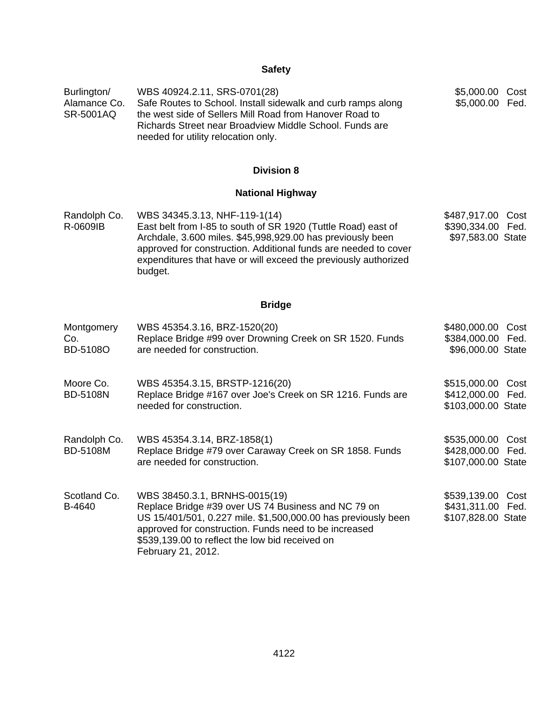# **Safety**

| Burlington/<br>Alamance Co.<br><b>SR-5001AQ</b> | WBS 40924.2.11, SRS-0701(28)<br>Safe Routes to School. Install sidewalk and curb ramps along<br>the west side of Sellers Mill Road from Hanover Road to<br>Richards Street near Broadview Middle School. Funds are<br>needed for utility relocation only.                                                     | \$5,000.00 Cost<br>\$5,000.00 Fed.                              |
|-------------------------------------------------|---------------------------------------------------------------------------------------------------------------------------------------------------------------------------------------------------------------------------------------------------------------------------------------------------------------|-----------------------------------------------------------------|
|                                                 | <b>Division 8</b>                                                                                                                                                                                                                                                                                             |                                                                 |
|                                                 | <b>National Highway</b>                                                                                                                                                                                                                                                                                       |                                                                 |
| Randolph Co.<br>R-0609IB                        | WBS 34345.3.13, NHF-119-1(14)<br>East belt from I-85 to south of SR 1920 (Tuttle Road) east of<br>Archdale, 3.600 miles. \$45,998,929.00 has previously been<br>approved for construction. Additional funds are needed to cover<br>expenditures that have or will exceed the previously authorized<br>budget. | \$487,917.00<br>Cost<br>\$390,334.00 Fed.<br>\$97,583.00 State  |
|                                                 | <b>Bridge</b>                                                                                                                                                                                                                                                                                                 |                                                                 |
| Montgomery<br>Co.<br><b>BD-5108O</b>            | WBS 45354.3.16, BRZ-1520(20)<br>Replace Bridge #99 over Drowning Creek on SR 1520. Funds<br>are needed for construction.                                                                                                                                                                                      | \$480,000.00 Cost<br>\$384,000.00 Fed.<br>\$96,000.00 State     |
| Moore Co.<br><b>BD-5108N</b>                    | WBS 45354.3.15, BRSTP-1216(20)<br>Replace Bridge #167 over Joe's Creek on SR 1216. Funds are<br>needed for construction.                                                                                                                                                                                      | \$515,000.00 Cost<br>\$412,000.00 Fed.<br>\$103,000.00 State    |
| Randolph Co.<br><b>BD-5108M</b>                 | WBS 45354.3.14, BRZ-1858(1)<br>Replace Bridge #79 over Caraway Creek on SR 1858. Funds<br>are needed for construction.                                                                                                                                                                                        | \$535,000.00<br>Cost<br>\$428,000.00 Fed.<br>\$107,000.00 State |
| Scotland Co.<br>B-4640                          | WBS 38450.3.1, BRNHS-0015(19)<br>Replace Bridge #39 over US 74 Business and NC 79 on<br>US 15/401/501, 0.227 mile. \$1,500,000.00 has previously been<br>approved for construction. Funds need to be increased<br>\$539,139.00 to reflect the low bid received on<br>February 21, 2012.                       | \$539,139.00 Cost<br>\$431,311.00 Fed.<br>\$107,828.00 State    |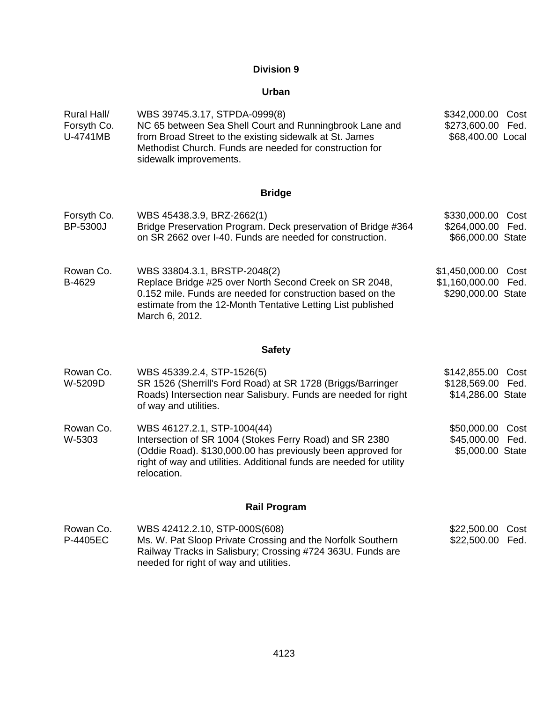#### **Urban**

| Rural Hall/<br>Forsyth Co.<br>U-4741MB | WBS 39745.3.17, STPDA-0999(8)<br>NC 65 between Sea Shell Court and Runningbrook Lane and<br>from Broad Street to the existing sidewalk at St. James<br>Methodist Church. Funds are needed for construction for<br>sidewalk improvements. | \$342,000.00 Cost<br>\$273,600.00 Fed.<br>\$68,400.00 Local |
|----------------------------------------|------------------------------------------------------------------------------------------------------------------------------------------------------------------------------------------------------------------------------------------|-------------------------------------------------------------|
|                                        |                                                                                                                                                                                                                                          |                                                             |

#### **Bridge**

| Forsyth Co. | WBS 45438.3.9, BRZ-2662(1)                                    | \$330,000.00 Cost |  |
|-------------|---------------------------------------------------------------|-------------------|--|
| BP-5300J    | Bridge Preservation Program. Deck preservation of Bridge #364 | \$264,000.00 Fed. |  |
|             | on SR 2662 over I-40. Funds are needed for construction.      | \$66,000.00 State |  |

Rowan Co. B-4629 WBS 33804.3.1, BRSTP-2048(2) Replace Bridge #25 over North Second Creek on SR 2048, 0.152 mile. Funds are needed for construction based on the estimate from the 12-Month Tentative Letting List published March 6, 2012. \$1,450,000.00 Cost \$1,160,000.00 Fed. \$290,000.00 State

#### **Safety**

| Rowan Co.<br>W-5209D | WBS 45339.2.4, STP-1526(5)<br>SR 1526 (Sherrill's Ford Road) at SR 1728 (Briggs/Barringer<br>Roads) Intersection near Salisbury. Funds are needed for right<br>of way and utilities.                                                        | \$142,855.00 Cost<br>\$128,569.00 Fed.<br>\$14,286.00 State |
|----------------------|---------------------------------------------------------------------------------------------------------------------------------------------------------------------------------------------------------------------------------------------|-------------------------------------------------------------|
| Rowan Co.<br>W-5303  | WBS 46127.2.1, STP-1004(44)<br>Intersection of SR 1004 (Stokes Ferry Road) and SR 2380<br>(Oddie Road). \$130,000.00 has previously been approved for<br>right of way and utilities. Additional funds are needed for utility<br>relocation. | \$50,000.00 Cost<br>\$45,000.00 Fed.<br>\$5,000.00 State    |
|                      | <b>Rail Program</b>                                                                                                                                                                                                                         |                                                             |

#### Rowan Co. P-4405EC WBS 42412.2.10, STP-000S(608) Ms. W. Pat Sloop Private Crossing and the Norfolk Southern Railway Tracks in Salisbury; Crossing #724 363U. Funds are needed for right of way and utilities. \$22,500.00 Cost \$22,500.00 Fed.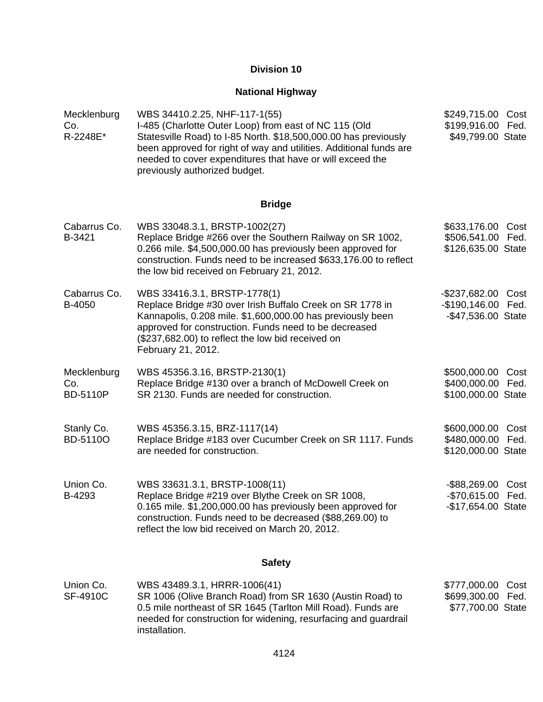# **National Highway**

| Mecklenburg<br>Co.<br>R-2248E*        | WBS 34410.2.25, NHF-117-1(55)<br>I-485 (Charlotte Outer Loop) from east of NC 115 (Old<br>Statesville Road) to I-85 North. \$18,500,000.00 has previously<br>been approved for right of way and utilities. Additional funds are<br>needed to cover expenditures that have or will exceed the<br>previously authorized budget. | \$249,715.00 Cost<br>\$199,916.00 Fed.<br>\$49,799.00 State          |
|---------------------------------------|-------------------------------------------------------------------------------------------------------------------------------------------------------------------------------------------------------------------------------------------------------------------------------------------------------------------------------|----------------------------------------------------------------------|
|                                       | <b>Bridge</b>                                                                                                                                                                                                                                                                                                                 |                                                                      |
| Cabarrus Co.<br>B-3421                | WBS 33048.3.1, BRSTP-1002(27)<br>Replace Bridge #266 over the Southern Railway on SR 1002,<br>0.266 mile. \$4,500,000.00 has previously been approved for<br>construction. Funds need to be increased \$633,176.00 to reflect<br>the low bid received on February 21, 2012.                                                   | \$633,176.00 Cost<br>\$506,541.00 Fed.<br>\$126,635.00 State         |
| Cabarrus Co.<br>B-4050                | WBS 33416.3.1, BRSTP-1778(1)<br>Replace Bridge #30 over Irish Buffalo Creek on SR 1778 in<br>Kannapolis, 0.208 mile. \$1,600,000.00 has previously been<br>approved for construction. Funds need to be decreased<br>(\$237,682.00) to reflect the low bid received on<br>February 21, 2012.                                   | $-$ \$237,682.00<br>Cost<br>-\$190,146.00 Fed.<br>-\$47,536.00 State |
| Mecklenburg<br>Co.<br><b>BD-5110P</b> | WBS 45356.3.16, BRSTP-2130(1)<br>Replace Bridge #130 over a branch of McDowell Creek on<br>SR 2130. Funds are needed for construction.                                                                                                                                                                                        | \$500,000.00 Cost<br>\$400,000.00 Fed.<br>\$100,000.00 State         |
| Stanly Co.<br>BD-5110O                | WBS 45356.3.15, BRZ-1117(14)<br>Replace Bridge #183 over Cucumber Creek on SR 1117. Funds<br>are needed for construction.                                                                                                                                                                                                     | \$600,000.00 Cost<br>\$480,000.00 Fed.<br>\$120,000.00 State         |
| Union Co.<br>B-4293                   | WBS 33631.3.1, BRSTP-1008(11)<br>Replace Bridge #219 over Blythe Creek on SR 1008,<br>0.165 mile. \$1,200,000.00 has previously been approved for<br>construction. Funds need to be decreased (\$88,269.00) to<br>reflect the low bid received on March 20, 2012.                                                             | -\$88,269.00 Cost<br>-\$70,615.00 Fed.<br>-\$17,654.00 State         |
|                                       | <b>Safety</b>                                                                                                                                                                                                                                                                                                                 |                                                                      |
| Union Co.<br>SF-4910C                 | WBS 43489.3.1, HRRR-1006(41)<br>SR 1006 (Olive Branch Road) from SR 1630 (Austin Road) to<br>0.5 mile northeast of SR 1645 (Tarlton Mill Road). Funds are                                                                                                                                                                     | \$777,000.00<br>Cost<br>\$699,300.00<br>Fed.<br>\$77,700.00 State    |

0.5 mile northeast of SR 1645 (Tarlton Mill Road). Funds are needed for construction for widening, resurfacing and guardrail installation.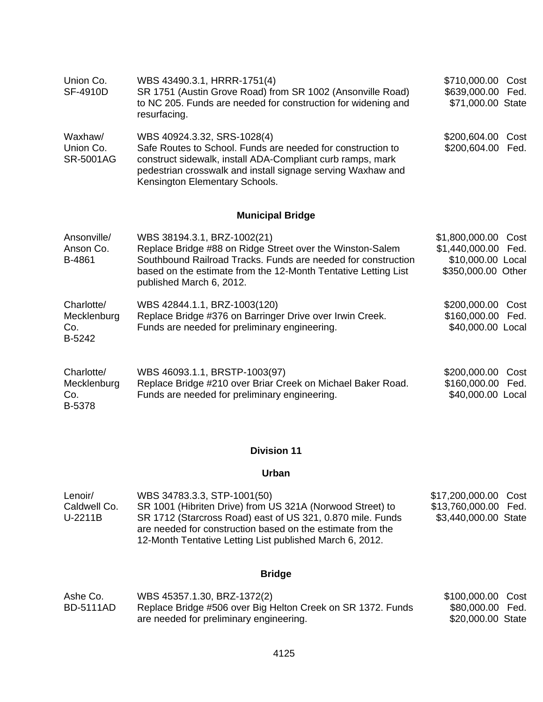| Union Co.<br><b>SF-4910D</b>               | WBS 43490.3.1, HRRR-1751(4)<br>SR 1751 (Austin Grove Road) from SR 1002 (Ansonville Road)<br>to NC 205. Funds are needed for construction for widening and<br>resurfacing.                                                                                | \$710,000.00<br>Cost<br>\$639,000.00<br>Fed.<br>\$71,000.00 State                           |
|--------------------------------------------|-----------------------------------------------------------------------------------------------------------------------------------------------------------------------------------------------------------------------------------------------------------|---------------------------------------------------------------------------------------------|
| Waxhaw/<br>Union Co.<br><b>SR-5001AG</b>   | WBS 40924.3.32, SRS-1028(4)<br>Safe Routes to School. Funds are needed for construction to<br>construct sidewalk, install ADA-Compliant curb ramps, mark<br>pedestrian crosswalk and install signage serving Waxhaw and<br>Kensington Elementary Schools. | \$200,604.00<br>Cost<br>\$200,604.00<br>Fed.                                                |
|                                            | <b>Municipal Bridge</b>                                                                                                                                                                                                                                   |                                                                                             |
| Ansonville/<br>Anson Co.<br>B-4861         | WBS 38194.3.1, BRZ-1002(21)<br>Replace Bridge #88 on Ridge Street over the Winston-Salem<br>Southbound Railroad Tracks. Funds are needed for construction<br>based on the estimate from the 12-Month Tentative Letting List<br>published March 6, 2012.   | \$1,800,000.00<br>Cost<br>\$1,440,000.00<br>Fed.<br>\$10,000.00 Local<br>\$350,000.00 Other |
| Charlotte/<br>Mecklenburg<br>Co.<br>B-5242 | WBS 42844.1.1, BRZ-1003(120)<br>Replace Bridge #376 on Barringer Drive over Irwin Creek.<br>Funds are needed for preliminary engineering.                                                                                                                 | \$200,000.00<br>Cost<br>\$160,000.00<br>Fed.<br>\$40,000.00 Local                           |
| Charlotte/<br>Mecklenburg<br>Co.<br>B-5378 | WBS 46093.1.1, BRSTP-1003(97)<br>Replace Bridge #210 over Briar Creek on Michael Baker Road.<br>Funds are needed for preliminary engineering.                                                                                                             | \$200,000.00<br>Cost<br>\$160,000.00<br>Fed.<br>\$40,000.00 Local                           |

### **Urban**

| Lenoir/      | WBS 34783.3.3, STP-1001(50)                                                                                                                                                          | \$17,200,000.00 Cost |  |
|--------------|--------------------------------------------------------------------------------------------------------------------------------------------------------------------------------------|----------------------|--|
| Caldwell Co. | SR 1001 (Hibriten Drive) from US 321A (Norwood Street) to                                                                                                                            | \$13,760,000.00 Fed. |  |
| U-2211B      | SR 1712 (Starcross Road) east of US 321, 0.870 mile. Funds<br>are needed for construction based on the estimate from the<br>12-Month Tentative Letting List published March 6, 2012. | \$3,440,000.00 State |  |

# **Bridge**

| Ashe Co.         | WBS 45357.1.30, BRZ-1372(2)                                 | \$100,000.00 Cost |  |
|------------------|-------------------------------------------------------------|-------------------|--|
| <b>BD-5111AD</b> | Replace Bridge #506 over Big Helton Creek on SR 1372. Funds | \$80,000.00 Fed.  |  |
|                  | are needed for preliminary engineering.                     | \$20,000.00 State |  |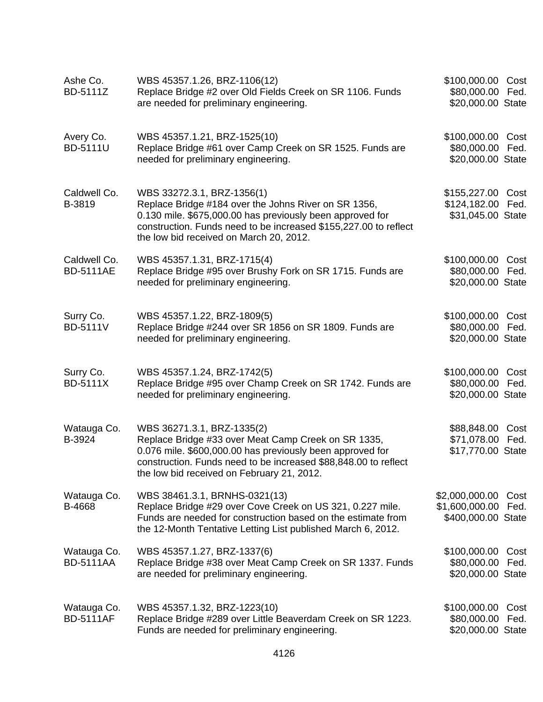| Ashe Co.<br>BD-5111Z             | WBS 45357.1.26, BRZ-1106(12)<br>Replace Bridge #2 over Old Fields Creek on SR 1106. Funds<br>are needed for preliminary engineering.                                                                                                                            | \$100,000.00 Cost<br>\$80,000.00 Fed.<br>\$20,000.00 State  |              |
|----------------------------------|-----------------------------------------------------------------------------------------------------------------------------------------------------------------------------------------------------------------------------------------------------------------|-------------------------------------------------------------|--------------|
| Avery Co.<br><b>BD-5111U</b>     | WBS 45357.1.21, BRZ-1525(10)<br>Replace Bridge #61 over Camp Creek on SR 1525. Funds are<br>needed for preliminary engineering.                                                                                                                                 | \$100,000.00 Cost<br>\$80,000.00 Fed.<br>\$20,000.00 State  |              |
| Caldwell Co.<br>B-3819           | WBS 33272.3.1, BRZ-1356(1)<br>Replace Bridge #184 over the Johns River on SR 1356,<br>0.130 mile. \$675,000.00 has previously been approved for<br>construction. Funds need to be increased \$155,227.00 to reflect<br>the low bid received on March 20, 2012.  | \$155,227.00 Cost<br>\$124,182.00 Fed.<br>\$31,045.00 State |              |
| Caldwell Co.<br><b>BD-5111AE</b> | WBS 45357.1.31, BRZ-1715(4)<br>Replace Bridge #95 over Brushy Fork on SR 1715. Funds are<br>needed for preliminary engineering.                                                                                                                                 | \$100,000.00 Cost<br>\$80,000.00 Fed.<br>\$20,000.00 State  |              |
| Surry Co.<br><b>BD-5111V</b>     | WBS 45357.1.22, BRZ-1809(5)<br>Replace Bridge #244 over SR 1856 on SR 1809. Funds are<br>needed for preliminary engineering.                                                                                                                                    | \$100,000.00 Cost<br>\$80,000.00<br>\$20,000.00 State       | Fed.         |
| Surry Co.<br><b>BD-5111X</b>     | WBS 45357.1.24, BRZ-1742(5)<br>Replace Bridge #95 over Champ Creek on SR 1742. Funds are<br>needed for preliminary engineering.                                                                                                                                 | \$100,000.00 Cost<br>\$80,000.00 Fed.<br>\$20,000.00 State  |              |
| Watauga Co.<br>B-3924            | WBS 36271.3.1, BRZ-1335(2)<br>Replace Bridge #33 over Meat Camp Creek on SR 1335,<br>0.076 mile. \$600,000.00 has previously been approved for<br>construction. Funds need to be increased \$88,848.00 to reflect<br>the low bid received on February 21, 2012. | \$88,848.00<br>\$71,078.00 Fed.<br>\$17,770.00 State        | Cost         |
| Watauga Co.<br>B-4668            | WBS 38461.3.1, BRNHS-0321(13)<br>Replace Bridge #29 over Cove Creek on US 321, 0.227 mile.<br>Funds are needed for construction based on the estimate from<br>the 12-Month Tentative Letting List published March 6, 2012.                                      | \$2,000,000.00<br>\$1,600,000.00<br>\$400,000.00 State      | Cost<br>Fed. |
| Watauga Co.<br><b>BD-5111AA</b>  | WBS 45357.1.27, BRZ-1337(6)<br>Replace Bridge #38 over Meat Camp Creek on SR 1337. Funds<br>are needed for preliminary engineering.                                                                                                                             | \$100,000.00<br>\$80,000.00<br>\$20,000.00 State            | Cost<br>Fed. |
| Watauga Co.<br><b>BD-5111AF</b>  | WBS 45357.1.32, BRZ-1223(10)<br>Replace Bridge #289 over Little Beaverdam Creek on SR 1223.<br>Funds are needed for preliminary engineering.                                                                                                                    | \$100,000.00<br>\$80,000.00<br>\$20,000.00 State            | Cost<br>Fed. |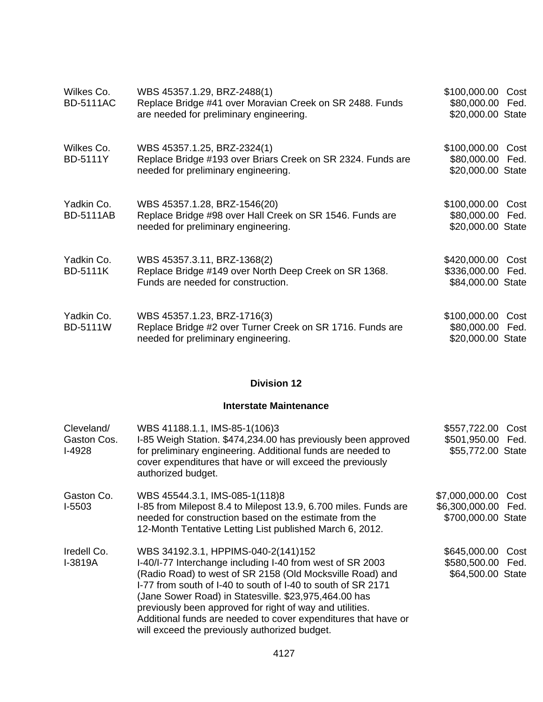| Wilkes Co.<br><b>BD-5111AC</b> | WBS 45357.1.29, BRZ-2488(1)<br>Replace Bridge #41 over Moravian Creek on SR 2488. Funds<br>are needed for preliminary engineering. | \$100,000.00<br>Cost<br>\$80,000.00 Fed.<br>\$20,000.00 State  |
|--------------------------------|------------------------------------------------------------------------------------------------------------------------------------|----------------------------------------------------------------|
| Wilkes Co.<br><b>BD-5111Y</b>  | WBS 45357.1.25, BRZ-2324(1)<br>Replace Bridge #193 over Briars Creek on SR 2324. Funds are<br>needed for preliminary engineering.  | \$100,000.00<br>Cost<br>\$80,000.00 Fed.<br>\$20,000.00 State  |
| Yadkin Co.<br><b>BD-5111AB</b> | WBS 45357.1.28, BRZ-1546(20)<br>Replace Bridge #98 over Hall Creek on SR 1546. Funds are<br>needed for preliminary engineering.    | \$100,000.00<br>Cost<br>\$80,000.00 Fed.<br>\$20,000.00 State  |
| Yadkin Co.<br><b>BD-5111K</b>  | WBS 45357.3.11, BRZ-1368(2)<br>Replace Bridge #149 over North Deep Creek on SR 1368.<br>Funds are needed for construction.         | \$420,000.00<br>Cost<br>\$336,000.00 Fed.<br>\$84,000.00 State |
| Yadkin Co.<br><b>BD-5111W</b>  | WBS 45357.1.23, BRZ-1716(3)<br>Replace Bridge #2 over Turner Creek on SR 1716. Funds are<br>needed for preliminary engineering.    | \$100,000.00<br>Cost<br>\$80,000.00 Fed.<br>\$20,000.00 State  |

### **Interstate Maintenance**

| Cleveland/<br>Gaston Cos.<br>$I-4928$ | WBS 41188.1.1, IMS-85-1(106)3<br>I-85 Weigh Station. \$474,234.00 has previously been approved<br>for preliminary engineering. Additional funds are needed to<br>cover expenditures that have or will exceed the previously<br>authorized budget.                                                                                                                                                                                                                     | \$557,722.00<br>\$501,950.00 Fed.<br>\$55,772.00 State           | Cost |
|---------------------------------------|-----------------------------------------------------------------------------------------------------------------------------------------------------------------------------------------------------------------------------------------------------------------------------------------------------------------------------------------------------------------------------------------------------------------------------------------------------------------------|------------------------------------------------------------------|------|
| Gaston Co.<br>$I-5503$                | WBS 45544.3.1, IMS-085-1(118)8<br>I-85 from Milepost 8.4 to Milepost 13.9, 6.700 miles. Funds are<br>needed for construction based on the estimate from the<br>12-Month Tentative Letting List published March 6, 2012.                                                                                                                                                                                                                                               | \$7,000,000.00 Cost<br>\$6,300,000.00 Fed.<br>\$700,000.00 State |      |
| Iredell Co.<br>I-3819A                | WBS 34192.3.1, HPPIMS-040-2(141)152<br>I-40/I-77 Interchange including I-40 from west of SR 2003<br>(Radio Road) to west of SR 2158 (Old Mocksville Road) and<br>I-77 from south of I-40 to south of I-40 to south of SR 2171<br>(Jane Sower Road) in Statesville. \$23,975,464.00 has<br>previously been approved for right of way and utilities.<br>Additional funds are needed to cover expenditures that have or<br>will exceed the previously authorized budget. | \$645,000.00<br>\$580,500.00 Fed.<br>\$64,500.00 State           | Cost |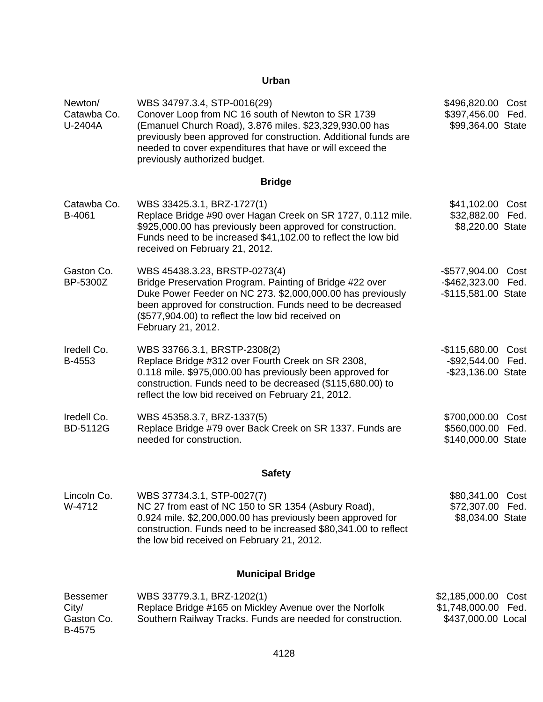### **Urban**

| Newton/<br>Catawba Co.<br>U-2404A                | WBS 34797.3.4, STP-0016(29)<br>Conover Loop from NC 16 south of Newton to SR 1739<br>(Emanuel Church Road), 3.876 miles. \$23,329,930.00 has<br>previously been approved for construction. Additional funds are<br>needed to cover expenditures that have or will exceed the<br>previously authorized budget. | \$496,820.00 Cost<br>\$397,456.00 Fed.<br>\$99,364.00 State            |
|--------------------------------------------------|---------------------------------------------------------------------------------------------------------------------------------------------------------------------------------------------------------------------------------------------------------------------------------------------------------------|------------------------------------------------------------------------|
|                                                  | <b>Bridge</b>                                                                                                                                                                                                                                                                                                 |                                                                        |
| Catawba Co.<br>B-4061                            | WBS 33425.3.1, BRZ-1727(1)<br>Replace Bridge #90 over Hagan Creek on SR 1727, 0.112 mile.<br>\$925,000.00 has previously been approved for construction.<br>Funds need to be increased \$41,102.00 to reflect the low bid<br>received on February 21, 2012.                                                   | \$41,102.00 Cost<br>\$32,882.00 Fed.<br>\$8,220.00 State               |
| Gaston Co.<br>BP-5300Z                           | WBS 45438.3.23, BRSTP-0273(4)<br>Bridge Preservation Program. Painting of Bridge #22 over<br>Duke Power Feeder on NC 273. \$2,000,000.00 has previously<br>been approved for construction. Funds need to be decreased<br>(\$577,904.00) to reflect the low bid received on<br>February 21, 2012.              | -\$577,904.00<br>Cost<br>-\$462,323.00 Fed.<br>-\$115,581.00 State     |
| Iredell Co.<br>B-4553                            | WBS 33766.3.1, BRSTP-2308(2)<br>Replace Bridge #312 over Fourth Creek on SR 2308,<br>0.118 mile. \$975,000.00 has previously been approved for<br>construction. Funds need to be decreased (\$115,680.00) to<br>reflect the low bid received on February 21, 2012.                                            | -\$115,680.00<br>Cost<br>-\$92,544.00 Fed.<br>-\$23,136.00 State       |
| Iredell Co.<br><b>BD-5112G</b>                   | WBS 45358.3.7, BRZ-1337(5)<br>Replace Bridge #79 over Back Creek on SR 1337. Funds are<br>needed for construction.                                                                                                                                                                                            | \$700,000.00<br>Cost<br>\$560,000.00 Fed.<br>\$140,000.00 State        |
|                                                  | <b>Safety</b>                                                                                                                                                                                                                                                                                                 |                                                                        |
| Lincoln Co.<br>W-4712                            | WBS 37734.3.1, STP-0027(7)<br>NC 27 from east of NC 150 to SR 1354 (Asbury Road),<br>0.924 mile. \$2,200,000.00 has previously been approved for<br>construction. Funds need to be increased \$80,341.00 to reflect<br>the low bid received on February 21, 2012.                                             | \$80,341.00 Cost<br>\$72,307.00 Fed.<br>\$8,034.00 State               |
|                                                  | <b>Municipal Bridge</b>                                                                                                                                                                                                                                                                                       |                                                                        |
| <b>Bessemer</b><br>City/<br>Gaston Co.<br>B-4575 | WBS 33779.3.1, BRZ-1202(1)<br>Replace Bridge #165 on Mickley Avenue over the Norfolk<br>Southern Railway Tracks. Funds are needed for construction.                                                                                                                                                           | \$2,185,000.00<br>Cost<br>\$1,748,000.00<br>Fed.<br>\$437,000.00 Local |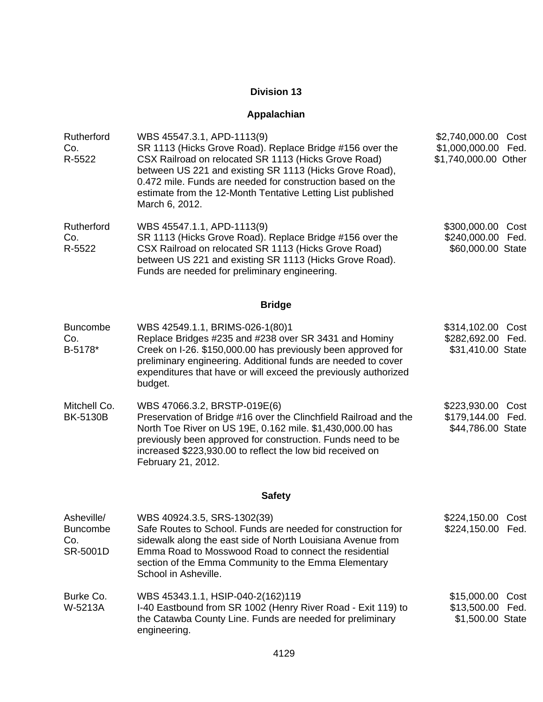# **Appalachian**

| Rutherford<br>Co.<br>R-5522                      | WBS 45547.3.1, APD-1113(9)<br>SR 1113 (Hicks Grove Road). Replace Bridge #156 over the<br>CSX Railroad on relocated SR 1113 (Hicks Grove Road)<br>between US 221 and existing SR 1113 (Hicks Grove Road),<br>0.472 mile. Funds are needed for construction based on the<br>estimate from the 12-Month Tentative Letting List published<br>March 6, 2012. | \$2,740,000.00<br>\$1,000,000.00<br>\$1,740,000.00 Other | Cost<br>Fed. |
|--------------------------------------------------|----------------------------------------------------------------------------------------------------------------------------------------------------------------------------------------------------------------------------------------------------------------------------------------------------------------------------------------------------------|----------------------------------------------------------|--------------|
| Rutherford<br>Co.<br>R-5522                      | WBS 45547.1.1, APD-1113(9)<br>SR 1113 (Hicks Grove Road). Replace Bridge #156 over the<br>CSX Railroad on relocated SR 1113 (Hicks Grove Road)<br>between US 221 and existing SR 1113 (Hicks Grove Road).<br>Funds are needed for preliminary engineering.                                                                                               | \$300,000.00<br>\$240,000.00<br>\$60,000.00 State        | Cost<br>Fed. |
|                                                  | <b>Bridge</b>                                                                                                                                                                                                                                                                                                                                            |                                                          |              |
| <b>Buncombe</b><br>Co.<br>B-5178*                | WBS 42549.1.1, BRIMS-026-1(80)1<br>Replace Bridges #235 and #238 over SR 3431 and Hominy<br>Creek on I-26. \$150,000.00 has previously been approved for<br>preliminary engineering. Additional funds are needed to cover<br>expenditures that have or will exceed the previously authorized<br>budget.                                                  | \$314,102.00<br>\$282,692.00<br>\$31,410.00 State        | Cost<br>Fed. |
| Mitchell Co.<br><b>BK-5130B</b>                  | WBS 47066.3.2, BRSTP-019E(6)<br>Preservation of Bridge #16 over the Clinchfield Railroad and the<br>North Toe River on US 19E, 0.162 mile. \$1,430,000.00 has<br>previously been approved for construction. Funds need to be<br>increased \$223,930.00 to reflect the low bid received on<br>February 21, 2012.                                          | \$223,930.00<br>\$179,144.00<br>\$44,786.00 State        | Cost<br>Fed. |
|                                                  | <b>Safety</b>                                                                                                                                                                                                                                                                                                                                            |                                                          |              |
| Asheville/<br><b>Buncombe</b><br>Co.<br>SR-5001D | WBS 40924.3.5, SRS-1302(39)<br>Safe Routes to School. Funds are needed for construction for<br>sidewalk along the east side of North Louisiana Avenue from<br>Emma Road to Mosswood Road to connect the residential<br>section of the Emma Community to the Emma Elementary<br>School in Asheville.                                                      | \$224,150.00 Cost<br>\$224,150.00 Fed.                   |              |
| Burke Co.<br>W-5213A                             | WBS 45343.1.1, HSIP-040-2(162)119<br>I-40 Eastbound from SR 1002 (Henry River Road - Exit 119) to<br>the Catawba County Line. Funds are needed for preliminary<br>engineering.                                                                                                                                                                           | \$15,000.00 Cost<br>\$13,500.00<br>\$1,500.00 State      | Fed.         |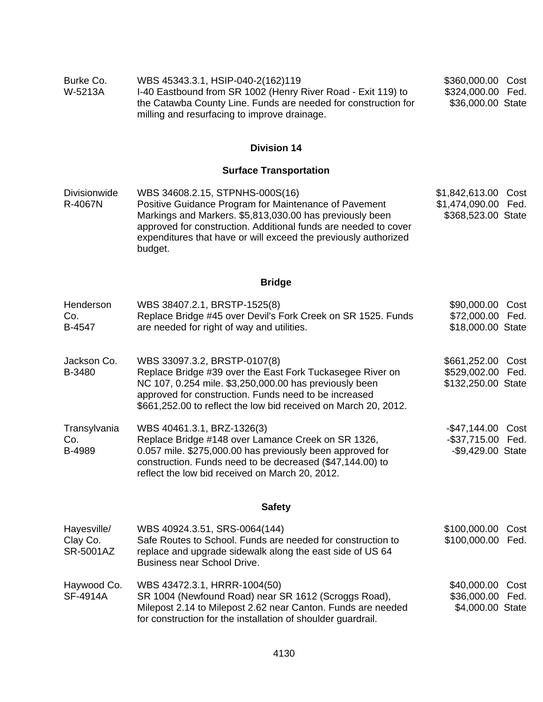| Burke Co.<br>W-5213A                        | WBS 45343.3.1, HSIP-040-2(162)119<br>I-40 Eastbound from SR 1002 (Henry River Road - Exit 119) to<br>the Catawba County Line. Funds are needed for construction for<br>milling and resurfacing to improve drainage.                                                                                   | \$360,000.00 Cost<br>\$324,000.00 Fed.<br>\$36,000.00 State       |
|---------------------------------------------|-------------------------------------------------------------------------------------------------------------------------------------------------------------------------------------------------------------------------------------------------------------------------------------------------------|-------------------------------------------------------------------|
|                                             | <b>Division 14</b>                                                                                                                                                                                                                                                                                    |                                                                   |
|                                             | <b>Surface Transportation</b>                                                                                                                                                                                                                                                                         |                                                                   |
| Divisionwide<br>R-4067N                     | WBS 34608.2.15, STPNHS-000S(16)<br>Positive Guidance Program for Maintenance of Pavement<br>Markings and Markers. \$5,813,030.00 has previously been<br>approved for construction. Additional funds are needed to cover<br>expenditures that have or will exceed the previously authorized<br>budget. | \$1,842,613.00 Cost<br>\$1,474,090.00 Fed.<br>\$368,523.00 State  |
|                                             | <b>Bridge</b>                                                                                                                                                                                                                                                                                         |                                                                   |
| Henderson<br>Co.<br>B-4547                  | WBS 38407.2.1, BRSTP-1525(8)<br>Replace Bridge #45 over Devil's Fork Creek on SR 1525. Funds<br>are needed for right of way and utilities.                                                                                                                                                            | \$90,000.00 Cost<br>\$72,000.00 Fed.<br>\$18,000.00 State         |
| Jackson Co.<br>B-3480                       | WBS 33097.3.2, BRSTP-0107(8)<br>Replace Bridge #39 over the East Fork Tuckasegee River on<br>NC 107, 0.254 mile. \$3,250,000.00 has previously been<br>approved for construction. Funds need to be increased<br>\$661,252.00 to reflect the low bid received on March 20, 2012.                       | \$661,252.00 Cost<br>\$529,002.00 Fed.<br>\$132,250.00 State      |
| Transylvania<br>Co.<br>B-4989               | WBS 40461.3.1, BRZ-1326(3)<br>Replace Bridge #148 over Lamance Creek on SR 1326,<br>0.057 mile. \$275,000.00 has previously been approved for<br>construction. Funds need to be decreased (\$47,144.00) to<br>reflect the low bid received on March 20, 2012.                                         | $-$ \$47,144.00<br>Cost<br>-\$37,715.00 Fed.<br>-\$9,429.00 State |
|                                             | <b>Safety</b>                                                                                                                                                                                                                                                                                         |                                                                   |
| Hayesville/<br>Clay Co.<br><b>SR-5001AZ</b> | WBS 40924.3.51, SRS-0064(144)<br>Safe Routes to School. Funds are needed for construction to<br>replace and upgrade sidewalk along the east side of US 64<br>Business near School Drive.                                                                                                              | \$100,000.00<br>Cost<br>\$100,000.00<br>Fed.                      |
| Haywood Co.<br><b>SF-4914A</b>              | WBS 43472.3.1, HRRR-1004(50)<br>SR 1004 (Newfound Road) near SR 1612 (Scroggs Road),<br>Milepost 2.14 to Milepost 2.62 near Canton. Funds are needed<br>for construction for the installation of shoulder guardrail.                                                                                  | \$40,000.00<br>Cost<br>\$36,000.00 Fed.<br>\$4,000.00 State       |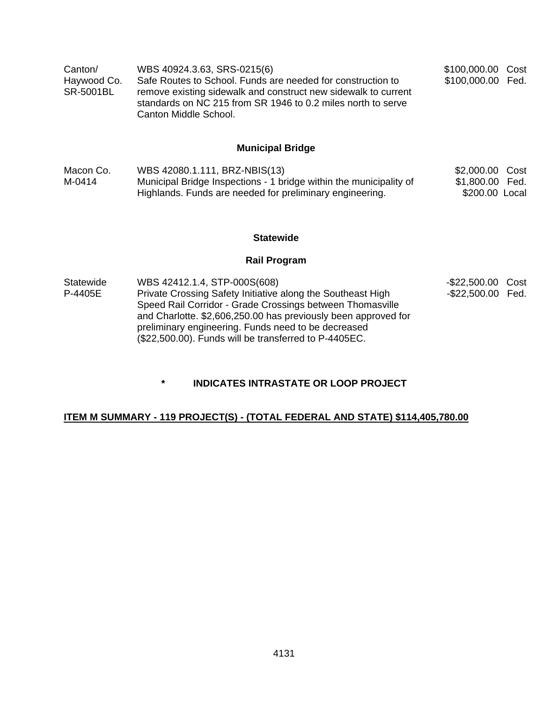| Canton/          | WBS 40924.3.63, SRS-0215(6)                                                                                                                             | \$100,000.00 Cost |  |
|------------------|---------------------------------------------------------------------------------------------------------------------------------------------------------|-------------------|--|
| Haywood Co.      | Safe Routes to School. Funds are needed for construction to                                                                                             | \$100,000.00 Fed. |  |
| <b>SR-5001BL</b> | remove existing sidewalk and construct new sidewalk to current<br>standards on NC 215 from SR 1946 to 0.2 miles north to serve<br>Canton Middle School. |                   |  |

## **Municipal Bridge**

| Macon Co. | WBS 42080.1.111, BRZ-NBIS(13)                                      | \$2,000.00 Cost |  |
|-----------|--------------------------------------------------------------------|-----------------|--|
| M-0414    | Municipal Bridge Inspections - 1 bridge within the municipality of | \$1,800.00 Fed. |  |
|           | Highlands. Funds are needed for preliminary engineering.           | \$200.00 Local  |  |

#### **Statewide**

## **Rail Program**

| Statewide | WBS 42412.1.4, STP-000S(608)                                                                                                | -\$22,500.00 Cost |  |
|-----------|-----------------------------------------------------------------------------------------------------------------------------|-------------------|--|
| P-4405E   | Private Crossing Safety Initiative along the Southeast High                                                                 | -\$22,500.00 Fed. |  |
|           | Speed Rail Corridor - Grade Crossings between Thomasville<br>and Charlotte. \$2,606,250.00 has previously been approved for |                   |  |
|           | preliminary engineering. Funds need to be decreased<br>(\$22,500.00). Funds will be transferred to P-4405EC.                |                   |  |

**\* INDICATES INTRASTATE OR LOOP PROJECT** 

## **ITEM M SUMMARY - 119 PROJECT(S) - (TOTAL FEDERAL AND STATE) \$114,405,780.00**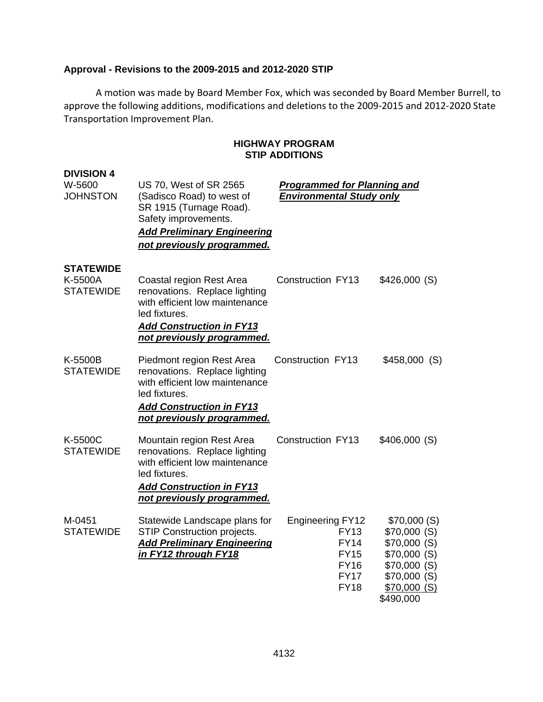### **Approval - Revisions to the 2009-2015 and 2012-2020 STIP**

A motion was made by Board Member Fox, which was seconded by Board Member Burrell, to approve the following additions, modifications and deletions to the 2009‐2015 and 2012‐2020 State Transportation Improvement Plan.

#### **HIGHWAY PROGRAM STIP ADDITIONS**

| <b>DIVISION 4</b><br>W-5600<br><b>JOHNSTON</b>  | US 70, West of SR 2565<br>(Sadisco Road) to west of<br>SR 1915 (Turnage Road).<br>Safety improvements.<br><b>Add Preliminary Engineering</b><br>not previously programmed.     | <b>Programmed for Planning and</b><br><b>Environmental Study only</b>                                             |                                                                                                                       |
|-------------------------------------------------|--------------------------------------------------------------------------------------------------------------------------------------------------------------------------------|-------------------------------------------------------------------------------------------------------------------|-----------------------------------------------------------------------------------------------------------------------|
| <b>STATEWIDE</b><br>K-5500A<br><b>STATEWIDE</b> | Coastal region Rest Area<br>renovations. Replace lighting<br>with efficient low maintenance<br>led fixtures.<br><b>Add Construction in FY13</b><br>not previously programmed.  | <b>Construction FY13</b>                                                                                          | \$426,000 (S)                                                                                                         |
| K-5500B<br><b>STATEWIDE</b>                     | Piedmont region Rest Area<br>renovations. Replace lighting<br>with efficient low maintenance<br>led fixtures.<br><b>Add Construction in FY13</b><br>not previously programmed. | Construction FY13                                                                                                 | $$458,000$ (S)                                                                                                        |
| K-5500C<br><b>STATEWIDE</b>                     | Mountain region Rest Area<br>renovations. Replace lighting<br>with efficient low maintenance<br>led fixtures.<br><b>Add Construction in FY13</b><br>not previously programmed. | <b>Construction FY13</b>                                                                                          | \$406,000(S)                                                                                                          |
| M-0451<br><b>STATEWIDE</b>                      | Statewide Landscape plans for<br>STIP Construction projects.<br><b>Add Preliminary Engineering</b><br>in FY12 through FY18                                                     | <b>Engineering FY12</b><br><b>FY13</b><br><b>FY14</b><br><b>FY15</b><br><b>FY16</b><br><b>FY17</b><br><b>FY18</b> | \$70,000 (S)<br>\$70,000 (S)<br>\$70,000(S)<br>\$70,000(S)<br>\$70,000(S)<br>\$70,000 (S)<br>\$70,000(S)<br>\$490,000 |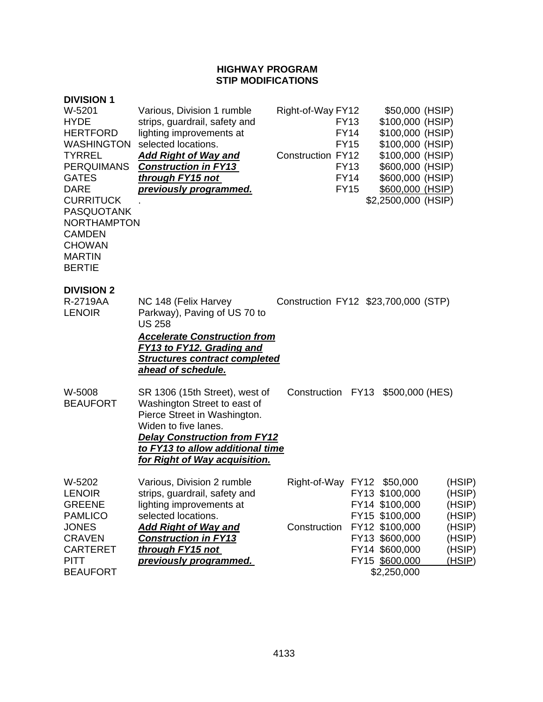### **HIGHWAY PROGRAM STIP MODIFICATIONS**

| <b>DIVISION 1</b><br>W-5201<br><b>HYDE</b><br><b>HERTFORD</b><br><b>WASHINGTON</b><br><b>TYRREL</b><br><b>PERQUIMANS</b><br><b>GATES</b><br><b>DARE</b><br><b>CURRITUCK</b><br><b>PASQUOTANK</b><br><b>NORTHAMPTON</b><br><b>CAMDEN</b><br><b>CHOWAN</b><br><b>MARTIN</b><br><b>BERTIE</b> | Various, Division 1 rumble<br>strips, guardrail, safety and<br>lighting improvements at<br>selected locations.<br><u>Add Right of Way and </u><br><b>Construction in FY13</b><br>through FY15 not<br>previously programmed.               | Right-of-Way FY12<br><b>Construction FY12</b> | <b>FY13</b><br><b>FY14</b><br><b>FY15</b><br><b>FY13</b><br><b>FY14</b><br><b>FY15</b> | \$50,000 (HSIP)<br>\$100,000 (HSIP)<br>\$100,000 (HSIP)<br>\$100,000 (HSIP)<br>\$100,000 (HSIP)<br>\$600,000 (HSIP)<br>\$600,000 (HSIP)<br>\$600,000 (HSIP)<br>\$2,2500,000 (HSIP) |                                                                              |
|--------------------------------------------------------------------------------------------------------------------------------------------------------------------------------------------------------------------------------------------------------------------------------------------|-------------------------------------------------------------------------------------------------------------------------------------------------------------------------------------------------------------------------------------------|-----------------------------------------------|----------------------------------------------------------------------------------------|------------------------------------------------------------------------------------------------------------------------------------------------------------------------------------|------------------------------------------------------------------------------|
| <b>DIVISION 2</b><br>R-2719AA<br><b>LENOIR</b>                                                                                                                                                                                                                                             | NC 148 (Felix Harvey<br>Parkway), Paving of US 70 to<br><b>US 258</b><br><b>Accelerate Construction from</b><br>FY13 to FY12. Grading and<br><b>Structures contract completed</b><br>ahead of schedule.                                   | Construction FY12 \$23,700,000 (STP)          |                                                                                        |                                                                                                                                                                                    |                                                                              |
| W-5008<br><b>BEAUFORT</b>                                                                                                                                                                                                                                                                  | SR 1306 (15th Street), west of<br>Washington Street to east of<br>Pierce Street in Washington.<br>Widen to five lanes.<br><b>Delay Construction from FY12</b><br>to FY13 to allow additional time<br><u>for Right of Way acquisition.</u> | Construction FY13                             |                                                                                        | \$500,000 (HES)                                                                                                                                                                    |                                                                              |
| W-5202<br><b>LENOIR</b><br><b>GREENE</b><br><b>PAMLICO</b><br><b>JONES</b><br><b>CRAVEN</b><br><b>CARTERET</b><br><b>PITT</b><br><b>BEAUFORT</b>                                                                                                                                           | Various, Division 2 rumble<br>strips, guardrail, safety and<br>lighting improvements at<br>selected locations.<br><b>Add Right of Way and</b><br><b>Construction in FY13</b><br>through FY15 not<br>previously programmed.                | Right-of-Way FY12 \$50,000<br>Construction    |                                                                                        | FY13 \$100,000<br>FY14 \$100,000<br>FY15 \$100,000<br>FY12 \$100,000<br>FY13 \$600,000<br>FY14 \$600,000<br>FY15 \$600,000<br>\$2,250,000                                          | (HSIP)<br>(HSIP)<br>(HSIP)<br>(HSIP)<br>(HSIP)<br>(HSIP)<br>(HSIP)<br>(HSIP) |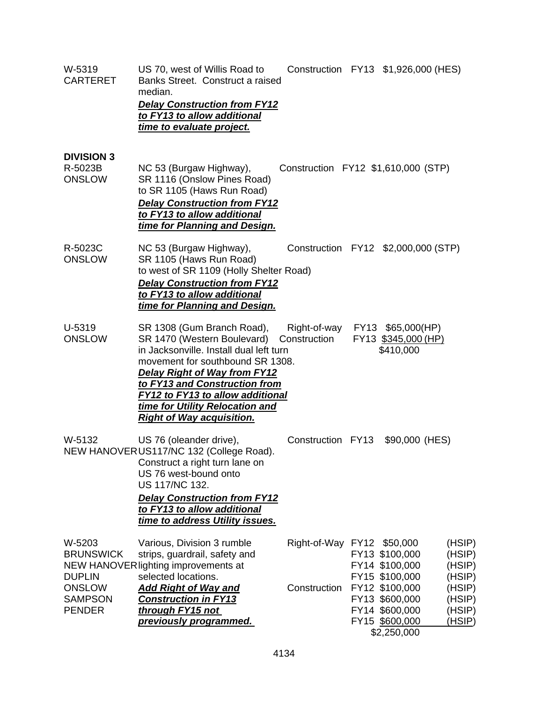| W-5319<br><b>CARTERET</b>                                                                       | US 70, west of Willis Road to<br>Banks Street. Construct a raised<br>median.<br><b>Delay Construction from FY12</b><br>to FY13 to allow additional<br>time to evaluate project.                                                                                                                                             | Construction FY13 \$1,926,000 (HES)            |                                                                                                                                           |                                                                              |
|-------------------------------------------------------------------------------------------------|-----------------------------------------------------------------------------------------------------------------------------------------------------------------------------------------------------------------------------------------------------------------------------------------------------------------------------|------------------------------------------------|-------------------------------------------------------------------------------------------------------------------------------------------|------------------------------------------------------------------------------|
| <b>DIVISION 3</b><br>R-5023B<br><b>ONSLOW</b>                                                   | NC 53 (Burgaw Highway),<br>SR 1116 (Onslow Pines Road)<br>to SR 1105 (Haws Run Road)<br><b>Delay Construction from FY12</b><br>to FY13 to allow additional<br>time for Planning and Design.                                                                                                                                 | Construction FY12 \$1,610,000 (STP)            |                                                                                                                                           |                                                                              |
| R-5023C<br><b>ONSLOW</b>                                                                        | NC 53 (Burgaw Highway),<br>SR 1105 (Haws Run Road)<br>to west of SR 1109 (Holly Shelter Road)<br><b>Delay Construction from FY12</b><br>to FY13 to allow additional<br>time for Planning and Design.                                                                                                                        | Construction FY12 \$2,000,000 (STP)            |                                                                                                                                           |                                                                              |
| U-5319<br><b>ONSLOW</b>                                                                         | SR 1308 (Gum Branch Road),<br>SR 1470 (Western Boulevard)<br>in Jacksonville. Install dual left turn<br>movement for southbound SR 1308.<br><b>Delay Right of Way from FY12</b><br>to FY13 and Construction from<br>FY12 to FY13 to allow additional<br>time for Utility Relocation and<br><b>Right of Way acquisition.</b> | Right-of-way FY13 \$65,000(HP)<br>Construction | FY13 \$345,000 (HP)<br>\$410,000                                                                                                          |                                                                              |
| W-5132                                                                                          | US 76 (oleander drive),<br>NEW HANOVERUS117/NC 132 (College Road).<br>Construct a right turn lane on<br>US 76 west-bound onto<br>US 117/NC 132.<br><b>Delay Construction from FY12</b><br>to FY13 to allow additional<br>time to address Utility issues.                                                                    | Construction FY13 \$90,000 (HES)               |                                                                                                                                           |                                                                              |
| W-5203<br><b>BRUNSWICK</b><br><b>DUPLIN</b><br><b>ONSLOW</b><br><b>SAMPSON</b><br><b>PENDER</b> | Various, Division 3 rumble<br>strips, guardrail, safety and<br>NEW HANOVER lighting improvements at<br>selected locations.<br><b>Add Right of Way and</b><br><b>Construction in FY13</b><br>through FY15 not<br>previously programmed.                                                                                      | Right-of-Way FY12 \$50,000<br>Construction     | FY13 \$100,000<br>FY14 \$100,000<br>FY15 \$100,000<br>FY12 \$100,000<br>FY13 \$600,000<br>FY14 \$600,000<br>FY15 \$600,000<br>\$2,250,000 | (HSIP)<br>(HSIP)<br>(HSIP)<br>(HSIP)<br>(HSIP)<br>(HSIP)<br>(HSIP)<br>(HSIP) |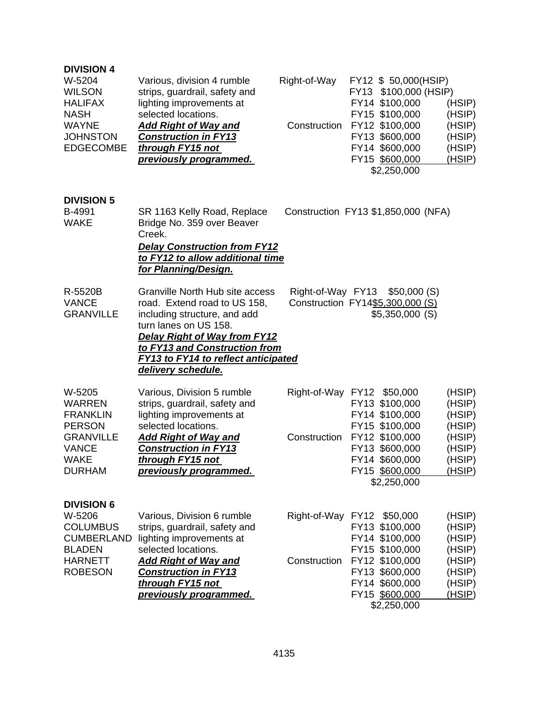| <b>DIVISION 4</b><br>W-5204<br><b>WILSON</b><br><b>HALIFAX</b><br><b>NASH</b><br><b>WAYNE</b><br><b>JOHNSTON</b><br><b>EDGECOMBE</b> | Various, division 4 rumble<br>strips, guardrail, safety and<br>lighting improvements at<br>selected locations.<br><b>Add Right of Way and</b><br><b>Construction in FY13</b><br>through FY15 not<br>previously programmed.                                           | Right-of-Way<br>Construction | FY12 \$ 50,000(HSIP)<br>FY13 \$100,000 (HSIP)<br>FY14 \$100,000<br>FY15 \$100,000<br>FY12 \$100,000<br>FY13 \$600,000<br>FY14 \$600,000<br>FY15 \$600,000<br>\$2,250,000 | (HSIP)<br>(HSIP)<br>(HSIP)<br>(HSIP)<br>(HSIP)<br>(HSIP) |
|--------------------------------------------------------------------------------------------------------------------------------------|----------------------------------------------------------------------------------------------------------------------------------------------------------------------------------------------------------------------------------------------------------------------|------------------------------|--------------------------------------------------------------------------------------------------------------------------------------------------------------------------|----------------------------------------------------------|
| <b>DIVISION 5</b><br>B-4991<br><b>WAKE</b>                                                                                           | SR 1163 Kelly Road, Replace<br>Bridge No. 359 over Beaver<br>Creek.<br><b>Delay Construction from FY12</b><br>to FY12 to allow additional time<br>for Planning/Design.                                                                                               |                              | Construction FY13 \$1,850,000 (NFA)                                                                                                                                      |                                                          |
| R-5520B<br><b>VANCE</b><br><b>GRANVILLE</b>                                                                                          | Granville North Hub site access<br>road. Extend road to US 158,<br>including structure, and add<br>turn lanes on US 158.<br><b>Delay Right of Way from FY12</b><br>to FY13 and Construction from<br><b>FY13 to FY14 to reflect anticipated</b><br>delivery schedule. |                              | Right-of-Way FY13 \$50,000 (S)<br>Construction FY14\$5,300,000 (S)<br>\$5,350,000(S)                                                                                     |                                                          |
| W-5205<br><b>WARREN</b><br><b>FRANKLIN</b><br><b>PERSON</b>                                                                          | Various, Division 5 rumble<br>strips, guardrail, safety and<br>lighting improvements at<br>selected locations.                                                                                                                                                       |                              | Right-of-Way FY12 \$50,000<br>FY13 \$100,000<br>FY14 \$100,000<br>FY15 \$100,000                                                                                         | (HSIP)<br>(HSIP)<br>(HSIP)<br>(HSIP)                     |
| <b>GRANVILLE</b><br><b>VANCE</b><br><b>WAKE</b><br><b>DURHAM</b>                                                                     | <u>Add Right of Way and </u><br><b>Construction in FY13</b><br>through FY15 not<br>previously programmed.                                                                                                                                                            | Construction                 | FY12 \$100,000<br>FY13 \$600,000<br>FY14 \$600,000<br>FY15 \$600,000<br>\$2,250,000                                                                                      | (HSIP)<br>(HSIP)<br>(HSIP)<br>(HSIP)                     |
| <b>DIVISION 6</b><br>W-5206<br><b>COLUMBUS</b><br><b>CUMBERLAND</b><br><b>BLADEN</b><br><b>HARNETT</b>                               | Various, Division 6 rumble<br>strips, guardrail, safety and<br>lighting improvements at<br>selected locations.<br><u>Add Right of Way and </u>                                                                                                                       | Construction                 | Right-of-Way FY12 \$50,000<br>FY13 \$100,000<br>FY14 \$100,000<br>FY15 \$100,000<br>FY12 \$100,000                                                                       | (HSIP)<br>(HSIP)<br>(HSIP)<br>(HSIP)<br>(HSIP)           |
| <b>ROBESON</b>                                                                                                                       | <b>Construction in FY13</b><br>through FY15 not<br>previously programmed.                                                                                                                                                                                            |                              | FY13 \$600,000<br>FY14 \$600,000<br>FY15 \$600,000<br>\$2,250,000                                                                                                        | (HSIP)<br>(HSIP)<br>(HSIP)                               |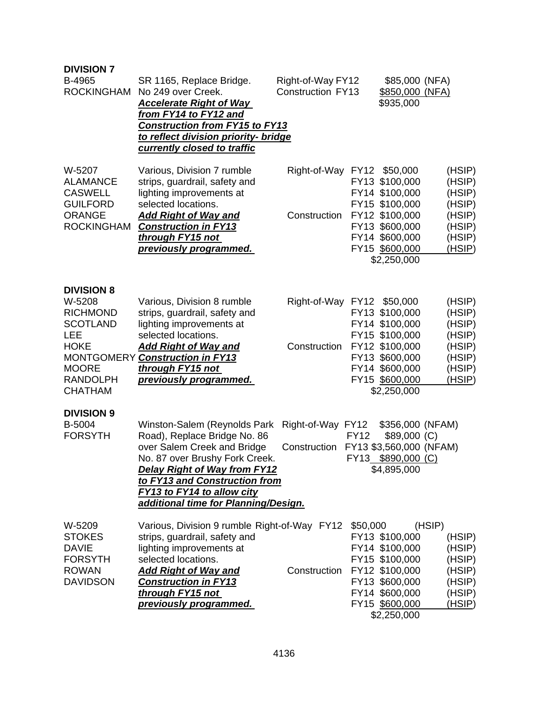| <b>DIVISION 7</b><br>B-4965<br>ROCKINGHAM                                                                                                    | SR 1165, Replace Bridge.<br>No 249 over Creek.<br><b>Accelerate Right of Way</b><br>from FY14 to FY12 and<br><b>Construction from FY15 to FY13</b><br>to reflect division priority- bridge<br>currently closed to traffic                                                   | Right-of-Way FY12<br><b>Construction FY13</b> |                            | \$85,000 (NFA)<br>\$850,000 (NFA)<br>\$935,000                                                                                                        |                                                                              |
|----------------------------------------------------------------------------------------------------------------------------------------------|-----------------------------------------------------------------------------------------------------------------------------------------------------------------------------------------------------------------------------------------------------------------------------|-----------------------------------------------|----------------------------|-------------------------------------------------------------------------------------------------------------------------------------------------------|------------------------------------------------------------------------------|
| W-5207<br><b>ALAMANCE</b><br><b>CASWELL</b><br><b>GUILFORD</b><br><b>ORANGE</b><br><b>ROCKINGHAM</b>                                         | Various, Division 7 rumble<br>strips, guardrail, safety and<br>lighting improvements at<br>selected locations.<br><b>Add Right of Way and</b><br><b>Construction in FY13</b><br>through FY15 not<br>previously programmed.                                                  | Right-of-Way FY12 \$50,000<br>Construction    |                            | FY13 \$100,000<br>FY14 \$100,000<br>FY15 \$100,000<br>FY12 \$100,000<br>FY13 \$600,000<br>FY14 \$600,000<br>FY15 \$600,000<br>\$2,250,000             | (HSIP)<br>(HSIP)<br>(HSIP)<br>(HSIP)<br>(HSIP)<br>(HSIP)<br>(HSIP)<br>(HSIP) |
| <b>DIVISION 8</b><br>W-5208<br><b>RICHMOND</b><br><b>SCOTLAND</b><br>LEE<br><b>HOKE</b><br><b>MOORE</b><br><b>RANDOLPH</b><br><b>CHATHAM</b> | Various, Division 8 rumble<br>strips, guardrail, safety and<br>lighting improvements at<br>selected locations.<br><b>Add Right of Way and</b><br>MONTGOMERY Construction in FY13<br>through FY15 not<br>previously programmed.                                              | Right-of-Way FY12<br>Construction             |                            | \$50,000<br>FY13 \$100,000<br>FY14 \$100,000<br>FY15 \$100,000<br>FY12 \$100,000<br>FY13 \$600,000<br>FY14 \$600,000<br>FY15 \$600,000<br>\$2,250,000 | (HSIP)<br>(HSIP)<br>(HSIP)<br>(HSIP)<br>(HSIP)<br>(HSIP)<br>(HSIP)<br>(HSIP) |
| <b>DIVISION 9</b><br>B-5004<br><b>FORSYTH</b>                                                                                                | Winston-Salem (Reynolds Park<br>Road), Replace Bridge No. 86<br>over Salem Creek and Bridge<br>No. 87 over Brushy Fork Creek.<br><b>Delay Right of Way from FY12</b><br>to FY13 and Construction from<br>FY13 to FY14 to allow city<br>additional time for Planning/Design. | Right-of-Way FY12<br>Construction             | <b>FY12</b><br><b>FY13</b> | \$356,000 (NFAM)<br>$$89,000$ (C)<br>FY13 \$3,560,000 (NFAM)<br>\$890,000 (C)<br>\$4,895,000                                                          |                                                                              |
| W-5209<br><b>STOKES</b><br><b>DAVIE</b><br><b>FORSYTH</b><br><b>ROWAN</b><br><b>DAVIDSON</b>                                                 | Various, Division 9 rumble Right-of-Way FY12<br>strips, guardrail, safety and<br>lighting improvements at<br>selected locations.<br><u>Add Right of Way and </u><br><b>Construction in FY13</b><br>through FY15 not<br>previously programmed.                               | Construction                                  | \$50,000                   | FY13 \$100,000<br>FY14 \$100,000<br>FY15 \$100,000<br>FY12 \$100,000<br>FY13 \$600,000<br>FY14 \$600,000<br>FY15 \$600,000<br>\$2,250,000             | (HSIP)<br>(HSIP)<br>(HSIP)<br>(HSIP)<br>(HSIP)<br>(HSIP)<br>(HSIP)<br>(HSIP) |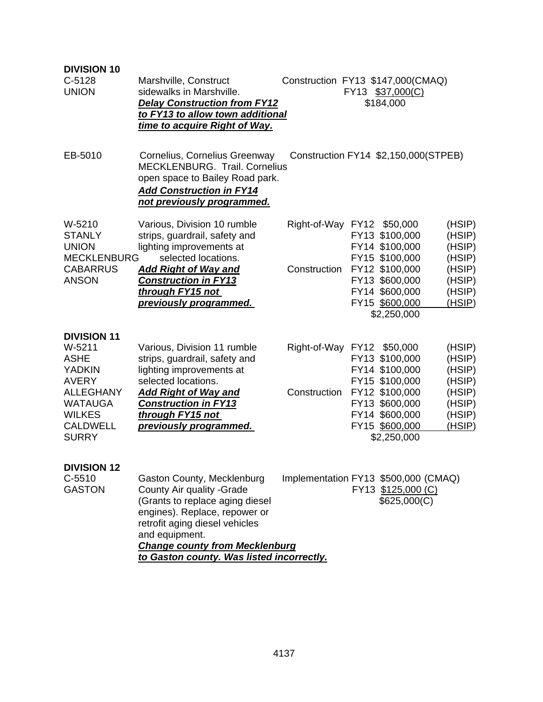| <b>DIVISION 10</b>                                                                     |                                                                                                                                                                                                                           |                                      |                                                                                     |                                      |
|----------------------------------------------------------------------------------------|---------------------------------------------------------------------------------------------------------------------------------------------------------------------------------------------------------------------------|--------------------------------------|-------------------------------------------------------------------------------------|--------------------------------------|
| C-5128<br><b>UNION</b>                                                                 | Marshville, Construct<br>sidewalks in Marshville.<br><b>Delay Construction from FY12</b><br>to FY13 to allow town additional<br><u>time to acquire Right of Way.</u>                                                      | Construction FY13 \$147,000(CMAQ)    | FY13 \$37,000(C)<br>\$184,000                                                       |                                      |
| EB-5010                                                                                | Cornelius, Cornelius Greenway<br>MECKLENBURG. Trail. Cornelius<br>open space to Bailey Road park.<br><b>Add Construction in FY14</b><br>not previously programmed.                                                        |                                      | Construction FY14 \$2,150,000(STPEB)                                                |                                      |
| W-5210<br><b>STANLY</b><br><b>UNION</b><br><b>MECKLENBURG</b>                          | Various, Division 10 rumble<br>strips, guardrail, safety and<br>lighting improvements at<br>selected locations.                                                                                                           | Right-of-Way FY12 \$50,000           | FY13 \$100,000<br>FY14 \$100,000<br>FY15 \$100,000                                  | (HSIP)<br>(HSIP)<br>(HSIP)<br>(HSIP) |
| <b>CABARRUS</b><br><b>ANSON</b>                                                        | <b>Add Right of Way and</b><br><b>Construction in FY13</b><br>through FY15 not<br>previously programmed.                                                                                                                  | Construction                         | FY12 \$100,000<br>FY13 \$600,000<br>FY14 \$600,000<br>FY15 \$600,000<br>\$2,250,000 | (HSIP)<br>(HSIP)<br>(HSIP)<br>(HSIP) |
| <b>DIVISION 11</b><br>W-5211<br><b>ASHE</b><br><b>YADKIN</b><br><b>AVERY</b>           | Various, Division 11 rumble<br>strips, guardrail, safety and<br>lighting improvements at<br>selected locations.                                                                                                           | Right-of-Way FY12 \$50,000           | FY13 \$100,000<br>FY14 \$100,000<br>FY15 \$100,000                                  | (HSIP)<br>(HSIP)<br>(HSIP)<br>(HSIP) |
| <b>ALLEGHANY</b><br><b>WATAUGA</b><br><b>WILKES</b><br><b>CALDWELL</b><br><b>SURRY</b> | <b>Add Right of Way and</b><br><b>Construction in FY13</b><br>through FY15 not<br>previously programmed.                                                                                                                  | Construction                         | FY12 \$100,000<br>FY13 \$600,000<br>FY14 \$600,000<br>FY15 \$600,000<br>\$2,250,000 | (HSIP)<br>(HSIP)<br>(HSIP)<br>(HSIP) |
| <b>DIVISION 12</b><br>$C-5510$<br><b>GASTON</b>                                        | Gaston County, Mecklenburg<br>County Air quality - Grade<br>(Grants to replace aging diesel<br>engines). Replace, repower or<br>retrofit aging diesel vehicles<br>and equipment.<br><b>Change county from Mecklenburg</b> | Implementation FY13 \$500,000 (CMAQ) | FY13 \$125,000 (C)<br>\$625,000(C)                                                  |                                      |
|                                                                                        | to Gaston county. Was listed incorrectly.                                                                                                                                                                                 |                                      |                                                                                     |                                      |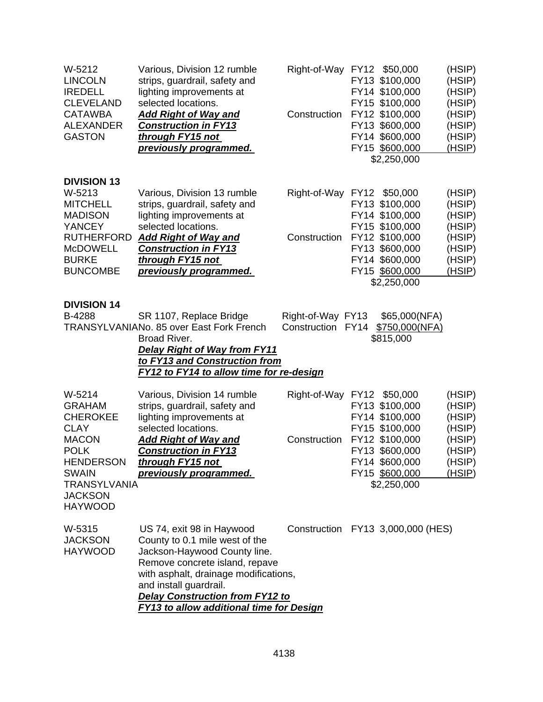| W-5212<br><b>LINCOLN</b><br><b>IREDELL</b><br><b>CLEVELAND</b><br><b>CATAWBA</b><br><b>ALEXANDER</b><br><b>GASTON</b>                                         | Various, Division 12 rumble<br>strips, guardrail, safety and<br>lighting improvements at<br>selected locations.<br><b>Add Right of Way and</b><br><b>Construction in FY13</b><br>through FY15 not<br>previously programmed.                                                            | Right-of-Way FY12 \$50,000<br>Construction | FY13 \$100,000<br>FY14 \$100,000<br>FY15 \$100,000<br>FY12 \$100,000<br>FY13 \$600,000<br>FY14 \$600,000<br>FY15 \$600,000                | (HSIP)<br>(HSIP)<br>(HSIP)<br>(HSIP)<br>(HSIP)<br>(HSIP)<br>(HSIP)<br>(HSIP) |
|---------------------------------------------------------------------------------------------------------------------------------------------------------------|----------------------------------------------------------------------------------------------------------------------------------------------------------------------------------------------------------------------------------------------------------------------------------------|--------------------------------------------|-------------------------------------------------------------------------------------------------------------------------------------------|------------------------------------------------------------------------------|
|                                                                                                                                                               |                                                                                                                                                                                                                                                                                        |                                            | \$2,250,000                                                                                                                               |                                                                              |
| <b>DIVISION 13</b><br>W-5213<br><b>MITCHELL</b><br><b>MADISON</b><br><b>YANCEY</b><br><b>RUTHERFORD</b><br><b>McDOWELL</b><br><b>BURKE</b><br><b>BUNCOMBE</b> | Various, Division 13 rumble<br>strips, guardrail, safety and<br>lighting improvements at<br>selected locations.<br><b>Add Right of Way and</b><br><b>Construction in FY13</b><br>through FY15 not<br>previously programmed.                                                            | Right-of-Way FY12 \$50,000<br>Construction | FY13 \$100,000<br>FY14 \$100,000<br>FY15 \$100,000<br>FY12 \$100,000<br>FY13 \$600,000<br>FY14 \$600,000<br>FY15 \$600,000<br>\$2,250,000 | (HSIP)<br>(HSIP)<br>(HSIP)<br>(HSIP)<br>(HSIP)<br>(HSIP)<br>(HSIP)<br>(HSIP) |
| <b>DIVISION 14</b><br>B-4288                                                                                                                                  | SR 1107, Replace Bridge<br><b>TRANSYLVANIANo. 85 over East Fork French</b><br>Broad River.<br><b>Delay Right of Way from FY11</b><br>to FY13 and Construction from<br><b>FY12 to FY14 to allow time for re-design</b>                                                                  | Right-of-Way FY13<br>Construction FY14     | \$65,000(NFA)<br>\$750,000(NFA)<br>\$815,000                                                                                              |                                                                              |
| W-5214<br><b>GRAHAM</b><br><b>CHEROKEE</b><br><b>CLAY</b>                                                                                                     | Various, Division 14 rumble<br>strips, guardrail, safety and<br>lighting improvements at                                                                                                                                                                                               | Right-of-Way FY12 \$50,000                 | FY13 \$100,000<br>FY14 \$100,000                                                                                                          | (HSIP)<br>(HSIP)<br>(HSIP)                                                   |
| <b>MACON</b><br><b>POLK</b><br><b>HENDERSON</b><br><b>SWAIN</b><br><b>TRANSYLVANIA</b><br><b>JACKSON</b><br><b>HAYWOOD</b>                                    | selected locations.<br><b>Add Right of Way and</b><br><b>Construction in FY13</b><br>through FY15 not<br>previously programmed.                                                                                                                                                        | Construction                               | FY15 \$100,000<br>FY12 \$100,000<br>FY13 \$600,000<br>FY14 \$600,000<br>FY15 \$600,000<br>\$2,250,000                                     | (HSIP)<br>(HSIP)<br>(HSIP)<br>(HSIP)<br>(HSIP)                               |
| W-5315<br><b>JACKSON</b><br><b>HAYWOOD</b>                                                                                                                    | US 74, exit 98 in Haywood<br>County to 0.1 mile west of the<br>Jackson-Haywood County line.<br>Remove concrete island, repave<br>with asphalt, drainage modifications,<br>and install guardrail.<br><b>Delay Construction from FY12 to</b><br>FY13 to allow additional time for Design |                                            | Construction FY13 3,000,000 (HES)                                                                                                         |                                                                              |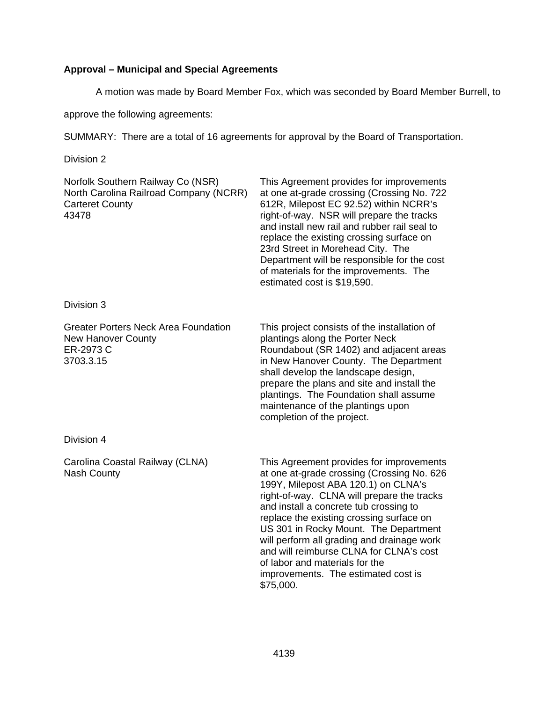# **Approval – Municipal and Special Agreements**

A motion was made by Board Member Fox, which was seconded by Board Member Burrell, to

approve the following agreements:

SUMMARY: There are a total of 16 agreements for approval by the Board of Transportation.

Division 2

| Norfolk Southern Railway Co (NSR)<br>North Carolina Railroad Company (NCRR)<br><b>Carteret County</b><br>43478 | This Agreement provides for improvements<br>at one at-grade crossing (Crossing No. 722<br>612R, Milepost EC 92.52) within NCRR's<br>right-of-way. NSR will prepare the tracks<br>and install new rail and rubber rail seal to<br>replace the existing crossing surface on<br>23rd Street in Morehead City. The<br>Department will be responsible for the cost<br>of materials for the improvements. The<br>estimated cost is \$19,590.                                                    |
|----------------------------------------------------------------------------------------------------------------|-------------------------------------------------------------------------------------------------------------------------------------------------------------------------------------------------------------------------------------------------------------------------------------------------------------------------------------------------------------------------------------------------------------------------------------------------------------------------------------------|
| Division 3                                                                                                     |                                                                                                                                                                                                                                                                                                                                                                                                                                                                                           |
| <b>Greater Porters Neck Area Foundation</b><br><b>New Hanover County</b><br>ER-2973 C<br>3703.3.15             | This project consists of the installation of<br>plantings along the Porter Neck<br>Roundabout (SR 1402) and adjacent areas<br>in New Hanover County. The Department<br>shall develop the landscape design,<br>prepare the plans and site and install the<br>plantings. The Foundation shall assume<br>maintenance of the plantings upon<br>completion of the project.                                                                                                                     |
| Division 4                                                                                                     |                                                                                                                                                                                                                                                                                                                                                                                                                                                                                           |
| Carolina Coastal Railway (CLNA)<br><b>Nash County</b>                                                          | This Agreement provides for improvements<br>at one at-grade crossing (Crossing No. 626<br>199Y, Milepost ABA 120.1) on CLNA's<br>right-of-way. CLNA will prepare the tracks<br>and install a concrete tub crossing to<br>replace the existing crossing surface on<br>US 301 in Rocky Mount. The Department<br>will perform all grading and drainage work<br>and will reimburse CLNA for CLNA's cost<br>of labor and materials for the<br>improvements. The estimated cost is<br>\$75,000. |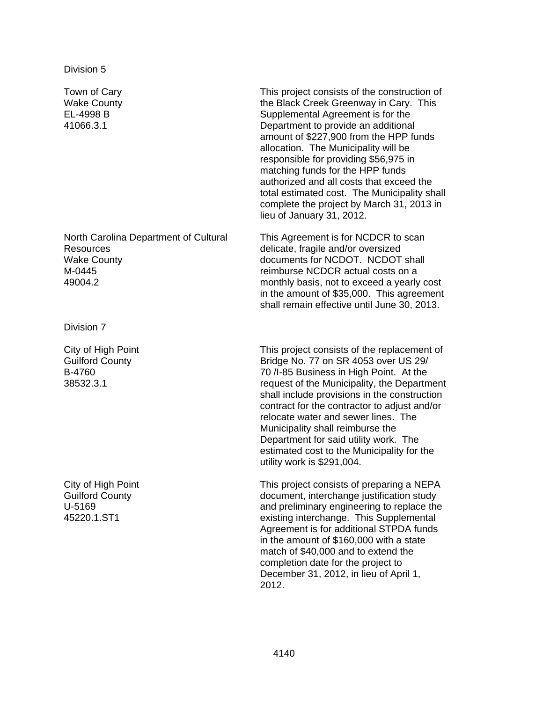Town of Cary Wake County EL-4998 B 41066.3.1

North Carolina Department of Cultural Resources Wake County M-0445 49004.2

Division 7

City of High Point Guilford County B-4760 38532.3.1

City of High Point Guilford County U-5169 45220.1.ST1

This project consists of the construction of the Black Creek Greenway in Cary. This Supplemental Agreement is for the Department to provide an additional amount of \$227,900 from the HPP funds allocation. The Municipality will be responsible for providing \$56,975 in matching funds for the HPP funds authorized and all costs that exceed the total estimated cost. The Municipality shall complete the project by March 31, 2013 in lieu of January 31, 2012.

This Agreement is for NCDCR to scan delicate, fragile and/or oversized documents for NCDOT. NCDOT shall reimburse NCDCR actual costs on a monthly basis, not to exceed a yearly cost in the amount of \$35,000. This agreement shall remain effective until June 30, 2013.

This project consists of the replacement of Bridge No. 77 on SR 4053 over US 29/ 70 /I-85 Business in High Point. At the request of the Municipality, the Department shall include provisions in the construction contract for the contractor to adjust and/or relocate water and sewer lines. The Municipality shall reimburse the Department for said utility work. The estimated cost to the Municipality for the utility work is \$291,004.

This project consists of preparing a NEPA document, interchange justification study and preliminary engineering to replace the existing interchange. This Supplemental Agreement is for additional STPDA funds in the amount of \$160,000 with a state match of \$40,000 and to extend the completion date for the project to December 31, 2012, in lieu of April 1, 2012.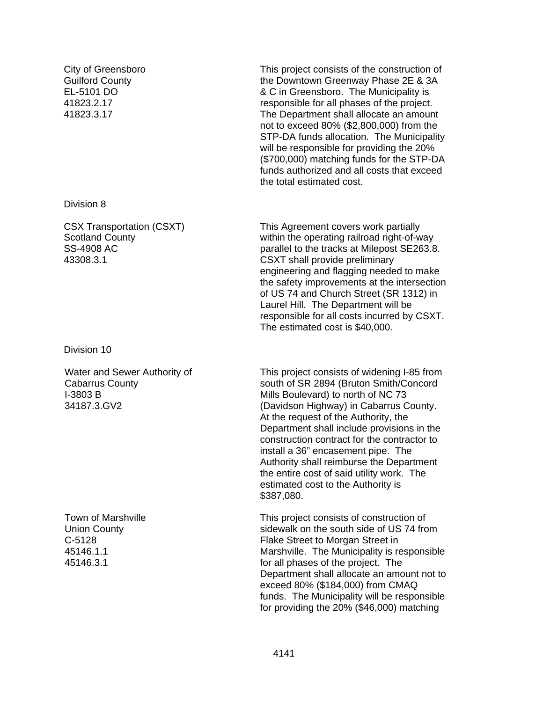City of Greensboro Guilford County EL-5101 DO 41823.2.17 41823.3.17

Division 8

CSX Transportation (CSXT) Scotland County SS-4908 AC 43308.3.1

Division 10

Water and Sewer Authority of Cabarrus County I-3803 B 34187.3.GV2

Town of Marshville Union County C-5128 45146.1.1 45146.3.1

This project consists of the construction of the Downtown Greenway Phase 2E & 3A & C in Greensboro. The Municipality is responsible for all phases of the project. The Department shall allocate an amount not to exceed 80% (\$2,800,000) from the STP-DA funds allocation. The Municipality will be responsible for providing the 20% (\$700,000) matching funds for the STP-DA funds authorized and all costs that exceed the total estimated cost.

This Agreement covers work partially within the operating railroad right-of-way parallel to the tracks at Milepost SE263.8. CSXT shall provide preliminary engineering and flagging needed to make the safety improvements at the intersection of US 74 and Church Street (SR 1312) in Laurel Hill. The Department will be responsible for all costs incurred by CSXT. The estimated cost is \$40,000.

This project consists of widening I-85 from south of SR 2894 (Bruton Smith/Concord Mills Boulevard) to north of NC 73 (Davidson Highway) in Cabarrus County. At the request of the Authority, the Department shall include provisions in the construction contract for the contractor to install a 36" encasement pipe. The Authority shall reimburse the Department the entire cost of said utility work. The estimated cost to the Authority is \$387,080.

This project consists of construction of sidewalk on the south side of US 74 from Flake Street to Morgan Street in Marshville. The Municipality is responsible for all phases of the project. The Department shall allocate an amount not to exceed 80% (\$184,000) from CMAQ funds. The Municipality will be responsible for providing the 20% (\$46,000) matching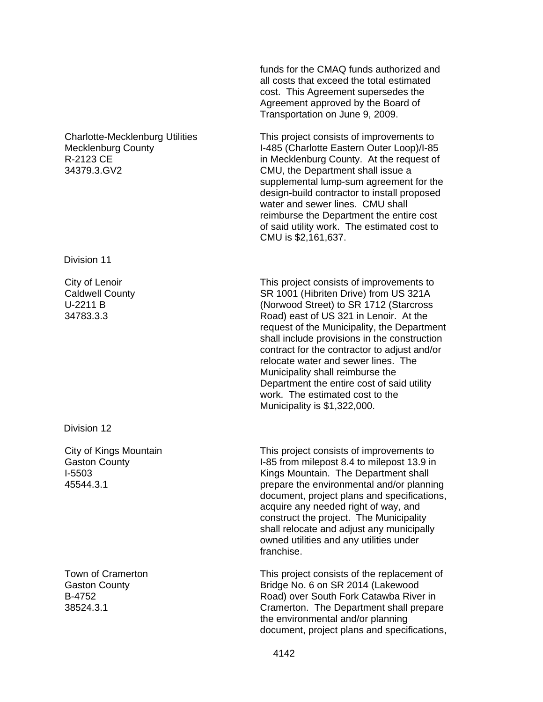Charlotte-Mecklenburg Utilities Mecklenburg County R-2123 CE 34379.3.GV2

Division 11

City of Lenoir Caldwell County U-2211 B 34783.3.3

Division 12

City of Kings Mountain Gaston County I-5503 45544.3.1

Town of Cramerton Gaston County B-4752 38524.3.1

funds for the CMAQ funds authorized and all costs that exceed the total estimated cost. This Agreement supersedes the Agreement approved by the Board of Transportation on June 9, 2009.

This project consists of improvements to I-485 (Charlotte Eastern Outer Loop)/I-85 in Mecklenburg County. At the request of CMU, the Department shall issue a supplemental lump-sum agreement for the design-build contractor to install proposed water and sewer lines. CMU shall reimburse the Department the entire cost of said utility work. The estimated cost to CMU is \$2,161,637.

This project consists of improvements to SR 1001 (Hibriten Drive) from US 321A (Norwood Street) to SR 1712 (Starcross Road) east of US 321 in Lenoir. At the request of the Municipality, the Department shall include provisions in the construction contract for the contractor to adjust and/or relocate water and sewer lines. The Municipality shall reimburse the Department the entire cost of said utility work. The estimated cost to the Municipality is \$1,322,000.

This project consists of improvements to I-85 from milepost 8.4 to milepost 13.9 in Kings Mountain. The Department shall prepare the environmental and/or planning document, project plans and specifications, acquire any needed right of way, and construct the project. The Municipality shall relocate and adjust any municipally owned utilities and any utilities under franchise.

This project consists of the replacement of Bridge No. 6 on SR 2014 (Lakewood Road) over South Fork Catawba River in Cramerton. The Department shall prepare the environmental and/or planning document, project plans and specifications,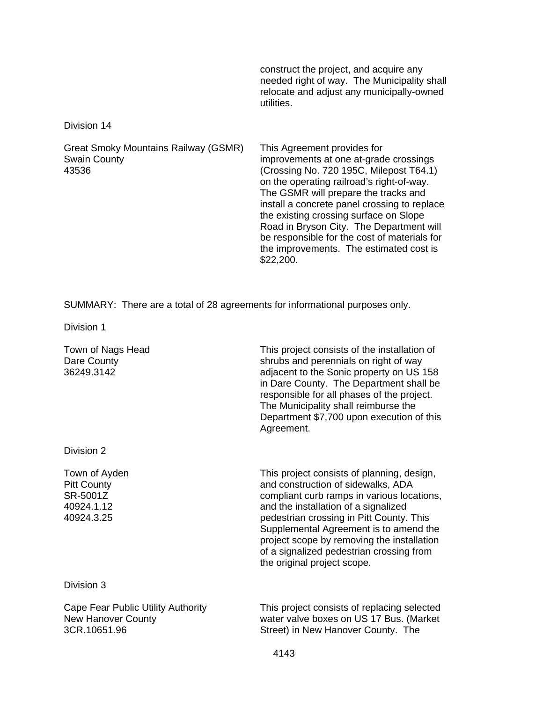construct the project, and acquire any needed right of way. The Municipality shall relocate and adjust any municipally-owned utilities.

Division 14

Great Smoky Mountains Railway (GSMR) Swain County 43536 This Agreement provides for improvements at one at-grade crossings (Crossing No. 720 195C, Milepost T64.1) on the operating railroad's right-of-way. The GSMR will prepare the tracks and install a concrete panel crossing to replace the existing crossing surface on Slope Road in Bryson City. The Department will be responsible for the cost of materials for the improvements. The estimated cost is \$22,200.

SUMMARY: There are a total of 28 agreements for informational purposes only.

Division 1

| Town of Nags Head<br>Dare County<br>36249.3142                                  | This project consists of the installation of<br>shrubs and perennials on right of way<br>adjacent to the Sonic property on US 158<br>in Dare County. The Department shall be<br>responsible for all phases of the project.<br>The Municipality shall reimburse the<br>Department \$7,700 upon execution of this<br>Agreement.                                                         |
|---------------------------------------------------------------------------------|---------------------------------------------------------------------------------------------------------------------------------------------------------------------------------------------------------------------------------------------------------------------------------------------------------------------------------------------------------------------------------------|
| Division 2                                                                      |                                                                                                                                                                                                                                                                                                                                                                                       |
| Town of Ayden<br><b>Pitt County</b><br>SR-5001Z<br>40924.1.12<br>40924.3.25     | This project consists of planning, design,<br>and construction of sidewalks, ADA<br>compliant curb ramps in various locations,<br>and the installation of a signalized<br>pedestrian crossing in Pitt County. This<br>Supplemental Agreement is to amend the<br>project scope by removing the installation<br>of a signalized pedestrian crossing from<br>the original project scope. |
| Division 3                                                                      |                                                                                                                                                                                                                                                                                                                                                                                       |
| Cape Fear Public Utility Authority<br><b>New Hanover County</b><br>3CR.10651.96 | This project consists of replacing selected<br>water valve boxes on US 17 Bus. (Market<br>Street) in New Hanover County. The                                                                                                                                                                                                                                                          |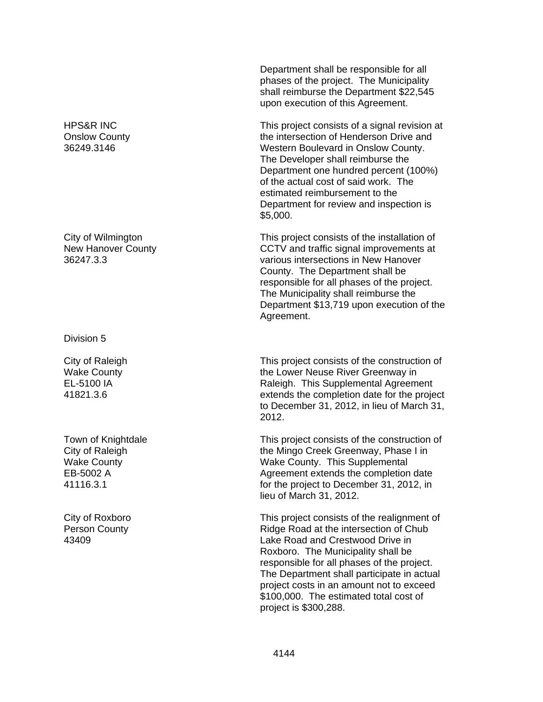HPS&R INC Onslow County 36249.3146

City of Wilmington New Hanover County 36247.3.3

Division 5

City of Raleigh Wake County EL-5100 IA 41821.3.6

Town of Knightdale City of Raleigh Wake County EB-5002 A 41116.3.1

City of Roxboro Person County 43409

Department shall be responsible for all phases of the project. The Municipality shall reimburse the Department \$22,545 upon execution of this Agreement.

This project consists of a signal revision at the intersection of Henderson Drive and Western Boulevard in Onslow County. The Developer shall reimburse the Department one hundred percent (100%) of the actual cost of said work. The estimated reimbursement to the Department for review and inspection is \$5,000.

This project consists of the installation of CCTV and traffic signal improvements at various intersections in New Hanover County. The Department shall be responsible for all phases of the project. The Municipality shall reimburse the Department \$13,719 upon execution of the Agreement.

This project consists of the construction of the Lower Neuse River Greenway in Raleigh. This Supplemental Agreement extends the completion date for the project to December 31, 2012, in lieu of March 31, 2012.

This project consists of the construction of the Mingo Creek Greenway, Phase I in Wake County. This Supplemental Agreement extends the completion date for the project to December 31, 2012, in lieu of March 31, 2012.

This project consists of the realignment of Ridge Road at the intersection of Chub Lake Road and Crestwood Drive in Roxboro. The Municipality shall be responsible for all phases of the project. The Department shall participate in actual project costs in an amount not to exceed \$100,000. The estimated total cost of project is \$300,288.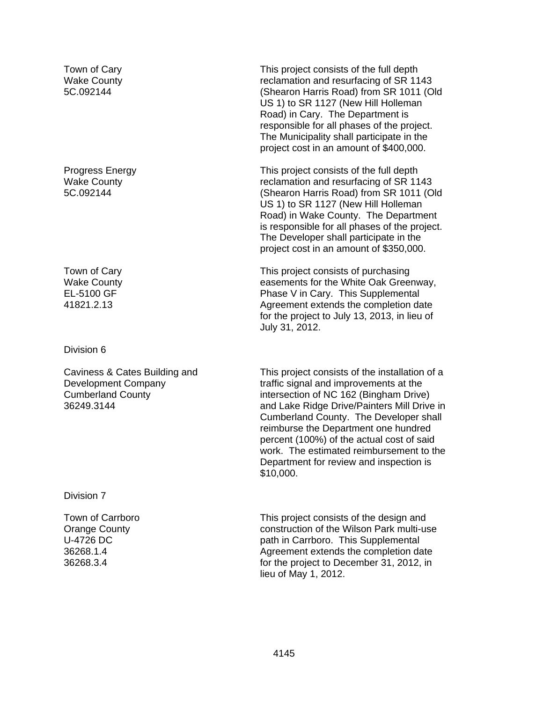Town of Cary Wake County 5C.092144

Progress Energy Wake County 5C.092144

Town of Cary Wake County EL-5100 GF 41821.2.13

Division 6

Caviness & Cates Building and Development Company Cumberland County 36249.3144

Division 7

Town of Carrboro Orange County U-4726 DC 36268.1.4 36268.3.4

This project consists of the full depth reclamation and resurfacing of SR 1143 (Shearon Harris Road) from SR 1011 (Old US 1) to SR 1127 (New Hill Holleman Road) in Cary. The Department is responsible for all phases of the project. The Municipality shall participate in the project cost in an amount of \$400,000.

This project consists of the full depth reclamation and resurfacing of SR 1143 (Shearon Harris Road) from SR 1011 (Old US 1) to SR 1127 (New Hill Holleman Road) in Wake County. The Department is responsible for all phases of the project. The Developer shall participate in the project cost in an amount of \$350,000.

This project consists of purchasing easements for the White Oak Greenway, Phase V in Cary. This Supplemental Agreement extends the completion date for the project to July 13, 2013, in lieu of July 31, 2012.

This project consists of the installation of a traffic signal and improvements at the intersection of NC 162 (Bingham Drive) and Lake Ridge Drive/Painters Mill Drive in Cumberland County. The Developer shall reimburse the Department one hundred percent (100%) of the actual cost of said work. The estimated reimbursement to the Department for review and inspection is \$10,000.

This project consists of the design and construction of the Wilson Park multi-use path in Carrboro. This Supplemental Agreement extends the completion date for the project to December 31, 2012, in lieu of May 1, 2012.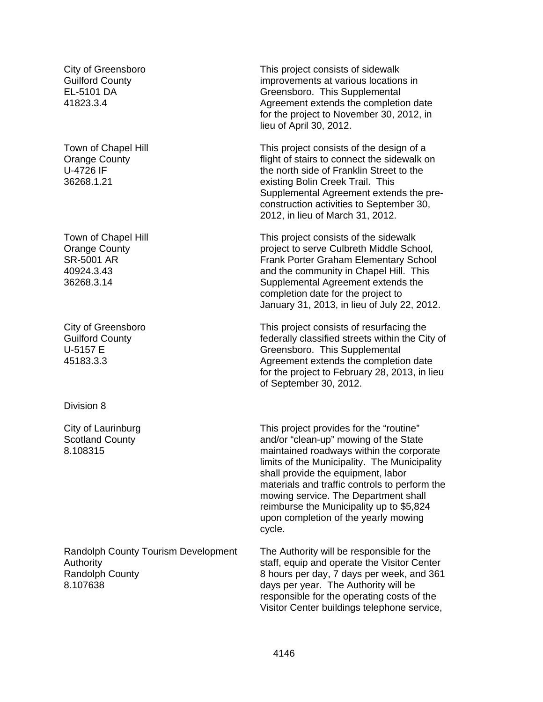City of Greensboro Guilford County EL-5101 DA 41823.3.4

Town of Chapel Hill Orange County U-4726 IF 36268.1.21

Town of Chapel Hill Orange County SR-5001 AR 40924.3.43 36268.3.14

City of Greensboro Guilford County U-5157 E 45183.3.3

Division 8

City of Laurinburg Scotland County 8.108315

Randolph County Tourism Development Authority Randolph County 8.107638

This project consists of sidewalk improvements at various locations in Greensboro. This Supplemental Agreement extends the completion date for the project to November 30, 2012, in lieu of April 30, 2012.

This project consists of the design of a flight of stairs to connect the sidewalk on the north side of Franklin Street to the existing Bolin Creek Trail. This Supplemental Agreement extends the preconstruction activities to September 30, 2012, in lieu of March 31, 2012.

This project consists of the sidewalk project to serve Culbreth Middle School, Frank Porter Graham Elementary School and the community in Chapel Hill. This Supplemental Agreement extends the completion date for the project to January 31, 2013, in lieu of July 22, 2012.

This project consists of resurfacing the federally classified streets within the City of Greensboro. This Supplemental Agreement extends the completion date for the project to February 28, 2013, in lieu of September 30, 2012.

This project provides for the "routine" and/or "clean-up" mowing of the State maintained roadways within the corporate limits of the Municipality. The Municipality shall provide the equipment, labor materials and traffic controls to perform the mowing service. The Department shall reimburse the Municipality up to \$5,824 upon completion of the yearly mowing cycle.

The Authority will be responsible for the staff, equip and operate the Visitor Center 8 hours per day, 7 days per week, and 361 days per year. The Authority will be responsible for the operating costs of the Visitor Center buildings telephone service,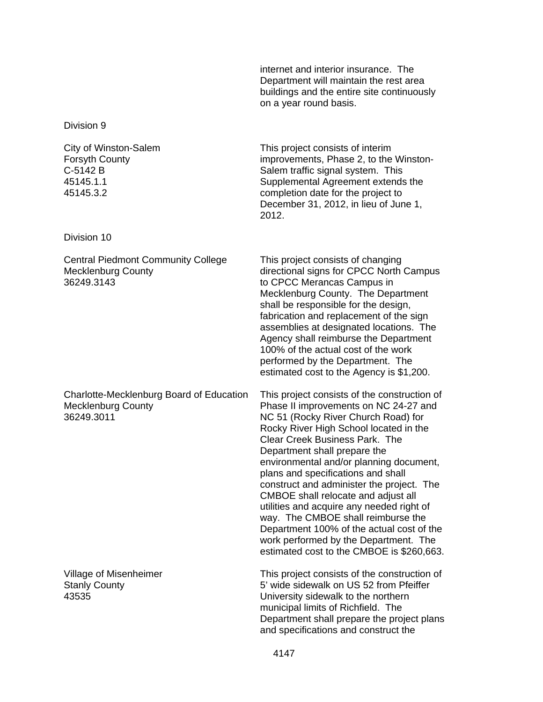internet and interior insurance. The Department will maintain the rest area buildings and the entire site continuously on a year round basis.

Division 9

City of Winston-Salem Forsyth County C-5142 B 45145.1.1 45145.3.2

Division 10

Central Piedmont Community College Mecklenburg County 36249.3143

Charlotte-Mecklenburg Board of Education Mecklenburg County 36249.3011

Village of Misenheimer Stanly County 43535

This project consists of interim improvements, Phase 2, to the Winston-Salem traffic signal system. This Supplemental Agreement extends the completion date for the project to December 31, 2012, in lieu of June 1, 2012.

This project consists of changing directional signs for CPCC North Campus to CPCC Merancas Campus in Mecklenburg County. The Department shall be responsible for the design, fabrication and replacement of the sign assemblies at designated locations. The Agency shall reimburse the Department 100% of the actual cost of the work performed by the Department. The estimated cost to the Agency is \$1,200.

This project consists of the construction of Phase II improvements on NC 24-27 and NC 51 (Rocky River Church Road) for Rocky River High School located in the Clear Creek Business Park. The Department shall prepare the environmental and/or planning document, plans and specifications and shall construct and administer the project. The CMBOE shall relocate and adjust all utilities and acquire any needed right of way. The CMBOE shall reimburse the Department 100% of the actual cost of the work performed by the Department. The estimated cost to the CMBOE is \$260,663.

This project consists of the construction of 5' wide sidewalk on US 52 from Pfeiffer University sidewalk to the northern municipal limits of Richfield. The Department shall prepare the project plans and specifications and construct the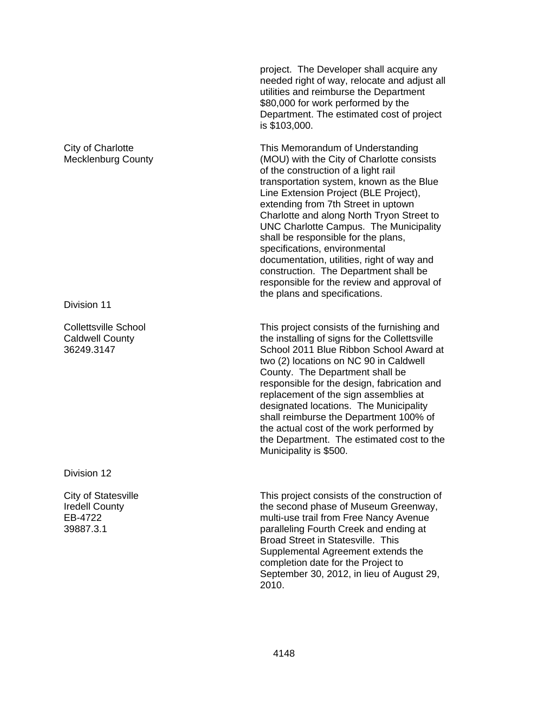project. The Developer shall acquire any needed right of way, relocate and adjust all utilities and reimburse the Department \$80,000 for work performed by the Department. The estimated cost of project is \$103,000.

This Memorandum of Understanding (MOU) with the City of Charlotte consists of the construction of a light rail transportation system, known as the Blue Line Extension Project (BLE Project), extending from 7th Street in uptown Charlotte and along North Tryon Street to UNC Charlotte Campus. The Municipality shall be responsible for the plans, specifications, environmental documentation, utilities, right of way and construction. The Department shall be responsible for the review and approval of the plans and specifications.

This project consists of the furnishing and the installing of signs for the Collettsville School 2011 Blue Ribbon School Award at two (2) locations on NC 90 in Caldwell County. The Department shall be responsible for the design, fabrication and replacement of the sign assemblies at designated locations. The Municipality shall reimburse the Department 100% of the actual cost of the work performed by the Department. The estimated cost to the Municipality is \$500.

This project consists of the construction of the second phase of Museum Greenway, multi-use trail from Free Nancy Avenue paralleling Fourth Creek and ending at Broad Street in Statesville. This Supplemental Agreement extends the completion date for the Project to September 30, 2012, in lieu of August 29, 2010.

## City of Charlotte Mecklenburg County

Division 11

Collettsville School Caldwell County 36249.3147

Division 12

City of Statesville Iredell County EB-4722 39887.3.1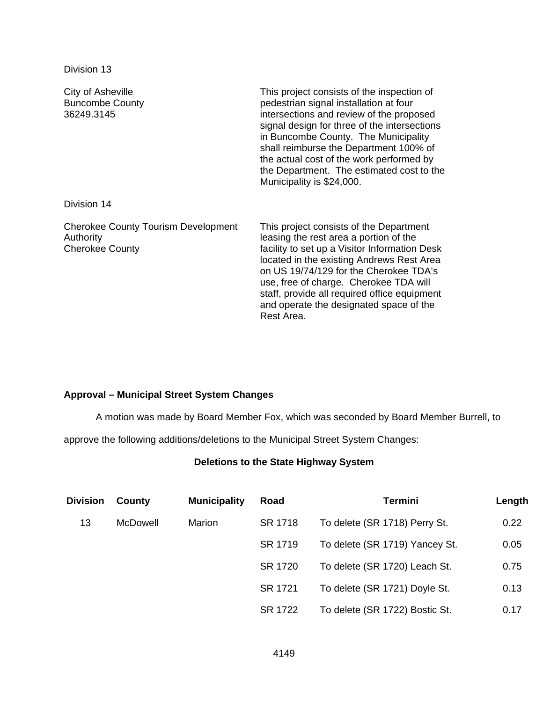Division 13

| City of Asheville<br><b>Buncombe County</b><br>36249.3145                         | This project consists of the inspection of<br>pedestrian signal installation at four<br>intersections and review of the proposed<br>signal design for three of the intersections<br>in Buncombe County. The Municipality<br>shall reimburse the Department 100% of<br>the actual cost of the work performed by<br>the Department. The estimated cost to the<br>Municipality is \$24,000. |
|-----------------------------------------------------------------------------------|------------------------------------------------------------------------------------------------------------------------------------------------------------------------------------------------------------------------------------------------------------------------------------------------------------------------------------------------------------------------------------------|
| Division 14                                                                       |                                                                                                                                                                                                                                                                                                                                                                                          |
| <b>Cherokee County Tourism Development</b><br>Authority<br><b>Cherokee County</b> | This project consists of the Department<br>leasing the rest area a portion of the<br>facility to set up a Visitor Information Desk<br>located in the existing Andrews Rest Area<br>on US 19/74/129 for the Cherokee TDA's<br>use, free of charge. Cherokee TDA will<br>staff, provide all required office equipment<br>and operate the designated space of the<br>Rest Area.             |

# **Approval – Municipal Street System Changes**

A motion was made by Board Member Fox, which was seconded by Board Member Burrell, to

approve the following additions/deletions to the Municipal Street System Changes:

# **Deletions to the State Highway System**

| <b>Division</b> | County          | <b>Municipality</b> | Road    | <b>Termini</b>                 | Length |
|-----------------|-----------------|---------------------|---------|--------------------------------|--------|
| 13              | <b>McDowell</b> | Marion              | SR 1718 | To delete (SR 1718) Perry St.  | 0.22   |
|                 |                 |                     | SR 1719 | To delete (SR 1719) Yancey St. | 0.05   |
|                 |                 |                     | SR 1720 | To delete (SR 1720) Leach St.  | 0.75   |
|                 |                 |                     | SR 1721 | To delete (SR 1721) Doyle St.  | 0.13   |
|                 |                 |                     | SR 1722 | To delete (SR 1722) Bostic St. | 0.17   |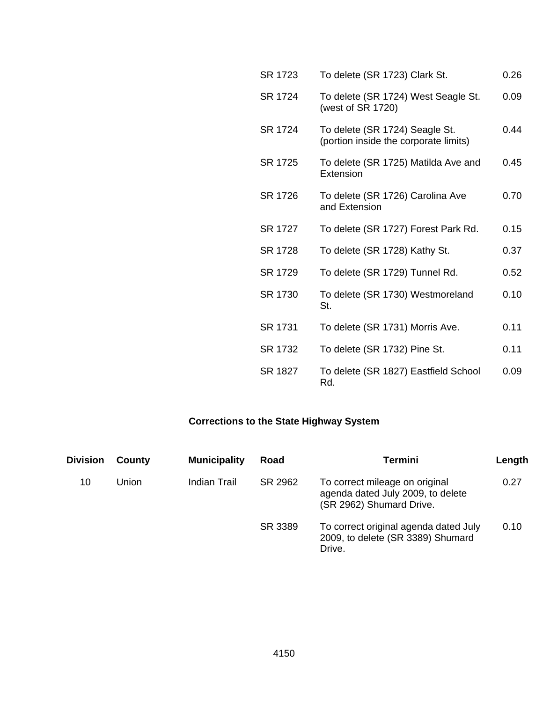| SR 1723 | To delete (SR 1723) Clark St.                                           | 0.26 |
|---------|-------------------------------------------------------------------------|------|
| SR 1724 | To delete (SR 1724) West Seagle St.<br>(west of SR 1720)                | 0.09 |
| SR 1724 | To delete (SR 1724) Seagle St.<br>(portion inside the corporate limits) | 0.44 |
| SR 1725 | To delete (SR 1725) Matilda Ave and<br>Extension                        | 0.45 |
| SR 1726 | To delete (SR 1726) Carolina Ave<br>and Extension                       | 0.70 |
| SR 1727 | To delete (SR 1727) Forest Park Rd.                                     | 0.15 |
| SR 1728 | To delete (SR 1728) Kathy St.                                           | 0.37 |
| SR 1729 | To delete (SR 1729) Tunnel Rd.                                          | 0.52 |
| SR 1730 | To delete (SR 1730) Westmoreland<br>St.                                 | 0.10 |
| SR 1731 | To delete (SR 1731) Morris Ave.                                         | 0.11 |
| SR 1732 | To delete (SR 1732) Pine St.                                            | 0.11 |
| SR 1827 | To delete (SR 1827) Eastfield School<br>Rd.                             | 0.09 |

# **Corrections to the State Highway System**

| <b>Division</b> | County | <b>Municipality</b> | Road    | Termini                                                                                         | Length |
|-----------------|--------|---------------------|---------|-------------------------------------------------------------------------------------------------|--------|
| 10              | Union  | Indian Trail        | SR 2962 | To correct mileage on original<br>agenda dated July 2009, to delete<br>(SR 2962) Shumard Drive. | 0.27   |
|                 |        |                     | SR 3389 | To correct original agenda dated July<br>2009, to delete (SR 3389) Shumard<br>Drive.            | 0.10   |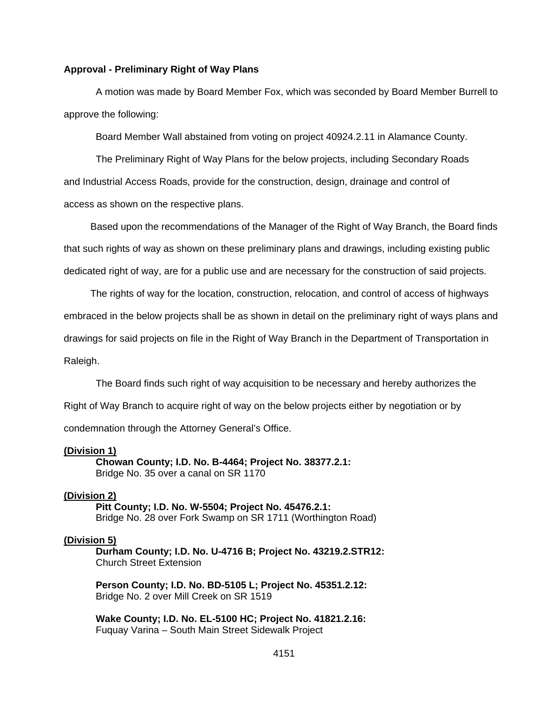#### **Approval - Preliminary Right of Way Plans**

 A motion was made by Board Member Fox, which was seconded by Board Member Burrell to approve the following:

Board Member Wall abstained from voting on project 40924.2.11 in Alamance County.

The Preliminary Right of Way Plans for the below projects, including Secondary Roads and Industrial Access Roads, provide for the construction, design, drainage and control of access as shown on the respective plans.

 Based upon the recommendations of the Manager of the Right of Way Branch, the Board finds that such rights of way as shown on these preliminary plans and drawings, including existing public dedicated right of way, are for a public use and are necessary for the construction of said projects.

 The rights of way for the location, construction, relocation, and control of access of highways embraced in the below projects shall be as shown in detail on the preliminary right of ways plans and drawings for said projects on file in the Right of Way Branch in the Department of Transportation in Raleigh.

The Board finds such right of way acquisition to be necessary and hereby authorizes the Right of Way Branch to acquire right of way on the below projects either by negotiation or by

condemnation through the Attorney General's Office.

#### **(Division 1)**

 **Chowan County; I.D. No. B-4464; Project No. 38377.2.1:**  Bridge No. 35 over a canal on SR 1170

#### **(Division 2)**

 **Pitt County; I.D. No. W-5504; Project No. 45476.2.1:**  Bridge No. 28 over Fork Swamp on SR 1711 (Worthington Road)

#### **(Division 5)**

 **Durham County; I.D. No. U-4716 B; Project No. 43219.2.STR12:**  Church Street Extension

**Person County; I.D. No. BD-5105 L; Project No. 45351.2.12:**  Bridge No. 2 over Mill Creek on SR 1519

 **Wake County; I.D. No. EL-5100 HC; Project No. 41821.2.16:**  Fuquay Varina – South Main Street Sidewalk Project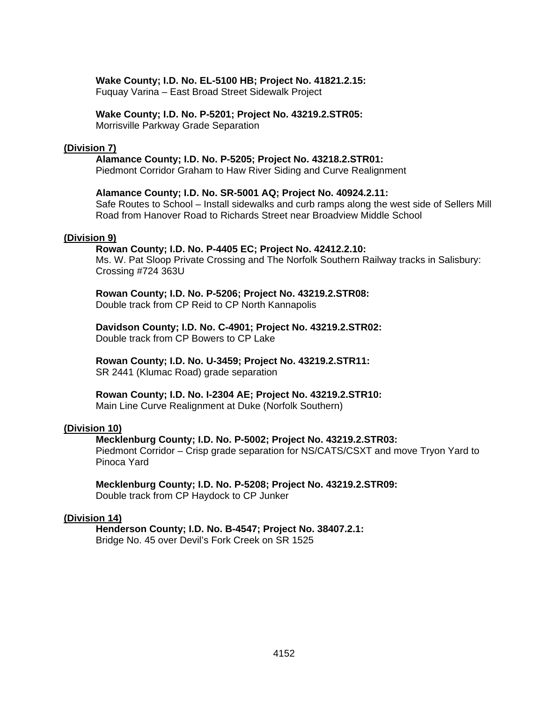#### **Wake County; I.D. No. EL-5100 HB; Project No. 41821.2.15:**

Fuquay Varina – East Broad Street Sidewalk Project

#### **Wake County; I.D. No. P-5201; Project No. 43219.2.STR05:**

Morrisville Parkway Grade Separation

#### **(Division 7)**

#### **Alamance County; I.D. No. P-5205; Project No. 43218.2.STR01:**

Piedmont Corridor Graham to Haw River Siding and Curve Realignment

# **Alamance County; I.D. No. SR-5001 AQ; Project No. 40924.2.11:**

Safe Routes to School – Install sidewalks and curb ramps along the west side of Sellers Mill Road from Hanover Road to Richards Street near Broadview Middle School

#### **(Division 9)**

# **Rowan County; I.D. No. P-4405 EC; Project No. 42412.2.10:**

Ms. W. Pat Sloop Private Crossing and The Norfolk Southern Railway tracks in Salisbury: Crossing #724 363U

#### **Rowan County; I.D. No. P-5206; Project No. 43219.2.STR08:**  Double track from CP Reid to CP North Kannapolis

### **Davidson County; I.D. No. C-4901; Project No. 43219.2.STR02:**  Double track from CP Bowers to CP Lake

**Rowan County; I.D. No. U-3459; Project No. 43219.2.STR11:**  SR 2441 (Klumac Road) grade separation

# **Rowan County; I.D. No. I-2304 AE; Project No. 43219.2.STR10:**

Main Line Curve Realignment at Duke (Norfolk Southern)

### **(Division 10)**

# **Mecklenburg County; I.D. No. P-5002; Project No. 43219.2.STR03:**

Piedmont Corridor – Crisp grade separation for NS/CATS/CSXT and move Tryon Yard to Pinoca Yard

#### **Mecklenburg County; I.D. No. P-5208; Project No. 43219.2.STR09:**  Double track from CP Haydock to CP Junker

# **(Division 14)**

 **Henderson County; I.D. No. B-4547; Project No. 38407.2.1:**  Bridge No. 45 over Devil's Fork Creek on SR 1525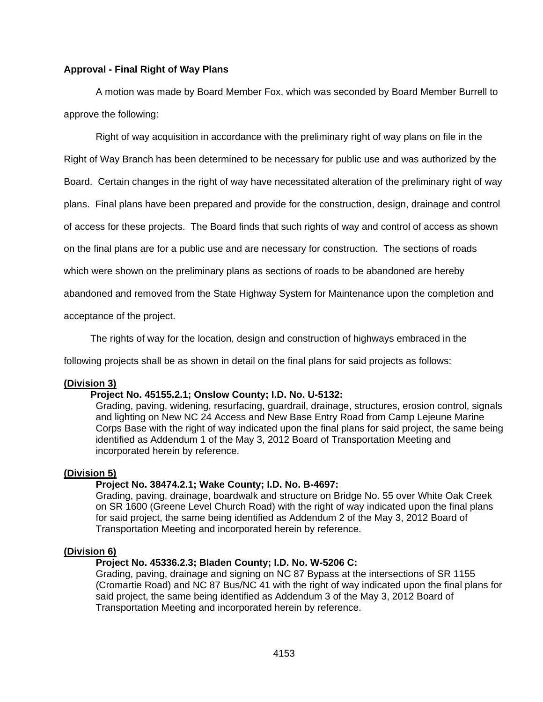# **Approval - Final Right of Way Plans**

 A motion was made by Board Member Fox, which was seconded by Board Member Burrell to approve the following:

Right of way acquisition in accordance with the preliminary right of way plans on file in the

Right of Way Branch has been determined to be necessary for public use and was authorized by the

Board. Certain changes in the right of way have necessitated alteration of the preliminary right of way

plans. Final plans have been prepared and provide for the construction, design, drainage and control

of access for these projects. The Board finds that such rights of way and control of access as shown

on the final plans are for a public use and are necessary for construction. The sections of roads

which were shown on the preliminary plans as sections of roads to be abandoned are hereby

abandoned and removed from the State Highway System for Maintenance upon the completion and

acceptance of the project.

The rights of way for the location, design and construction of highways embraced in the

following projects shall be as shown in detail on the final plans for said projects as follows:

### **(Division 3)**

# **Project No. 45155.2.1; Onslow County; I.D. No. U-5132:**

Grading, paving, widening, resurfacing, guardrail, drainage, structures, erosion control, signals and lighting on New NC 24 Access and New Base Entry Road from Camp Lejeune Marine Corps Base with the right of way indicated upon the final plans for said project, the same being identified as Addendum 1 of the May 3, 2012 Board of Transportation Meeting and incorporated herein by reference.

#### **(Division 5)**

# **Project No. 38474.2.1; Wake County; I.D. No. B-4697:**

Grading, paving, drainage, boardwalk and structure on Bridge No. 55 over White Oak Creek on SR 1600 (Greene Level Church Road) with the right of way indicated upon the final plans for said project, the same being identified as Addendum 2 of the May 3, 2012 Board of Transportation Meeting and incorporated herein by reference.

#### **(Division 6)**

# **Project No. 45336.2.3; Bladen County; I.D. No. W-5206 C:**

Grading, paving, drainage and signing on NC 87 Bypass at the intersections of SR 1155 (Cromartie Road) and NC 87 Bus/NC 41 with the right of way indicated upon the final plans for said project, the same being identified as Addendum 3 of the May 3, 2012 Board of Transportation Meeting and incorporated herein by reference.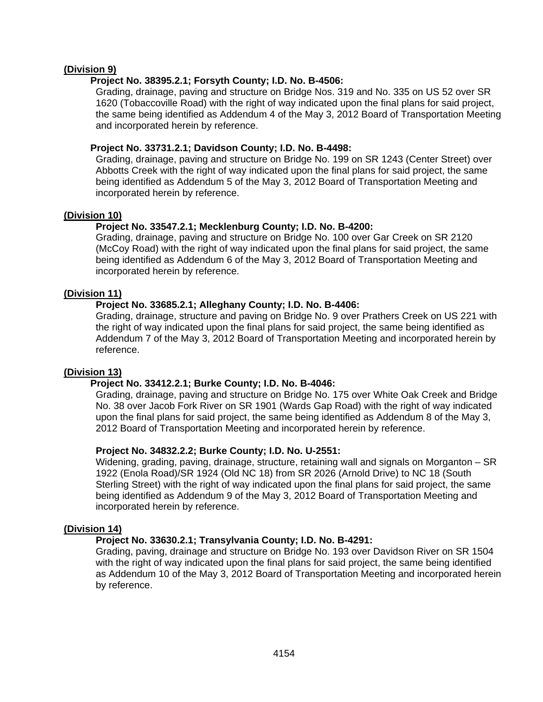# **(Division 9)**

# **Project No. 38395.2.1; Forsyth County; I.D. No. B-4506:**

Grading, drainage, paving and structure on Bridge Nos. 319 and No. 335 on US 52 over SR 1620 (Tobaccoville Road) with the right of way indicated upon the final plans for said project, the same being identified as Addendum 4 of the May 3, 2012 Board of Transportation Meeting and incorporated herein by reference.

# **Project No. 33731.2.1; Davidson County; I.D. No. B-4498:**

Grading, drainage, paving and structure on Bridge No. 199 on SR 1243 (Center Street) over Abbotts Creek with the right of way indicated upon the final plans for said project, the same being identified as Addendum 5 of the May 3, 2012 Board of Transportation Meeting and incorporated herein by reference.

# **(Division 10)**

# **Project No. 33547.2.1; Mecklenburg County; I.D. No. B-4200:**

Grading, drainage, paving and structure on Bridge No. 100 over Gar Creek on SR 2120 (McCoy Road) with the right of way indicated upon the final plans for said project, the same being identified as Addendum 6 of the May 3, 2012 Board of Transportation Meeting and incorporated herein by reference.

# **(Division 11)**

# **Project No. 33685.2.1; Alleghany County; I.D. No. B-4406:**

Grading, drainage, structure and paving on Bridge No. 9 over Prathers Creek on US 221 with the right of way indicated upon the final plans for said project, the same being identified as Addendum 7 of the May 3, 2012 Board of Transportation Meeting and incorporated herein by reference.

### **(Division 13)**

# **Project No. 33412.2.1; Burke County; I.D. No. B-4046:**

Grading, drainage, paving and structure on Bridge No. 175 over White Oak Creek and Bridge No. 38 over Jacob Fork River on SR 1901 (Wards Gap Road) with the right of way indicated upon the final plans for said project, the same being identified as Addendum 8 of the May 3, 2012 Board of Transportation Meeting and incorporated herein by reference.

### **Project No. 34832.2.2; Burke County; I.D. No. U-2551:**

Widening, grading, paving, drainage, structure, retaining wall and signals on Morganton – SR 1922 (Enola Road)/SR 1924 (Old NC 18) from SR 2026 (Arnold Drive) to NC 18 (South Sterling Street) with the right of way indicated upon the final plans for said project, the same being identified as Addendum 9 of the May 3, 2012 Board of Transportation Meeting and incorporated herein by reference.

### **(Division 14)**

### **Project No. 33630.2.1; Transylvania County; I.D. No. B-4291:**

Grading, paving, drainage and structure on Bridge No. 193 over Davidson River on SR 1504 with the right of way indicated upon the final plans for said project, the same being identified as Addendum 10 of the May 3, 2012 Board of Transportation Meeting and incorporated herein by reference.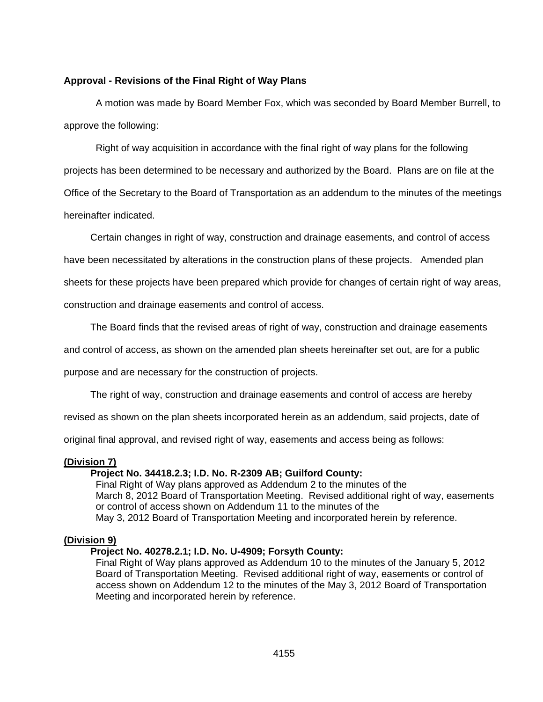# **Approval - Revisions of the Final Right of Way Plans**

A motion was made by Board Member Fox, which was seconded by Board Member Burrell, to approve the following:

Right of way acquisition in accordance with the final right of way plans for the following projects has been determined to be necessary and authorized by the Board. Plans are on file at the Office of the Secretary to the Board of Transportation as an addendum to the minutes of the meetings hereinafter indicated.

Certain changes in right of way, construction and drainage easements, and control of access

have been necessitated by alterations in the construction plans of these projects. Amended plan

sheets for these projects have been prepared which provide for changes of certain right of way areas,

construction and drainage easements and control of access.

The Board finds that the revised areas of right of way, construction and drainage easements

and control of access, as shown on the amended plan sheets hereinafter set out, are for a public

purpose and are necessary for the construction of projects.

The right of way, construction and drainage easements and control of access are hereby

revised as shown on the plan sheets incorporated herein as an addendum, said projects, date of

original final approval, and revised right of way, easements and access being as follows:

### **(Division 7)**

#### **Project No. 34418.2.3; I.D. No. R-2309 AB; Guilford County:**

Final Right of Way plans approved as Addendum 2 to the minutes of the March 8, 2012 Board of Transportation Meeting. Revised additional right of way, easements or control of access shown on Addendum 11 to the minutes of the May 3, 2012 Board of Transportation Meeting and incorporated herein by reference.

### **(Division 9)**

### **Project No. 40278.2.1; I.D. No. U-4909; Forsyth County:**

Final Right of Way plans approved as Addendum 10 to the minutes of the January 5, 2012 Board of Transportation Meeting. Revised additional right of way, easements or control of access shown on Addendum 12 to the minutes of the May 3, 2012 Board of Transportation Meeting and incorporated herein by reference.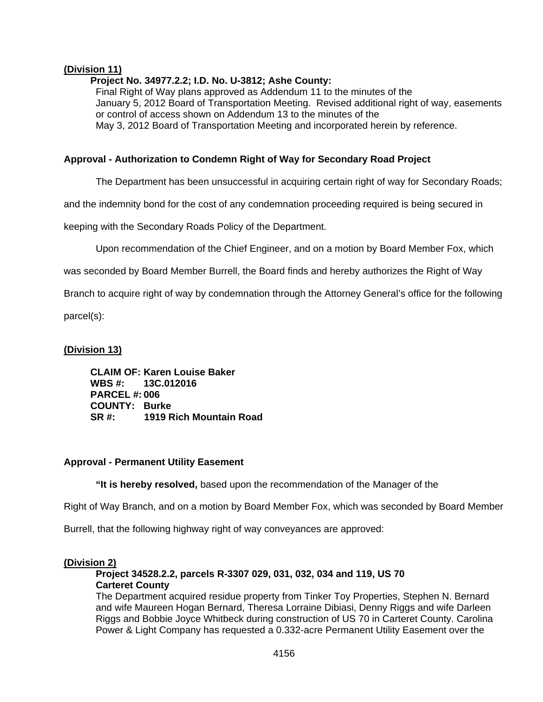# **(Division 11)**

# **Project No. 34977.2.2; I.D. No. U-3812; Ashe County:**

Final Right of Way plans approved as Addendum 11 to the minutes of the January 5, 2012 Board of Transportation Meeting. Revised additional right of way, easements or control of access shown on Addendum 13 to the minutes of the May 3, 2012 Board of Transportation Meeting and incorporated herein by reference.

# **Approval - Authorization to Condemn Right of Way for Secondary Road Project**

The Department has been unsuccessful in acquiring certain right of way for Secondary Roads;

and the indemnity bond for the cost of any condemnation proceeding required is being secured in

keeping with the Secondary Roads Policy of the Department.

Upon recommendation of the Chief Engineer, and on a motion by Board Member Fox, which

was seconded by Board Member Burrell, the Board finds and hereby authorizes the Right of Way

Branch to acquire right of way by condemnation through the Attorney General's office for the following

parcel(s):

# **(Division 13)**

 **CLAIM OF: Karen Louise Baker WBS #: 13C.012016 PARCEL #: 006 COUNTY: Burke SR #: 1919 Rich Mountain Road** 

### **Approval - Permanent Utility Easement**

 **"It is hereby resolved,** based upon the recommendation of the Manager of the

Right of Way Branch, and on a motion by Board Member Fox, which was seconded by Board Member

Burrell, that the following highway right of way conveyances are approved:

### **(Division 2)**

### **Project 34528.2.2, parcels R-3307 029, 031, 032, 034 and 119, US 70 Carteret County**

The Department acquired residue property from Tinker Toy Properties, Stephen N. Bernard and wife Maureen Hogan Bernard, Theresa Lorraine Dibiasi, Denny Riggs and wife Darleen Riggs and Bobbie Joyce Whitbeck during construction of US 70 in Carteret County. Carolina Power & Light Company has requested a 0.332-acre Permanent Utility Easement over the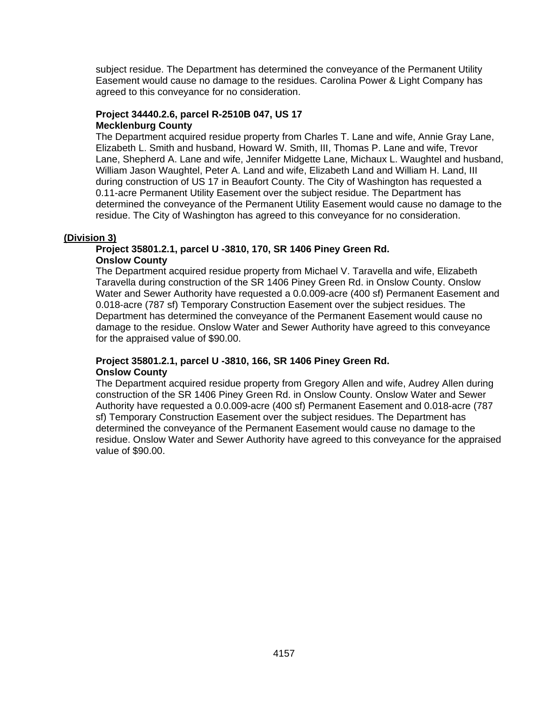subject residue. The Department has determined the conveyance of the Permanent Utility Easement would cause no damage to the residues. Carolina Power & Light Company has agreed to this conveyance for no consideration.

# **Project 34440.2.6, parcel R-2510B 047, US 17 Mecklenburg County**

The Department acquired residue property from Charles T. Lane and wife, Annie Gray Lane, Elizabeth L. Smith and husband, Howard W. Smith, III, Thomas P. Lane and wife, Trevor Lane, Shepherd A. Lane and wife, Jennifer Midgette Lane, Michaux L. Waughtel and husband, William Jason Waughtel, Peter A. Land and wife, Elizabeth Land and William H. Land, III during construction of US 17 in Beaufort County. The City of Washington has requested a 0.11-acre Permanent Utility Easement over the subject residue. The Department has determined the conveyance of the Permanent Utility Easement would cause no damage to the residue. The City of Washington has agreed to this conveyance for no consideration.

# **(Division 3)**

# **Project 35801.2.1, parcel U -3810, 170, SR 1406 Piney Green Rd. Onslow County**

The Department acquired residue property from Michael V. Taravella and wife, Elizabeth Taravella during construction of the SR 1406 Piney Green Rd. in Onslow County. Onslow Water and Sewer Authority have requested a 0.0.009-acre (400 sf) Permanent Easement and 0.018-acre (787 sf) Temporary Construction Easement over the subject residues. The Department has determined the conveyance of the Permanent Easement would cause no damage to the residue. Onslow Water and Sewer Authority have agreed to this conveyance for the appraised value of \$90.00.

# **Project 35801.2.1, parcel U -3810, 166, SR 1406 Piney Green Rd. Onslow County**

The Department acquired residue property from Gregory Allen and wife, Audrey Allen during construction of the SR 1406 Piney Green Rd. in Onslow County. Onslow Water and Sewer Authority have requested a 0.0.009-acre (400 sf) Permanent Easement and 0.018-acre (787 sf) Temporary Construction Easement over the subject residues. The Department has determined the conveyance of the Permanent Easement would cause no damage to the residue. Onslow Water and Sewer Authority have agreed to this conveyance for the appraised value of \$90.00.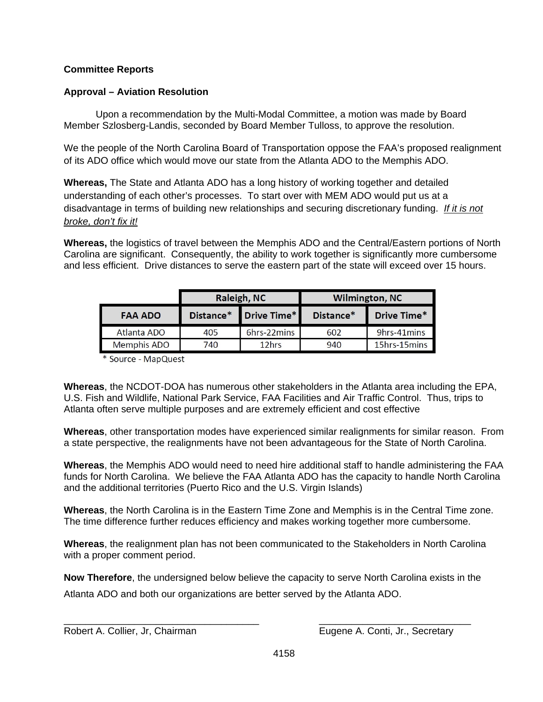# **Committee Reports**

# **Approval – Aviation Resolution**

Upon a recommendation by the Multi-Modal Committee, a motion was made by Board Member Szlosberg-Landis, seconded by Board Member Tulloss, to approve the resolution.

We the people of the North Carolina Board of Transportation oppose the FAA's proposed realignment of its ADO office which would move our state from the Atlanta ADO to the Memphis ADO.

**Whereas,** The State and Atlanta ADO has a long history of working together and detailed understanding of each other's processes. To start over with MEM ADO would put us at a disadvantage in terms of building new relationships and securing discretionary funding. *If it is not broke, don't fix it!*

**Whereas,** the logistics of travel between the Memphis ADO and the Central/Eastern portions of North Carolina are significant. Consequently, the ability to work together is significantly more cumbersome and less efficient. Drive distances to serve the eastern part of the state will exceed over 15 hours.

|                    | Raleigh, NC              |             | <b>Wilmington, NC</b> |              |
|--------------------|--------------------------|-------------|-----------------------|--------------|
| <b>FAA ADO</b>     | Drive Time*<br>Distance* |             | Distance*             | Drive Time*  |
| Atlanta ADO        | 405                      | 6hrs-22mins | 602                   | 9hrs-41 mins |
| <b>Memphis ADO</b> | 740                      | 12hrs       | 940                   | 15hrs-15mins |

\* Source - MapQuest

**Whereas**, the NCDOT-DOA has numerous other stakeholders in the Atlanta area including the EPA, U.S. Fish and Wildlife, National Park Service, FAA Facilities and Air Traffic Control. Thus, trips to Atlanta often serve multiple purposes and are extremely efficient and cost effective

**Whereas**, other transportation modes have experienced similar realignments for similar reason. From a state perspective, the realignments have not been advantageous for the State of North Carolina.

**Whereas**, the Memphis ADO would need to need hire additional staff to handle administering the FAA funds for North Carolina. We believe the FAA Atlanta ADO has the capacity to handle North Carolina and the additional territories (Puerto Rico and the U.S. Virgin Islands)

**Whereas**, the North Carolina is in the Eastern Time Zone and Memphis is in the Central Time zone. The time difference further reduces efficiency and makes working together more cumbersome.

**Whereas**, the realignment plan has not been communicated to the Stakeholders in North Carolina with a proper comment period.

**Now Therefore**, the undersigned below believe the capacity to serve North Carolina exists in the Atlanta ADO and both our organizations are better served by the Atlanta ADO.

\_\_\_\_\_\_\_\_\_\_\_\_\_\_\_\_\_\_\_\_\_\_\_\_\_\_\_\_\_\_\_\_\_\_\_\_ \_\_\_\_\_\_\_\_\_\_\_\_\_\_\_\_\_\_\_\_\_\_\_\_\_\_\_\_